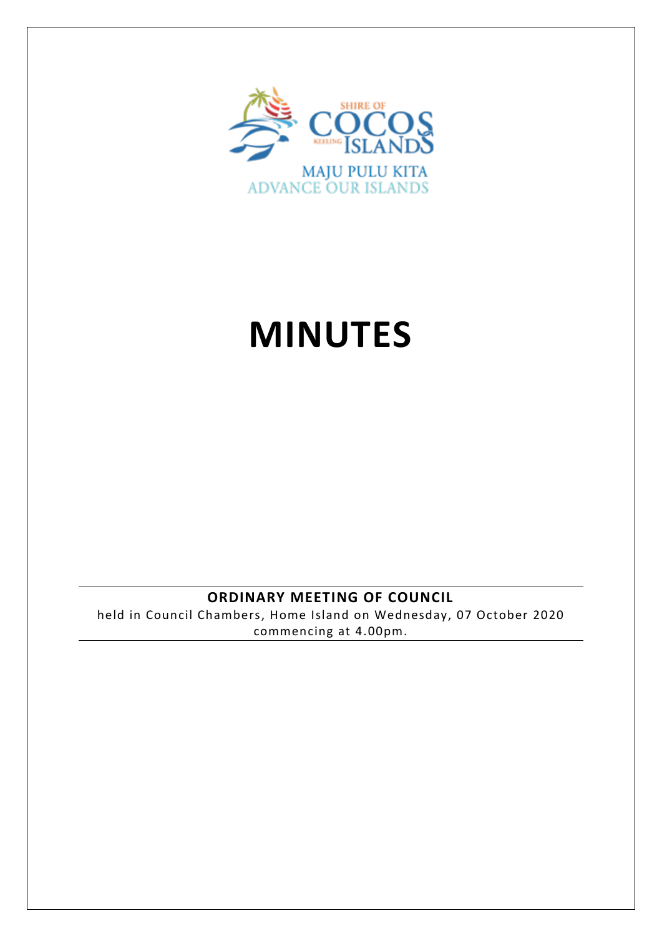

# **MINUTES**

## **ORDINARY MEETING OF COUNCIL**

held in Council Chambers, Home Island on Wednesday, 07 October 2020 commencing at 4.00pm.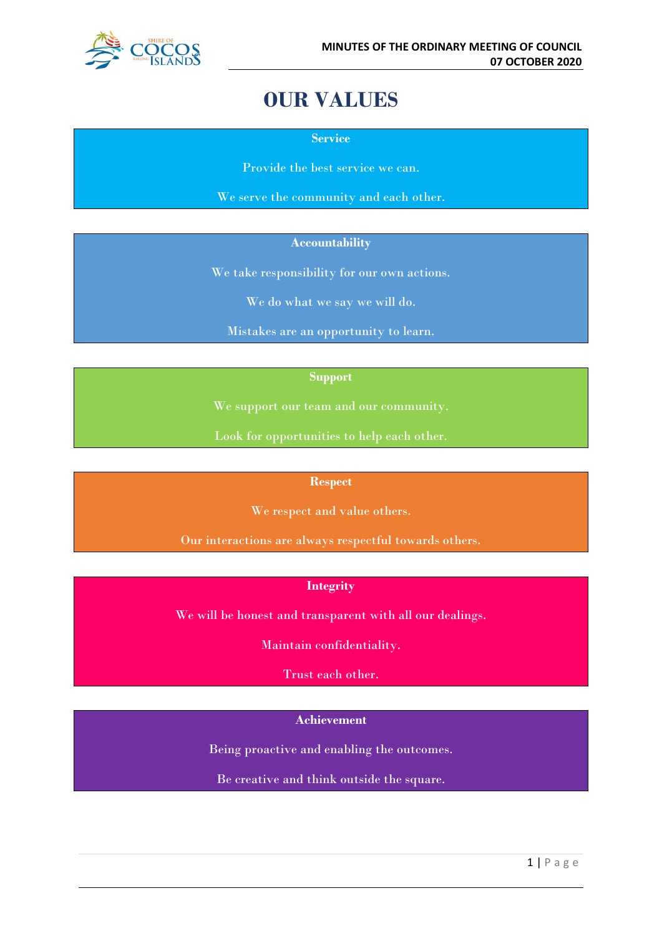

## **OUR VALUES**

**Service**

Provide the best service we can.

We serve the community and each other.

#### **Accountability**

We take responsibility for our own actions.

We do what we say we will do.

Mistakes are an opportunity to learn.

#### **Support**

We support our team and our community.

Look for opportunities to help each other.

#### **Respect**

We respect and value others.

Our interactions are always respectful towards others.

#### **Integrity**

We will be honest and transparent with all our dealings.

Maintain confidentiality.

Trust each other.

## **Achievement**

Being proactive and enabling the outcomes.

Be creative and think outside the square.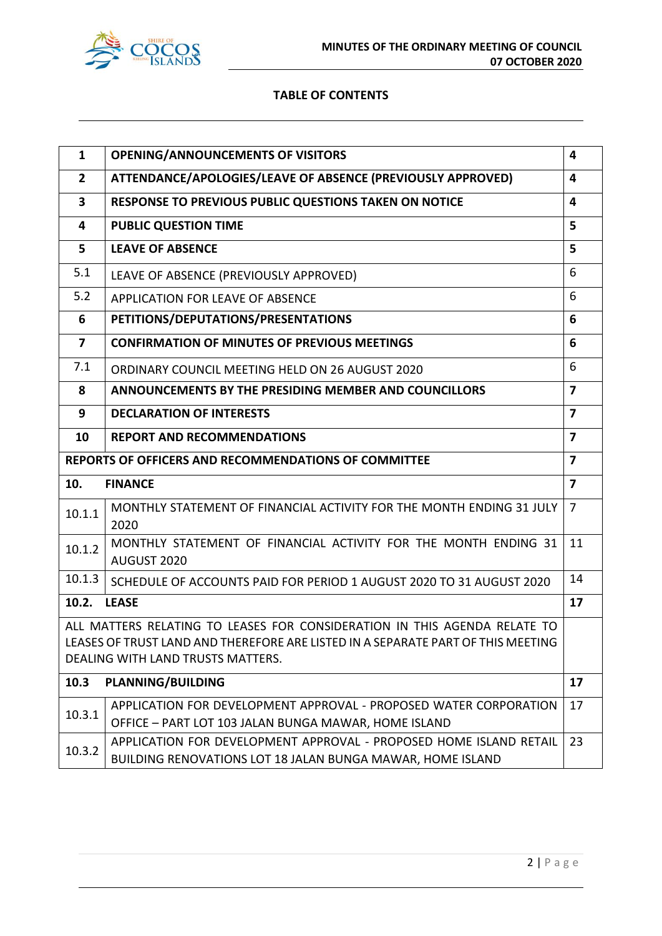

#### **TABLE OF CONTENTS**

| $\mathbf{1}$                                                                                                                                                                                       | <b>OPENING/ANNOUNCEMENTS OF VISITORS</b>                                                                                         | 4                       |
|----------------------------------------------------------------------------------------------------------------------------------------------------------------------------------------------------|----------------------------------------------------------------------------------------------------------------------------------|-------------------------|
| $\overline{2}$                                                                                                                                                                                     | ATTENDANCE/APOLOGIES/LEAVE OF ABSENCE (PREVIOUSLY APPROVED)                                                                      | 4                       |
| 3                                                                                                                                                                                                  | RESPONSE TO PREVIOUS PUBLIC QUESTIONS TAKEN ON NOTICE<br>4                                                                       |                         |
| 4                                                                                                                                                                                                  | <b>PUBLIC QUESTION TIME</b>                                                                                                      | 5                       |
| 5                                                                                                                                                                                                  | <b>LEAVE OF ABSENCE</b>                                                                                                          | 5                       |
| 5.1                                                                                                                                                                                                | LEAVE OF ABSENCE (PREVIOUSLY APPROVED)                                                                                           | 6                       |
| 5.2                                                                                                                                                                                                | APPLICATION FOR LEAVE OF ABSENCE                                                                                                 | 6                       |
| 6                                                                                                                                                                                                  | PETITIONS/DEPUTATIONS/PRESENTATIONS                                                                                              | 6                       |
| $\overline{\mathbf{z}}$                                                                                                                                                                            | <b>CONFIRMATION OF MINUTES OF PREVIOUS MEETINGS</b>                                                                              | 6                       |
| 7.1                                                                                                                                                                                                | ORDINARY COUNCIL MEETING HELD ON 26 AUGUST 2020                                                                                  | 6                       |
| 8                                                                                                                                                                                                  | <b>ANNOUNCEMENTS BY THE PRESIDING MEMBER AND COUNCILLORS</b>                                                                     | $\overline{\mathbf{z}}$ |
| 9                                                                                                                                                                                                  | $\overline{\mathbf{z}}$<br><b>DECLARATION OF INTERESTS</b>                                                                       |                         |
| 10                                                                                                                                                                                                 | <b>REPORT AND RECOMMENDATIONS</b>                                                                                                | $\overline{7}$          |
| $\overline{\mathbf{z}}$<br>REPORTS OF OFFICERS AND RECOMMENDATIONS OF COMMITTEE                                                                                                                    |                                                                                                                                  |                         |
| 10.                                                                                                                                                                                                | <b>FINANCE</b>                                                                                                                   | $\overline{\mathbf{z}}$ |
| 10.1.1                                                                                                                                                                                             | MONTHLY STATEMENT OF FINANCIAL ACTIVITY FOR THE MONTH ENDING 31 JULY<br>2020                                                     | $\overline{7}$          |
| 10.1.2                                                                                                                                                                                             | MONTHLY STATEMENT OF FINANCIAL ACTIVITY FOR THE MONTH ENDING 31<br>AUGUST 2020                                                   | 11                      |
| 10.1.3                                                                                                                                                                                             | SCHEDULE OF ACCOUNTS PAID FOR PERIOD 1 AUGUST 2020 TO 31 AUGUST 2020                                                             | 14                      |
| 10.2.                                                                                                                                                                                              | <b>LEASE</b>                                                                                                                     | 17                      |
| ALL MATTERS RELATING TO LEASES FOR CONSIDERATION IN THIS AGENDA RELATE TO<br>LEASES OF TRUST LAND AND THEREFORE ARE LISTED IN A SEPARATE PART OF THIS MEETING<br>DEALING WITH LAND TRUSTS MATTERS. |                                                                                                                                  |                         |
|                                                                                                                                                                                                    |                                                                                                                                  |                         |
| 10.3                                                                                                                                                                                               | <b>PLANNING/BUILDING</b>                                                                                                         | 17                      |
| 10.3.1                                                                                                                                                                                             | APPLICATION FOR DEVELOPMENT APPROVAL - PROPOSED WATER CORPORATION<br>OFFICE - PART LOT 103 JALAN BUNGA MAWAR, HOME ISLAND        | 17                      |
| 10.3.2                                                                                                                                                                                             | APPLICATION FOR DEVELOPMENT APPROVAL - PROPOSED HOME ISLAND RETAIL<br>BUILDING RENOVATIONS LOT 18 JALAN BUNGA MAWAR, HOME ISLAND | 23                      |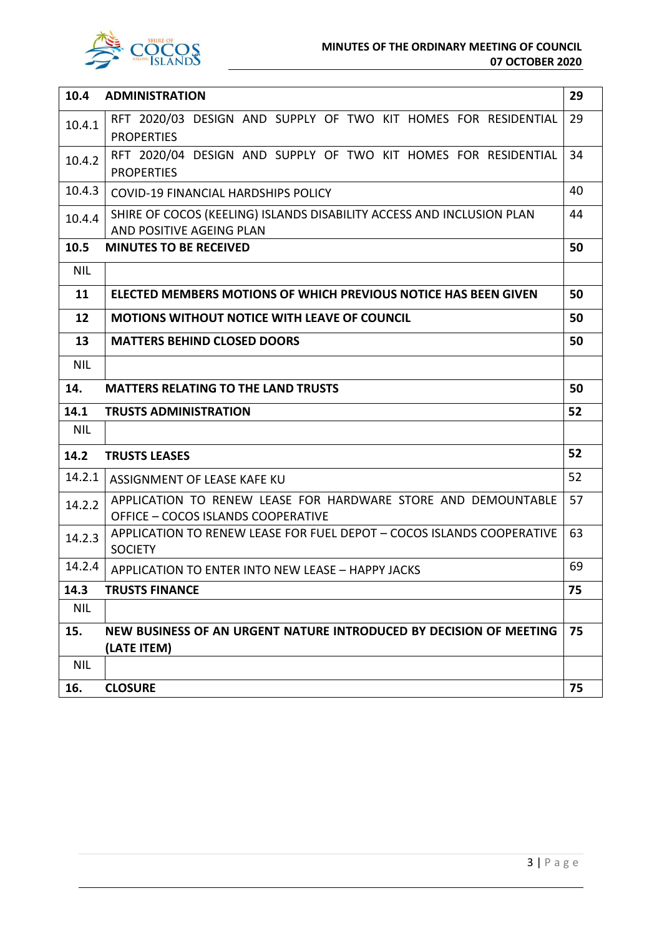



| 10.4       | <b>ADMINISTRATION</b>                                                                               | 29 |
|------------|-----------------------------------------------------------------------------------------------------|----|
| 10.4.1     | RFT 2020/03 DESIGN AND SUPPLY OF TWO KIT HOMES FOR RESIDENTIAL<br><b>PROPERTIES</b>                 | 29 |
| 10.4.2     | RFT 2020/04 DESIGN AND SUPPLY OF TWO KIT HOMES FOR RESIDENTIAL<br><b>PROPERTIES</b>                 | 34 |
| 10.4.3     | <b>COVID-19 FINANCIAL HARDSHIPS POLICY</b>                                                          | 40 |
| 10.4.4     | SHIRE OF COCOS (KEELING) ISLANDS DISABILITY ACCESS AND INCLUSION PLAN<br>AND POSITIVE AGEING PLAN   | 44 |
| 10.5       | <b>MINUTES TO BE RECEIVED</b>                                                                       | 50 |
| <b>NIL</b> |                                                                                                     |    |
| 11         | ELECTED MEMBERS MOTIONS OF WHICH PREVIOUS NOTICE HAS BEEN GIVEN                                     | 50 |
| 12         | <b>MOTIONS WITHOUT NOTICE WITH LEAVE OF COUNCIL</b>                                                 | 50 |
| 13         | <b>MATTERS BEHIND CLOSED DOORS</b>                                                                  | 50 |
| <b>NIL</b> |                                                                                                     |    |
| 14.        | <b>MATTERS RELATING TO THE LAND TRUSTS</b>                                                          | 50 |
| 14.1       | <b>TRUSTS ADMINISTRATION</b>                                                                        | 52 |
| <b>NIL</b> |                                                                                                     |    |
| 14.2       | <b>TRUSTS LEASES</b>                                                                                | 52 |
| 14.2.1     | ASSIGNMENT OF LEASE KAFE KU                                                                         | 52 |
| 14.2.2     | APPLICATION TO RENEW LEASE FOR HARDWARE STORE AND DEMOUNTABLE<br>OFFICE - COCOS ISLANDS COOPERATIVE | 57 |
| 14.2.3     | APPLICATION TO RENEW LEASE FOR FUEL DEPOT - COCOS ISLANDS COOPERATIVE<br><b>SOCIETY</b>             | 63 |
| 14.2.4     | APPLICATION TO ENTER INTO NEW LEASE - HAPPY JACKS                                                   | 69 |
| 14.3       | <b>TRUSTS FINANCE</b>                                                                               | 75 |
| <b>NIL</b> |                                                                                                     |    |
| 15.        | NEW BUSINESS OF AN URGENT NATURE INTRODUCED BY DECISION OF MEETING<br>(LATE ITEM)                   | 75 |
| <b>NIL</b> |                                                                                                     |    |
| 16.        | <b>CLOSURE</b>                                                                                      | 75 |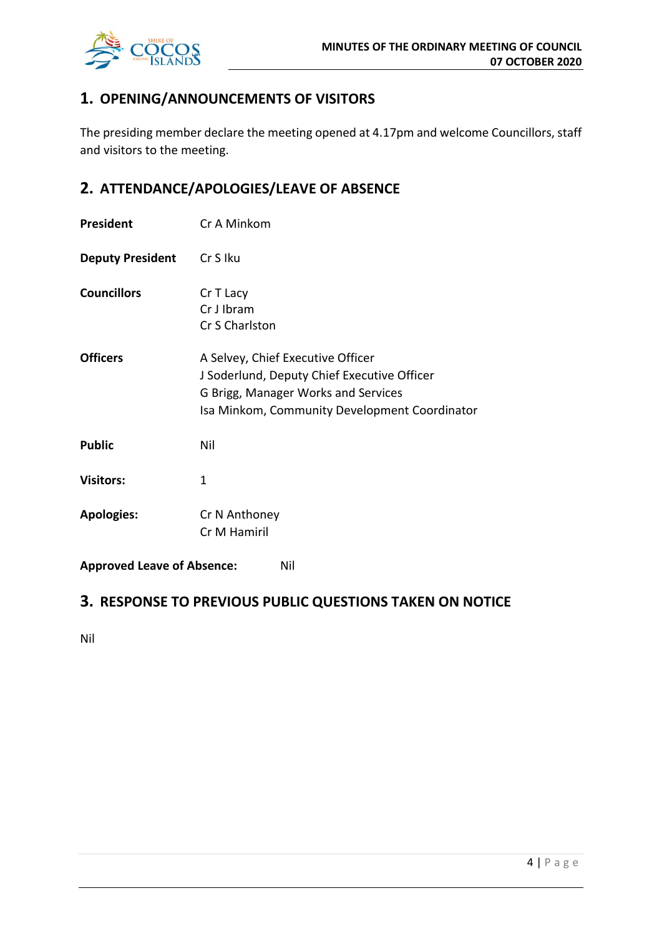

## **1. OPENING/ANNOUNCEMENTS OF VISITORS**

The presiding member declare the meeting opened at 4.17pm and welcome Councillors, staff and visitors to the meeting.

## **2. ATTENDANCE/APOLOGIES/LEAVE OF ABSENCE**

| President                                | Cr A Minkom                                                                                                                                                              |
|------------------------------------------|--------------------------------------------------------------------------------------------------------------------------------------------------------------------------|
| <b>Deputy President</b>                  | Cr S Iku                                                                                                                                                                 |
| <b>Councillors</b>                       | Cr T Lacy<br>Cr J Ibram<br>Cr S Charlston                                                                                                                                |
| <b>Officers</b>                          | A Selvey, Chief Executive Officer<br>J Soderlund, Deputy Chief Executive Officer<br>G Brigg, Manager Works and Services<br>Isa Minkom, Community Development Coordinator |
| <b>Public</b>                            | Nil                                                                                                                                                                      |
| <b>Visitors:</b>                         | $\mathbf{1}$                                                                                                                                                             |
| <b>Apologies:</b>                        | Cr N Anthoney<br>Cr M Hamiril                                                                                                                                            |
| <b>Approved Leave of Absence:</b><br>Nil |                                                                                                                                                                          |

## **3. RESPONSE TO PREVIOUS PUBLIC QUESTIONS TAKEN ON NOTICE**

Nil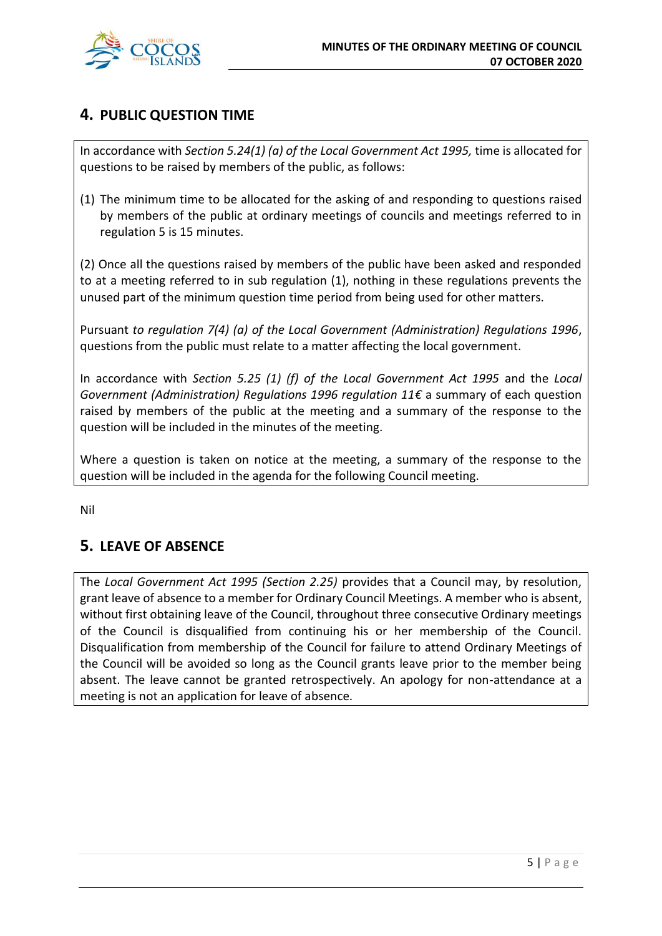

## **4. PUBLIC QUESTION TIME**

In accordance with *Section 5.24(1) (a) of the Local Government Act 1995,* time is allocated for questions to be raised by members of the public, as follows:

(1) The minimum time to be allocated for the asking of and responding to questions raised by members of the public at ordinary meetings of councils and meetings referred to in regulation 5 is 15 minutes.

(2) Once all the questions raised by members of the public have been asked and responded to at a meeting referred to in sub regulation (1), nothing in these regulations prevents the unused part of the minimum question time period from being used for other matters.

Pursuant *to regulation 7(4) (a) of the Local Government (Administration) Regulations 1996*, questions from the public must relate to a matter affecting the local government.

In accordance with *Section 5.25 (1) (f) of the Local Government Act 1995* and the *Local Government (Administration) Regulations 1996 regulation 11€* a summary of each question raised by members of the public at the meeting and a summary of the response to the question will be included in the minutes of the meeting.

Where a question is taken on notice at the meeting, a summary of the response to the question will be included in the agenda for the following Council meeting.

Nil

## **5. LEAVE OF ABSENCE**

The *Local Government Act 1995 (Section 2.25)* provides that a Council may, by resolution, grant leave of absence to a member for Ordinary Council Meetings. A member who is absent, without first obtaining leave of the Council, throughout three consecutive Ordinary meetings of the Council is disqualified from continuing his or her membership of the Council. Disqualification from membership of the Council for failure to attend Ordinary Meetings of the Council will be avoided so long as the Council grants leave prior to the member being absent. The leave cannot be granted retrospectively. An apology for non-attendance at a meeting is not an application for leave of absence.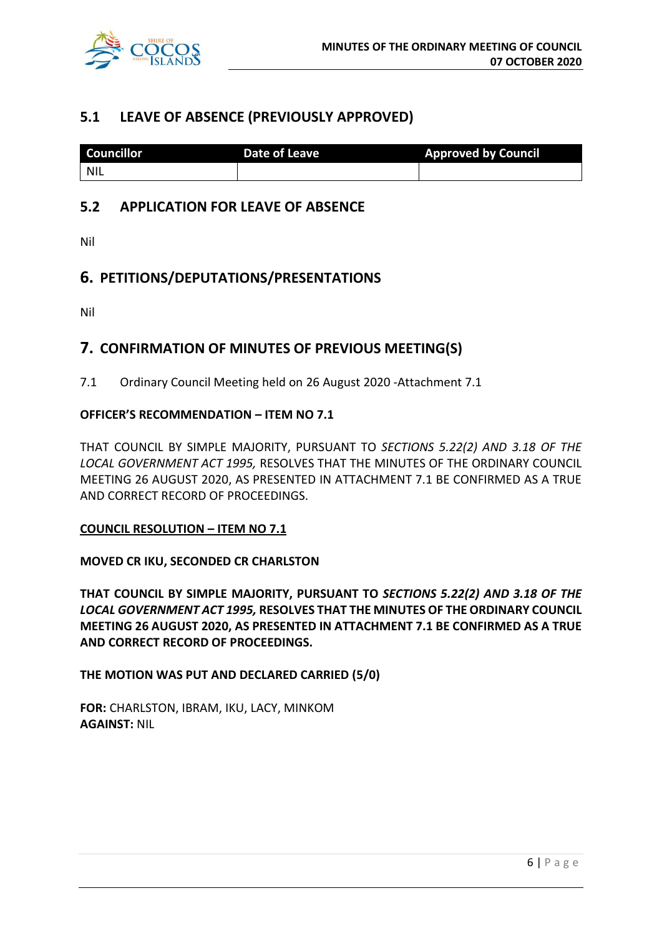

## **5.1 LEAVE OF ABSENCE (PREVIOUSLY APPROVED)**

| <b>Councillor</b> | Date of Leave | <b>Approved by Council</b> |
|-------------------|---------------|----------------------------|
| <b>NIL</b>        |               |                            |

## **5.2 APPLICATION FOR LEAVE OF ABSENCE**

Nil

## **6. PETITIONS/DEPUTATIONS/PRESENTATIONS**

Nil

## **7. CONFIRMATION OF MINUTES OF PREVIOUS MEETING(S)**

7.1 Ordinary Council Meeting held on 26 August 2020 -Attachment 7.1

#### **OFFICER'S RECOMMENDATION – ITEM NO 7.1**

THAT COUNCIL BY SIMPLE MAJORITY, PURSUANT TO *SECTIONS 5.22(2) AND 3.18 OF THE LOCAL GOVERNMENT ACT 1995,* RESOLVES THAT THE MINUTES OF THE ORDINARY COUNCIL MEETING 26 AUGUST 2020, AS PRESENTED IN ATTACHMENT 7.1 BE CONFIRMED AS A TRUE AND CORRECT RECORD OF PROCEEDINGS.

#### **COUNCIL RESOLUTION – ITEM NO 7.1**

**MOVED CR IKU, SECONDED CR CHARLSTON**

**THAT COUNCIL BY SIMPLE MAJORITY, PURSUANT TO** *SECTIONS 5.22(2) AND 3.18 OF THE LOCAL GOVERNMENT ACT 1995,* **RESOLVES THAT THE MINUTES OF THE ORDINARY COUNCIL MEETING 26 AUGUST 2020, AS PRESENTED IN ATTACHMENT 7.1 BE CONFIRMED AS A TRUE AND CORRECT RECORD OF PROCEEDINGS.**

**THE MOTION WAS PUT AND DECLARED CARRIED (5/0)**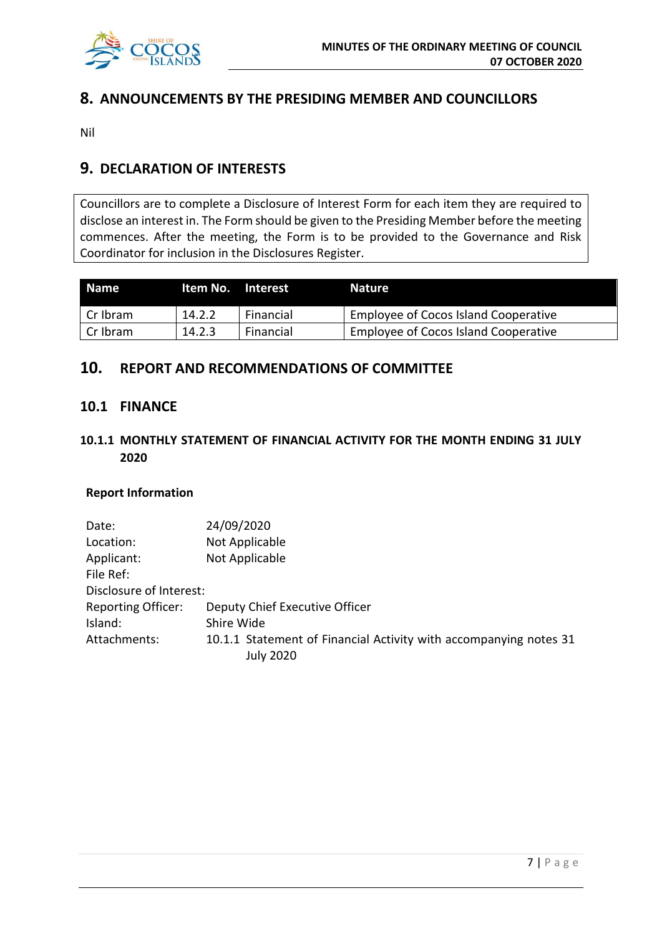

## **8. ANNOUNCEMENTS BY THE PRESIDING MEMBER AND COUNCILLORS**

Nil

## **9. DECLARATION OF INTERESTS**

Councillors are to complete a Disclosure of Interest Form for each item they are required to disclose an interest in. The Form should be given to the Presiding Member before the meeting commences. After the meeting, the Form is to be provided to the Governance and Risk Coordinator for inclusion in the Disclosures Register.

| I Name     | ltem No. | <b>Interest</b> | <b>Nature</b>                        |
|------------|----------|-----------------|--------------------------------------|
| l Cr Ibram | 14.2.2   | Financial       | Employee of Cocos Island Cooperative |
| I Cr Ibram | 14.2.3   | Financial       | Employee of Cocos Island Cooperative |

## **10. REPORT AND RECOMMENDATIONS OF COMMITTEE**

#### **10.1 FINANCE**

## **10.1.1 MONTHLY STATEMENT OF FINANCIAL ACTIVITY FOR THE MONTH ENDING 31 JULY 2020**

#### **Report Information**

| Date:                     | 24/09/2020                                                                            |
|---------------------------|---------------------------------------------------------------------------------------|
| Location:                 | Not Applicable                                                                        |
| Applicant:                | Not Applicable                                                                        |
| File Ref:                 |                                                                                       |
| Disclosure of Interest:   |                                                                                       |
| <b>Reporting Officer:</b> | Deputy Chief Executive Officer                                                        |
| Island:                   | Shire Wide                                                                            |
| Attachments:              | 10.1.1 Statement of Financial Activity with accompanying notes 31<br><b>July 2020</b> |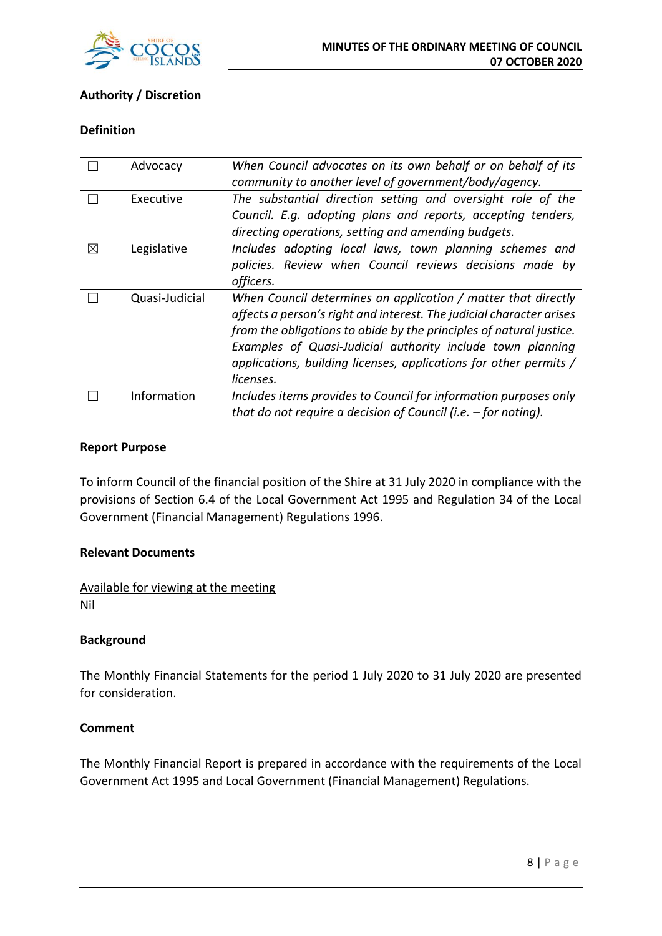

## **Authority / Discretion**

#### **Definition**

|   | Advocacy       | When Council advocates on its own behalf or on behalf of its         |
|---|----------------|----------------------------------------------------------------------|
|   |                | community to another level of government/body/agency.                |
|   | Executive      | The substantial direction setting and oversight role of the          |
|   |                | Council. E.g. adopting plans and reports, accepting tenders,         |
|   |                | directing operations, setting and amending budgets.                  |
| ⊠ | Legislative    | Includes adopting local laws, town planning schemes and              |
|   |                | policies. Review when Council reviews decisions made by              |
|   |                | officers.                                                            |
|   | Quasi-Judicial | When Council determines an application / matter that directly        |
|   |                | affects a person's right and interest. The judicial character arises |
|   |                | from the obligations to abide by the principles of natural justice.  |
|   |                | Examples of Quasi-Judicial authority include town planning           |
|   |                | applications, building licenses, applications for other permits /    |
|   |                | licenses.                                                            |
|   | Information    | Includes items provides to Council for information purposes only     |
|   |                | that do not require a decision of Council (i.e. $-$ for noting).     |

#### **Report Purpose**

To inform Council of the financial position of the Shire at 31 July 2020 in compliance with the provisions of Section 6.4 of the Local Government Act 1995 and Regulation 34 of the Local Government (Financial Management) Regulations 1996.

#### **Relevant Documents**

Available for viewing at the meeting Nil

#### **Background**

The Monthly Financial Statements for the period 1 July 2020 to 31 July 2020 are presented for consideration.

#### **Comment**

The Monthly Financial Report is prepared in accordance with the requirements of the Local Government Act 1995 and Local Government (Financial Management) Regulations.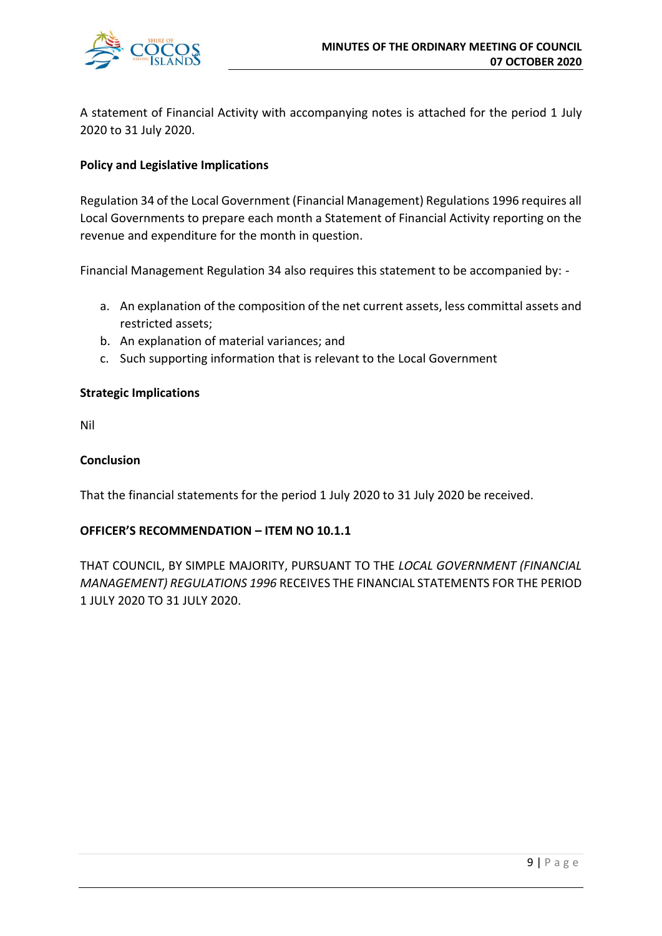

A statement of Financial Activity with accompanying notes is attached for the period 1 July 2020 to 31 July 2020.

#### **Policy and Legislative Implications**

Regulation 34 of the Local Government (Financial Management) Regulations 1996 requires all Local Governments to prepare each month a Statement of Financial Activity reporting on the revenue and expenditure for the month in question.

Financial Management Regulation 34 also requires this statement to be accompanied by: -

- a. An explanation of the composition of the net current assets, less committal assets and restricted assets;
- b. An explanation of material variances; and
- c. Such supporting information that is relevant to the Local Government

#### **Strategic Implications**

Nil

#### **Conclusion**

That the financial statements for the period 1 July 2020 to 31 July 2020 be received.

#### **OFFICER'S RECOMMENDATION – ITEM NO 10.1.1**

THAT COUNCIL, BY SIMPLE MAJORITY, PURSUANT TO THE *LOCAL GOVERNMENT (FINANCIAL MANAGEMENT) REGULATIONS 1996* RECEIVES THE FINANCIAL STATEMENTS FOR THE PERIOD 1 JULY 2020 TO 31 JULY 2020.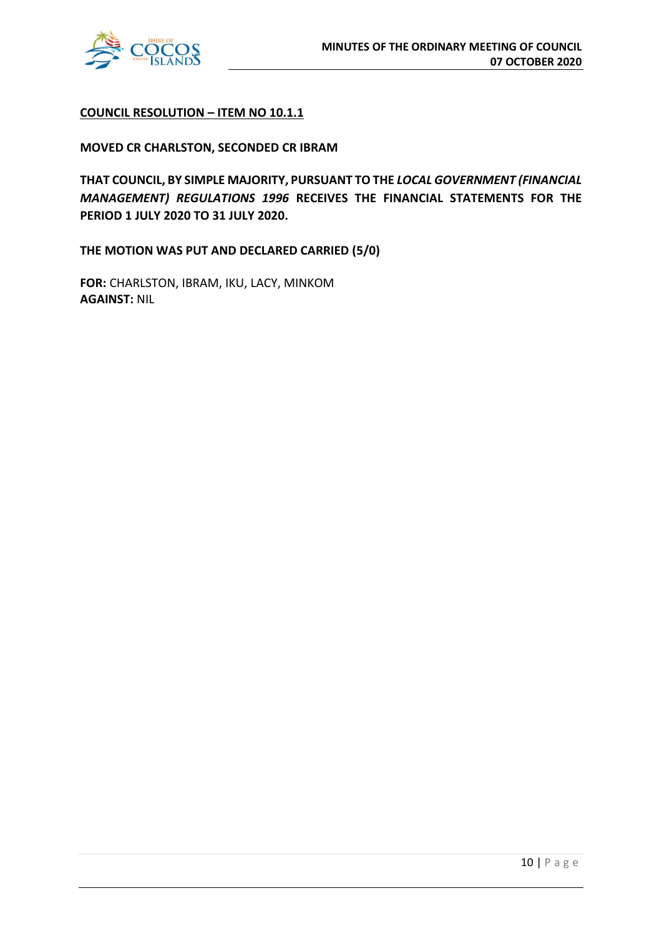

#### **COUNCIL RESOLUTION – ITEM NO 10.1.1**

#### **MOVED CR CHARLSTON, SECONDED CR IBRAM**

**THAT COUNCIL, BY SIMPLE MAJORITY, PURSUANT TO THE** *LOCAL GOVERNMENT (FINANCIAL MANAGEMENT) REGULATIONS 1996* **RECEIVES THE FINANCIAL STATEMENTS FOR THE PERIOD 1 JULY 2020 TO 31 JULY 2020.** 

**THE MOTION WAS PUT AND DECLARED CARRIED (5/0)**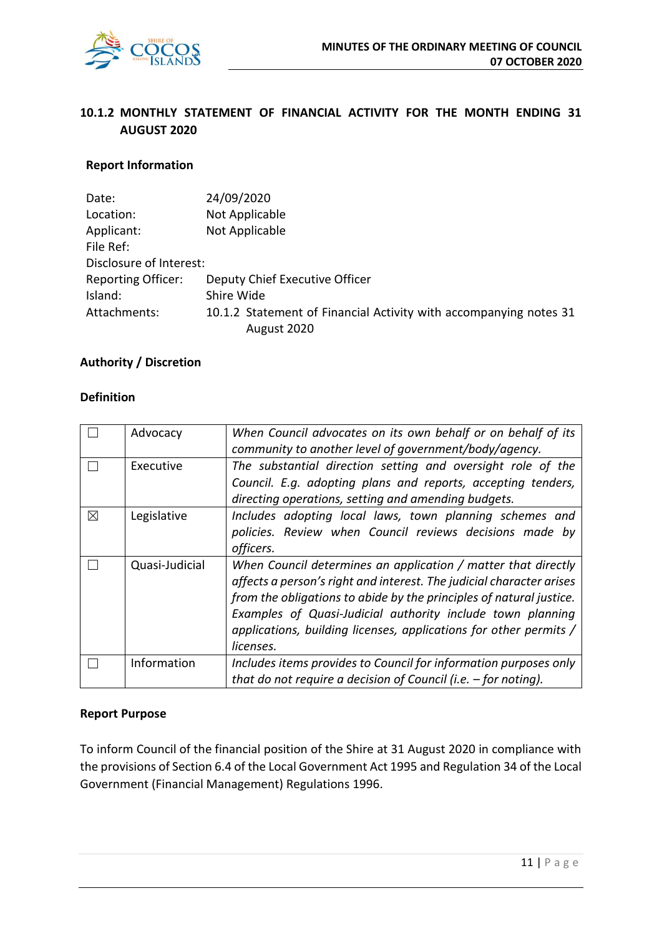

## **10.1.2 MONTHLY STATEMENT OF FINANCIAL ACTIVITY FOR THE MONTH ENDING 31 AUGUST 2020**

#### **Report Information**

| Date:                     | 24/09/2020                                                        |
|---------------------------|-------------------------------------------------------------------|
| Location:                 | Not Applicable                                                    |
| Applicant:                | Not Applicable                                                    |
| File Ref:                 |                                                                   |
| Disclosure of Interest:   |                                                                   |
| <b>Reporting Officer:</b> | Deputy Chief Executive Officer                                    |
| Island:                   | Shire Wide                                                        |
| Attachments:              | 10.1.2 Statement of Financial Activity with accompanying notes 31 |
|                           | August 2020                                                       |

#### **Authority / Discretion**

#### **Definition**

|   | Advocacy       | When Council advocates on its own behalf or on behalf of its<br>community to another level of government/body/agency.                                                                                                                                                      |
|---|----------------|----------------------------------------------------------------------------------------------------------------------------------------------------------------------------------------------------------------------------------------------------------------------------|
|   | Executive      | The substantial direction setting and oversight role of the<br>Council. E.g. adopting plans and reports, accepting tenders,                                                                                                                                                |
|   |                | directing operations, setting and amending budgets.                                                                                                                                                                                                                        |
| ⊠ | Legislative    | Includes adopting local laws, town planning schemes and<br>policies. Review when Council reviews decisions made by<br>officers.                                                                                                                                            |
|   | Quasi-Judicial | When Council determines an application / matter that directly<br>affects a person's right and interest. The judicial character arises<br>from the obligations to abide by the principles of natural justice.<br>Examples of Quasi-Judicial authority include town planning |
|   |                | applications, building licenses, applications for other permits /<br>licenses.                                                                                                                                                                                             |
|   | Information    | Includes items provides to Council for information purposes only<br>that do not require a decision of Council (i.e. $-$ for noting).                                                                                                                                       |

#### **Report Purpose**

To inform Council of the financial position of the Shire at 31 August 2020 in compliance with the provisions of Section 6.4 of the Local Government Act 1995 and Regulation 34 of the Local Government (Financial Management) Regulations 1996.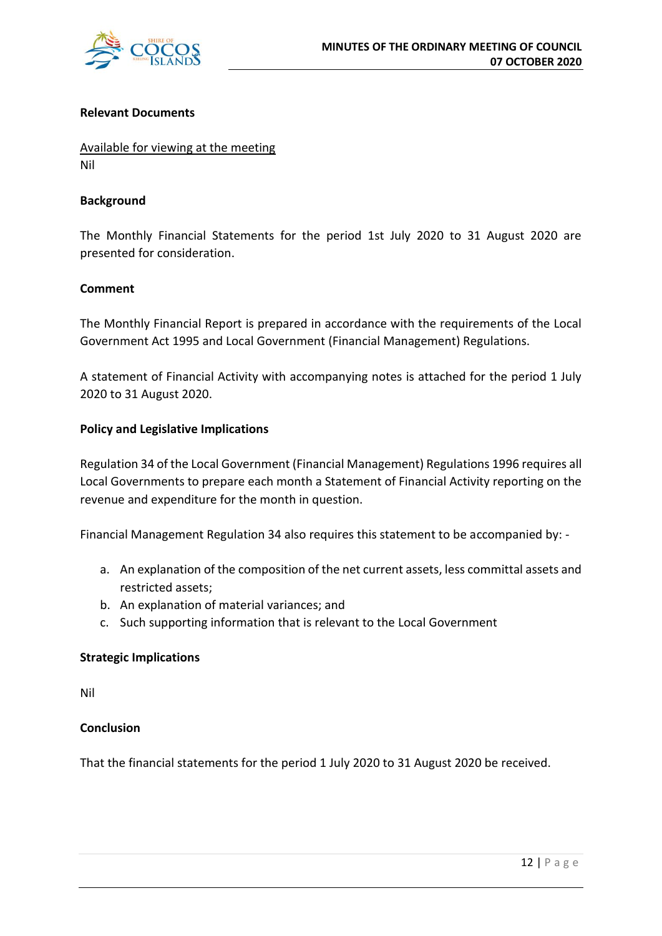

#### **Relevant Documents**

Available for viewing at the meeting Nil

#### **Background**

The Monthly Financial Statements for the period 1st July 2020 to 31 August 2020 are presented for consideration.

#### **Comment**

The Monthly Financial Report is prepared in accordance with the requirements of the Local Government Act 1995 and Local Government (Financial Management) Regulations.

A statement of Financial Activity with accompanying notes is attached for the period 1 July 2020 to 31 August 2020.

#### **Policy and Legislative Implications**

Regulation 34 of the Local Government (Financial Management) Regulations 1996 requires all Local Governments to prepare each month a Statement of Financial Activity reporting on the revenue and expenditure for the month in question.

Financial Management Regulation 34 also requires this statement to be accompanied by: -

- a. An explanation of the composition of the net current assets, less committal assets and restricted assets;
- b. An explanation of material variances; and
- c. Such supporting information that is relevant to the Local Government

#### **Strategic Implications**

Nil

#### **Conclusion**

That the financial statements for the period 1 July 2020 to 31 August 2020 be received.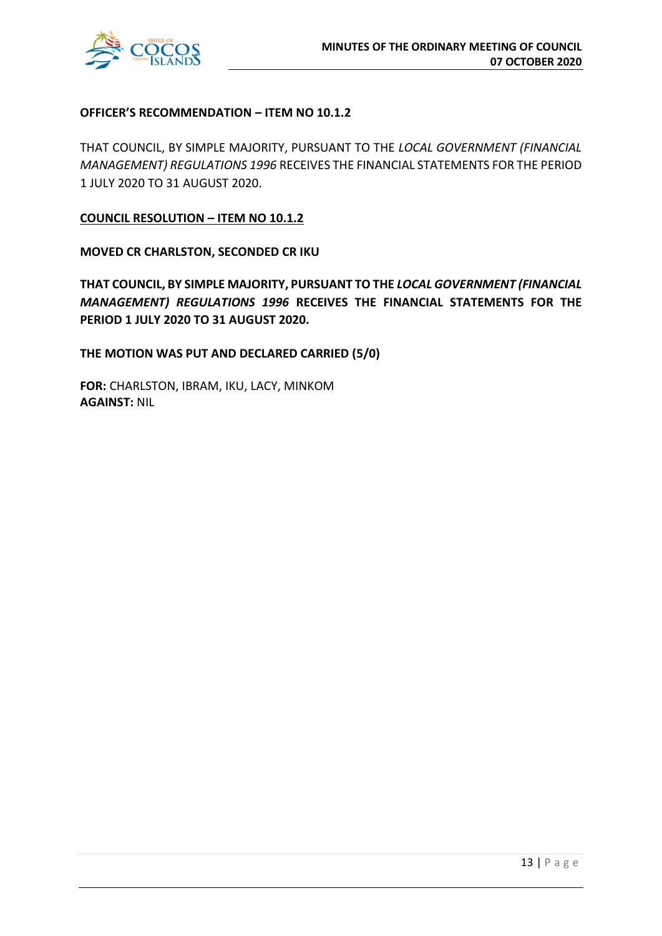

#### **OFFICER'S RECOMMENDATION – ITEM NO 10.1.2**

THAT COUNCIL, BY SIMPLE MAJORITY, PURSUANT TO THE *LOCAL GOVERNMENT (FINANCIAL MANAGEMENT) REGULATIONS 1996* RECEIVES THE FINANCIAL STATEMENTS FOR THE PERIOD 1 JULY 2020 TO 31 AUGUST 2020.

**COUNCIL RESOLUTION – ITEM NO 10.1.2**

**MOVED CR CHARLSTON, SECONDED CR IKU**

**THAT COUNCIL, BY SIMPLE MAJORITY, PURSUANT TO THE** *LOCAL GOVERNMENT (FINANCIAL MANAGEMENT) REGULATIONS 1996* **RECEIVES THE FINANCIAL STATEMENTS FOR THE PERIOD 1 JULY 2020 TO 31 AUGUST 2020.** 

**THE MOTION WAS PUT AND DECLARED CARRIED (5/0)**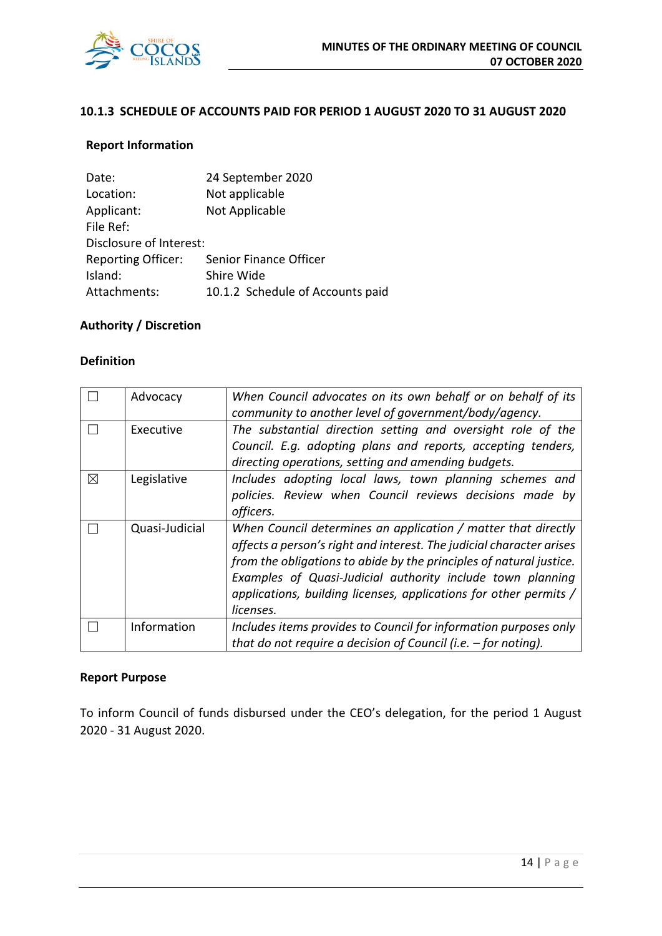

#### **10.1.3 SCHEDULE OF ACCOUNTS PAID FOR PERIOD 1 AUGUST 2020 TO 31 AUGUST 2020**

#### **Report Information**

| Date:                     | 24 September 2020                |
|---------------------------|----------------------------------|
| Location:                 | Not applicable                   |
| Applicant:                | Not Applicable                   |
| File Ref:                 |                                  |
| Disclosure of Interest:   |                                  |
| <b>Reporting Officer:</b> | Senior Finance Officer           |
| Island:                   | Shire Wide                       |
| Attachments:              | 10.1.2 Schedule of Accounts paid |

## **Authority / Discretion**

#### **Definition**

|   | Advocacy       | When Council advocates on its own behalf or on behalf of its<br>community to another level of government/body/agency.                                                                                                                                                                                                                                        |
|---|----------------|--------------------------------------------------------------------------------------------------------------------------------------------------------------------------------------------------------------------------------------------------------------------------------------------------------------------------------------------------------------|
|   | Executive      | The substantial direction setting and oversight role of the<br>Council. E.g. adopting plans and reports, accepting tenders,<br>directing operations, setting and amending budgets.                                                                                                                                                                           |
| ⊠ | Legislative    | Includes adopting local laws, town planning schemes and<br>policies. Review when Council reviews decisions made by<br>officers.                                                                                                                                                                                                                              |
|   | Quasi-Judicial | When Council determines an application / matter that directly<br>affects a person's right and interest. The judicial character arises<br>from the obligations to abide by the principles of natural justice.<br>Examples of Quasi-Judicial authority include town planning<br>applications, building licenses, applications for other permits /<br>licenses. |
|   | Information    | Includes items provides to Council for information purposes only<br>that do not require a decision of Council (i.e. $-$ for noting).                                                                                                                                                                                                                         |

#### **Report Purpose**

To inform Council of funds disbursed under the CEO's delegation, for the period 1 August 2020 - 31 August 2020.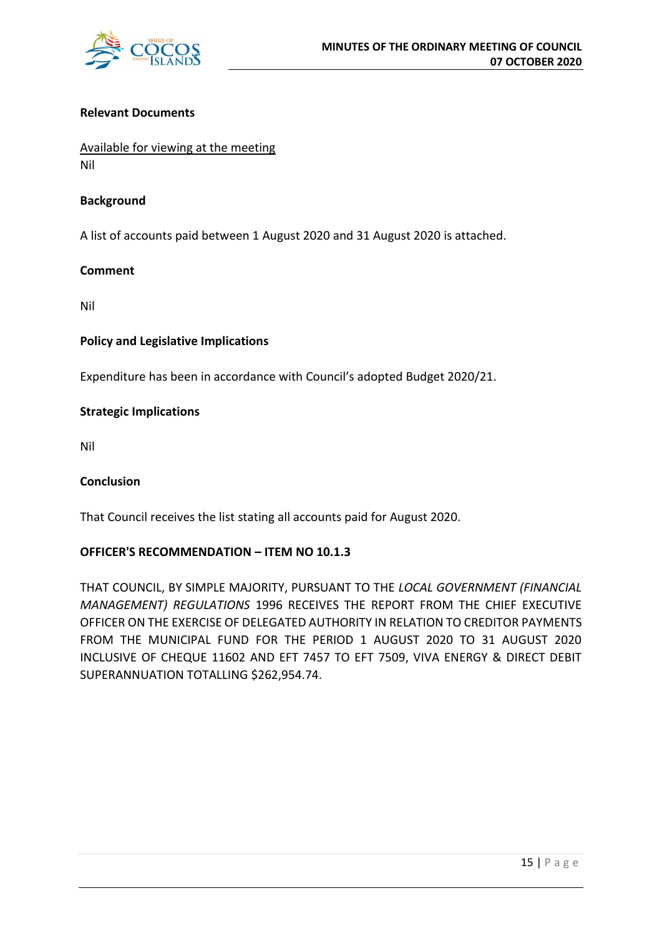

#### **Relevant Documents**

Available for viewing at the meeting Nil

#### **Background**

A list of accounts paid between 1 August 2020 and 31 August 2020 is attached.

#### **Comment**

Nil

#### **Policy and Legislative Implications**

Expenditure has been in accordance with Council's adopted Budget 2020/21.

#### **Strategic Implications**

Nil

#### **Conclusion**

That Council receives the list stating all accounts paid for August 2020.

#### **OFFICER'S RECOMMENDATION – ITEM NO 10.1.3**

THAT COUNCIL, BY SIMPLE MAJORITY, PURSUANT TO THE *LOCAL GOVERNMENT (FINANCIAL MANAGEMENT) REGULATIONS* 1996 RECEIVES THE REPORT FROM THE CHIEF EXECUTIVE OFFICER ON THE EXERCISE OF DELEGATED AUTHORITY IN RELATION TO CREDITOR PAYMENTS FROM THE MUNICIPAL FUND FOR THE PERIOD 1 AUGUST 2020 TO 31 AUGUST 2020 INCLUSIVE OF CHEQUE 11602 AND EFT 7457 TO EFT 7509, VIVA ENERGY & DIRECT DEBIT SUPERANNUATION TOTALLING \$262,954.74.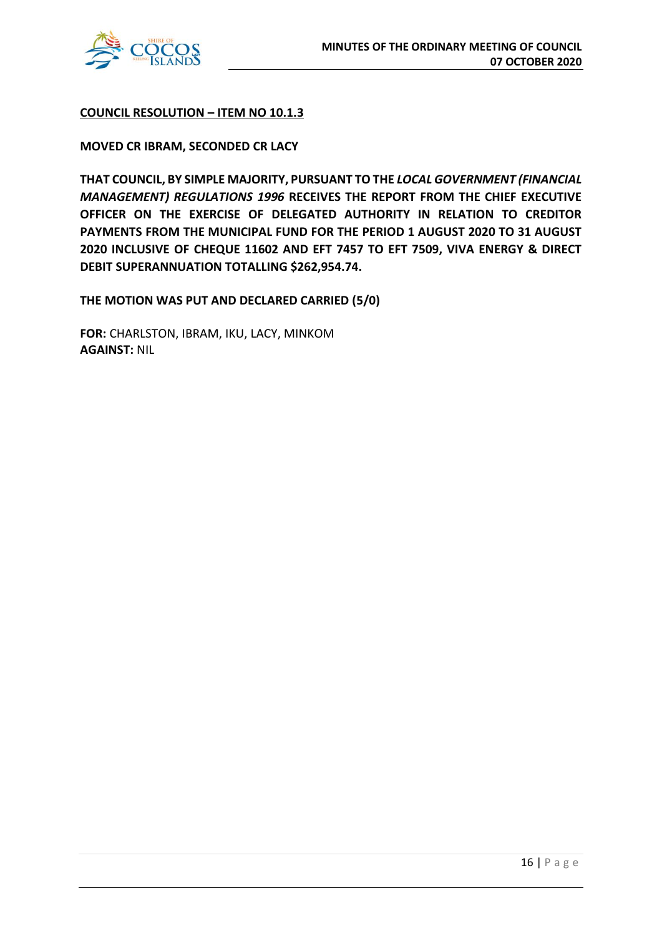

#### **COUNCIL RESOLUTION – ITEM NO 10.1.3**

#### **MOVED CR IBRAM, SECONDED CR LACY**

**THAT COUNCIL, BY SIMPLE MAJORITY, PURSUANT TO THE** *LOCAL GOVERNMENT (FINANCIAL MANAGEMENT) REGULATIONS 1996* **RECEIVES THE REPORT FROM THE CHIEF EXECUTIVE OFFICER ON THE EXERCISE OF DELEGATED AUTHORITY IN RELATION TO CREDITOR PAYMENTS FROM THE MUNICIPAL FUND FOR THE PERIOD 1 AUGUST 2020 TO 31 AUGUST 2020 INCLUSIVE OF CHEQUE 11602 AND EFT 7457 TO EFT 7509, VIVA ENERGY & DIRECT DEBIT SUPERANNUATION TOTALLING \$262,954.74.**

**THE MOTION WAS PUT AND DECLARED CARRIED (5/0)**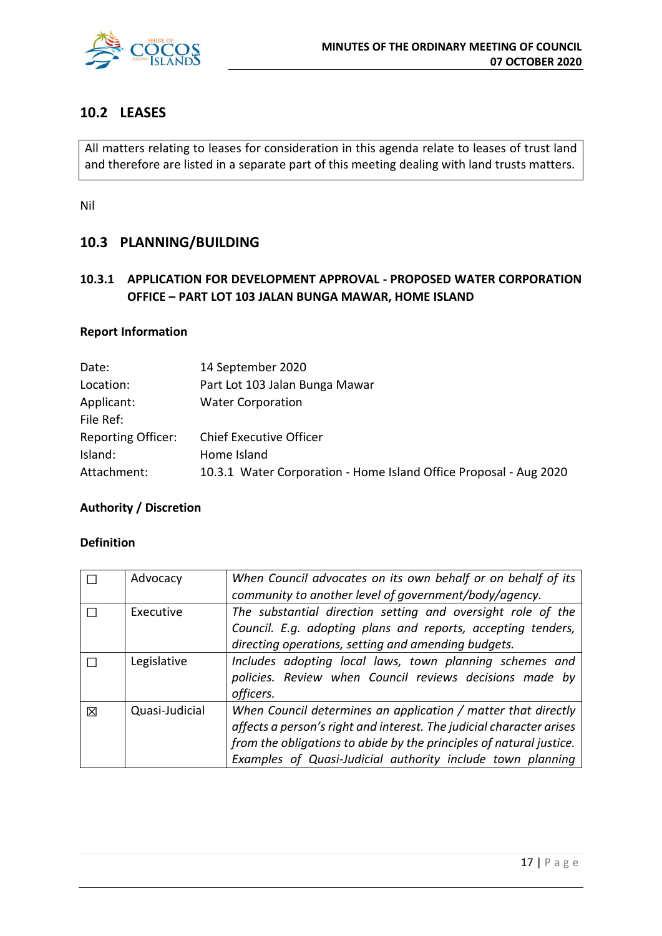

## **10.2 LEASES**

All matters relating to leases for consideration in this agenda relate to leases of trust land and therefore are listed in a separate part of this meeting dealing with land trusts matters.

Nil

## **10.3 PLANNING/BUILDING**

## **10.3.1 APPLICATION FOR DEVELOPMENT APPROVAL - PROPOSED WATER CORPORATION OFFICE – PART LOT 103 JALAN BUNGA MAWAR, HOME ISLAND**

#### **Report Information**

| Date:                     | 14 September 2020                                                 |
|---------------------------|-------------------------------------------------------------------|
| Location:                 | Part Lot 103 Jalan Bunga Mawar                                    |
| Applicant:                | <b>Water Corporation</b>                                          |
| File Ref:                 |                                                                   |
| <b>Reporting Officer:</b> | <b>Chief Executive Officer</b>                                    |
| Island:                   | Home Island                                                       |
| Attachment:               | 10.3.1 Water Corporation - Home Island Office Proposal - Aug 2020 |

#### **Authority / Discretion**

#### **Definition**

|   | Advocacy       | When Council advocates on its own behalf or on behalf of its         |
|---|----------------|----------------------------------------------------------------------|
|   |                | community to another level of government/body/agency.                |
|   | Executive      | The substantial direction setting and oversight role of the          |
|   |                | Council. E.g. adopting plans and reports, accepting tenders,         |
|   |                | directing operations, setting and amending budgets.                  |
|   | Legislative    | Includes adopting local laws, town planning schemes and              |
|   |                | policies. Review when Council reviews decisions made by              |
|   |                | officers.                                                            |
| 冈 | Quasi-Judicial | When Council determines an application / matter that directly        |
|   |                | affects a person's right and interest. The judicial character arises |
|   |                | from the obligations to abide by the principles of natural justice.  |
|   |                | Examples of Quasi-Judicial authority include town planning           |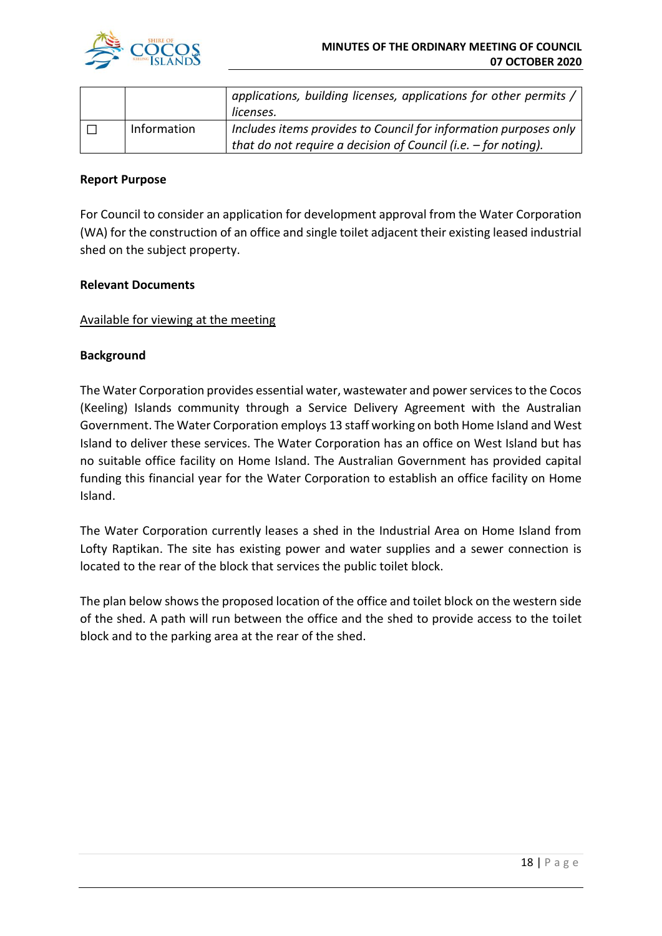

|             | applications, building licenses, applications for other permits /<br>licenses.                                                       |
|-------------|--------------------------------------------------------------------------------------------------------------------------------------|
| Information | Includes items provides to Council for information purposes only<br>that do not require a decision of Council (i.e. $-$ for noting). |

#### **Report Purpose**

For Council to consider an application for development approval from the Water Corporation (WA) for the construction of an office and single toilet adjacent their existing leased industrial shed on the subject property.

#### **Relevant Documents**

#### Available for viewing at the meeting

#### **Background**

The Water Corporation provides essential water, wastewater and power services to the Cocos (Keeling) Islands community through a Service Delivery Agreement with the Australian Government. The Water Corporation employs 13 staff working on both Home Island and West Island to deliver these services. The Water Corporation has an office on West Island but has no suitable office facility on Home Island. The Australian Government has provided capital funding this financial year for the Water Corporation to establish an office facility on Home Island.

The Water Corporation currently leases a shed in the Industrial Area on Home Island from Lofty Raptikan. The site has existing power and water supplies and a sewer connection is located to the rear of the block that services the public toilet block.

The plan below shows the proposed location of the office and toilet block on the western side of the shed. A path will run between the office and the shed to provide access to the toilet block and to the parking area at the rear of the shed.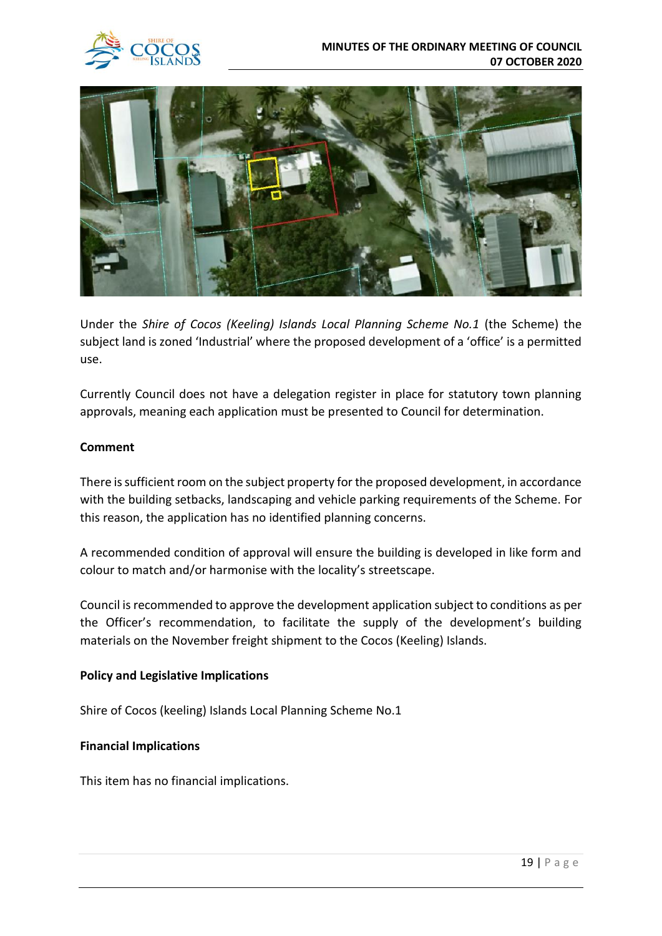

Under the *Shire of Cocos (Keeling) Islands Local Planning Scheme No.1* (the Scheme) the subject land is zoned 'Industrial' where the proposed development of a 'office' is a permitted use.

Currently Council does not have a delegation register in place for statutory town planning approvals, meaning each application must be presented to Council for determination.

#### **Comment**

There is sufficient room on the subject property for the proposed development, in accordance with the building setbacks, landscaping and vehicle parking requirements of the Scheme. For this reason, the application has no identified planning concerns.

A recommended condition of approval will ensure the building is developed in like form and colour to match and/or harmonise with the locality's streetscape.

Council is recommended to approve the development application subject to conditions as per the Officer's recommendation, to facilitate the supply of the development's building materials on the November freight shipment to the Cocos (Keeling) Islands.

#### **Policy and Legislative Implications**

Shire of Cocos (keeling) Islands Local Planning Scheme No.1

#### **Financial Implications**

This item has no financial implications.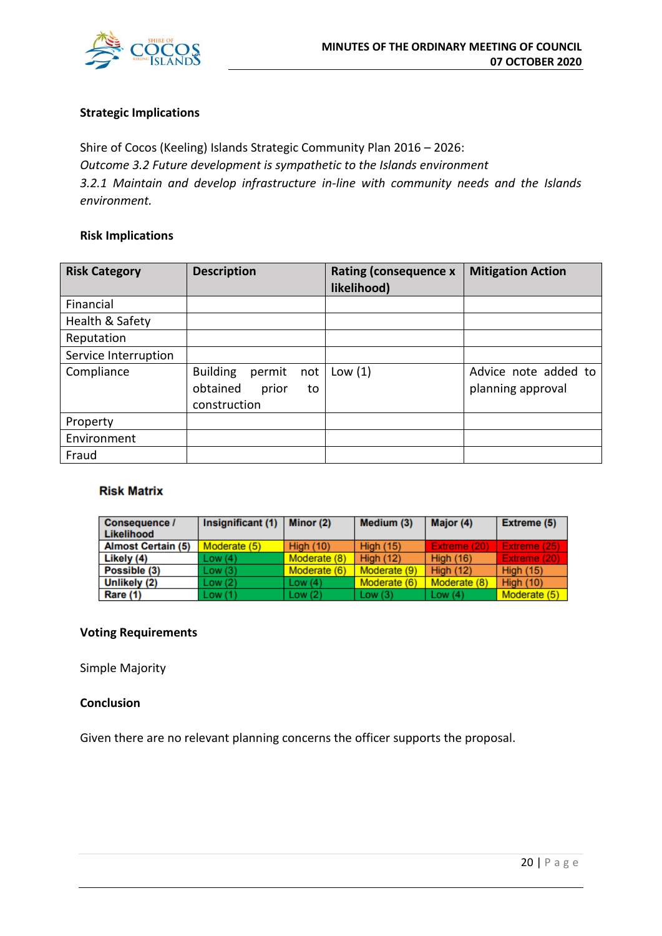

#### **Strategic Implications**

Shire of Cocos (Keeling) Islands Strategic Community Plan 2016 – 2026: *Outcome 3.2 Future development is sympathetic to the Islands environment 3.2.1 Maintain and develop infrastructure in-line with community needs and the Islands environment.*

#### **Risk Implications**

| <b>Risk Category</b> | <b>Description</b>                                                          | <b>Rating (consequence x</b><br>likelihood) | <b>Mitigation Action</b>                  |
|----------------------|-----------------------------------------------------------------------------|---------------------------------------------|-------------------------------------------|
| Financial            |                                                                             |                                             |                                           |
| Health & Safety      |                                                                             |                                             |                                           |
| Reputation           |                                                                             |                                             |                                           |
| Service Interruption |                                                                             |                                             |                                           |
| Compliance           | <b>Building</b><br>permit<br>not<br>obtained<br>prior<br>to<br>construction | Low(1)                                      | Advice note added to<br>planning approval |
| Property             |                                                                             |                                             |                                           |
| Environment          |                                                                             |                                             |                                           |
| Fraud                |                                                                             |                                             |                                           |

#### **Risk Matrix**

| Consequence /<br>Likelihood | Insignificant (1) | Minor (2)        | Medium (3)       | Major (4)        | Extreme (5)      |
|-----------------------------|-------------------|------------------|------------------|------------------|------------------|
| <b>Almost Certain (5)</b>   | Moderate (5)      | <b>High (10)</b> | <b>High (15)</b> | Extreme (20)     | Extreme (25)     |
| Likely (4)                  | Low(4)            | Moderate (8)     | <b>High (12)</b> | <b>High (16)</b> | Extreme (20)     |
| Possible (3)                | Low(3)            | Moderate (6)     | Moderate (9)     | <b>High (12)</b> | <b>High (15)</b> |
| Unlikely (2)                | Low(2)            | Low $(4)$        | Moderate (6)     | Moderate (8)     | <b>High (10)</b> |
| Rare (1)                    | Low(1)            | Low(2)           | Low $(3)$        | Low $(4)$        | Moderate (5)     |

#### **Voting Requirements**

Simple Majority

#### **Conclusion**

Given there are no relevant planning concerns the officer supports the proposal.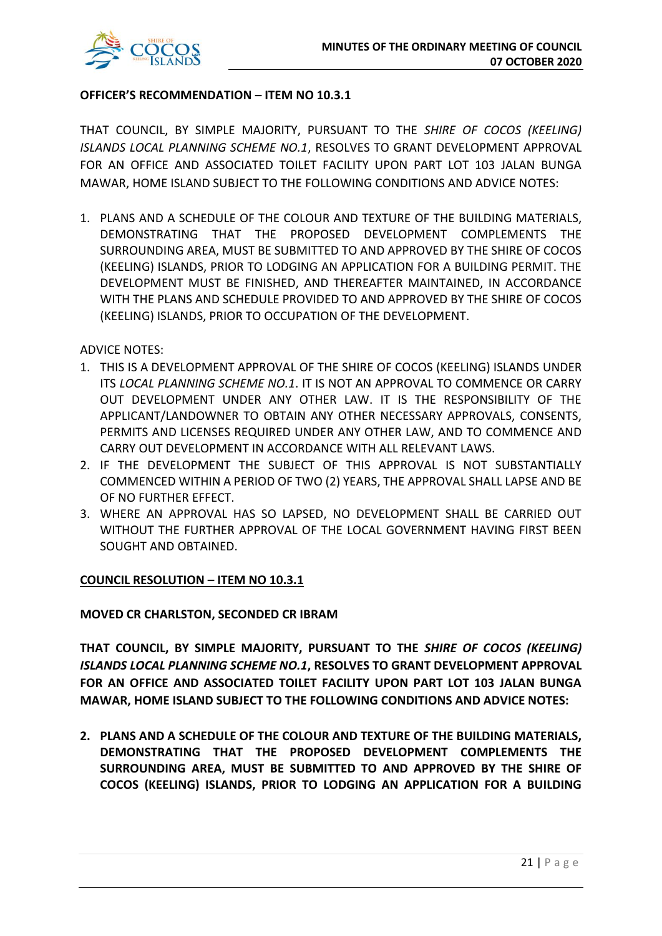

#### **OFFICER'S RECOMMENDATION – ITEM NO 10.3.1**

THAT COUNCIL, BY SIMPLE MAJORITY, PURSUANT TO THE *SHIRE OF COCOS (KEELING) ISLANDS LOCAL PLANNING SCHEME NO.1*, RESOLVES TO GRANT DEVELOPMENT APPROVAL FOR AN OFFICE AND ASSOCIATED TOILET FACILITY UPON PART LOT 103 JALAN BUNGA MAWAR, HOME ISLAND SUBJECT TO THE FOLLOWING CONDITIONS AND ADVICE NOTES:

1. PLANS AND A SCHEDULE OF THE COLOUR AND TEXTURE OF THE BUILDING MATERIALS, DEMONSTRATING THAT THE PROPOSED DEVELOPMENT COMPLEMENTS THE SURROUNDING AREA, MUST BE SUBMITTED TO AND APPROVED BY THE SHIRE OF COCOS (KEELING) ISLANDS, PRIOR TO LODGING AN APPLICATION FOR A BUILDING PERMIT. THE DEVELOPMENT MUST BE FINISHED, AND THEREAFTER MAINTAINED, IN ACCORDANCE WITH THE PLANS AND SCHEDULE PROVIDED TO AND APPROVED BY THE SHIRE OF COCOS (KEELING) ISLANDS, PRIOR TO OCCUPATION OF THE DEVELOPMENT.

ADVICE NOTES:

- 1. THIS IS A DEVELOPMENT APPROVAL OF THE SHIRE OF COCOS (KEELING) ISLANDS UNDER ITS *LOCAL PLANNING SCHEME NO.1*. IT IS NOT AN APPROVAL TO COMMENCE OR CARRY OUT DEVELOPMENT UNDER ANY OTHER LAW. IT IS THE RESPONSIBILITY OF THE APPLICANT/LANDOWNER TO OBTAIN ANY OTHER NECESSARY APPROVALS, CONSENTS, PERMITS AND LICENSES REQUIRED UNDER ANY OTHER LAW, AND TO COMMENCE AND CARRY OUT DEVELOPMENT IN ACCORDANCE WITH ALL RELEVANT LAWS.
- 2. IF THE DEVELOPMENT THE SUBJECT OF THIS APPROVAL IS NOT SUBSTANTIALLY COMMENCED WITHIN A PERIOD OF TWO (2) YEARS, THE APPROVAL SHALL LAPSE AND BE OF NO FURTHER EFFECT.
- 3. WHERE AN APPROVAL HAS SO LAPSED, NO DEVELOPMENT SHALL BE CARRIED OUT WITHOUT THE FURTHER APPROVAL OF THE LOCAL GOVERNMENT HAVING FIRST BEEN SOUGHT AND OBTAINED.

#### **COUNCIL RESOLUTION – ITEM NO 10.3.1**

#### **MOVED CR CHARLSTON, SECONDED CR IBRAM**

**THAT COUNCIL, BY SIMPLE MAJORITY, PURSUANT TO THE** *SHIRE OF COCOS (KEELING) ISLANDS LOCAL PLANNING SCHEME NO.1***, RESOLVES TO GRANT DEVELOPMENT APPROVAL FOR AN OFFICE AND ASSOCIATED TOILET FACILITY UPON PART LOT 103 JALAN BUNGA MAWAR, HOME ISLAND SUBJECT TO THE FOLLOWING CONDITIONS AND ADVICE NOTES:** 

**2. PLANS AND A SCHEDULE OF THE COLOUR AND TEXTURE OF THE BUILDING MATERIALS, DEMONSTRATING THAT THE PROPOSED DEVELOPMENT COMPLEMENTS THE SURROUNDING AREA, MUST BE SUBMITTED TO AND APPROVED BY THE SHIRE OF COCOS (KEELING) ISLANDS, PRIOR TO LODGING AN APPLICATION FOR A BUILDING**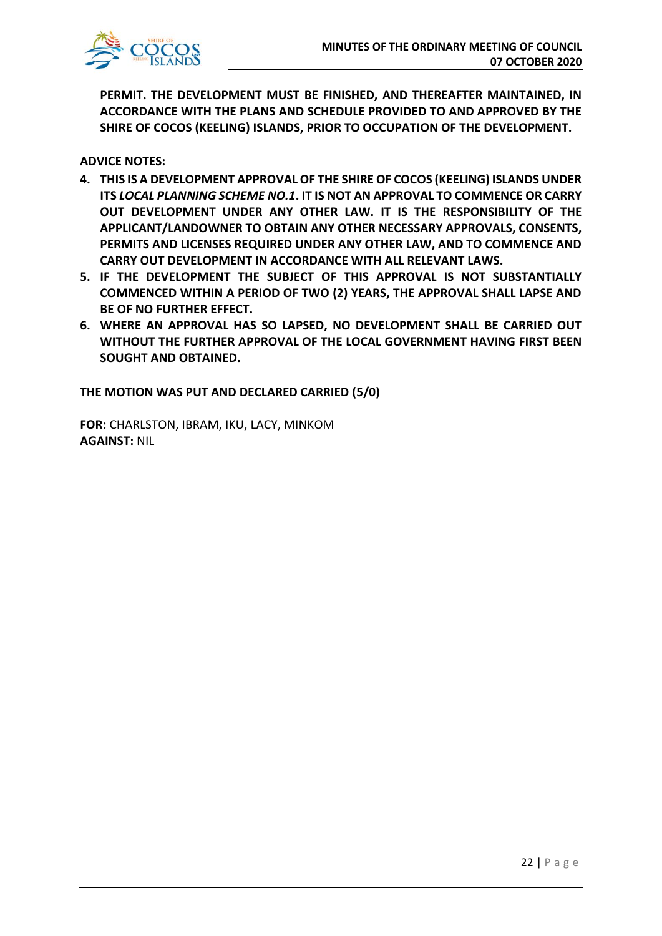

**PERMIT. THE DEVELOPMENT MUST BE FINISHED, AND THEREAFTER MAINTAINED, IN ACCORDANCE WITH THE PLANS AND SCHEDULE PROVIDED TO AND APPROVED BY THE SHIRE OF COCOS (KEELING) ISLANDS, PRIOR TO OCCUPATION OF THE DEVELOPMENT.**

**ADVICE NOTES:** 

- **4. THIS IS A DEVELOPMENT APPROVAL OF THE SHIRE OF COCOS (KEELING) ISLANDS UNDER ITS** *LOCAL PLANNING SCHEME NO.1***. IT IS NOT AN APPROVAL TO COMMENCE OR CARRY OUT DEVELOPMENT UNDER ANY OTHER LAW. IT IS THE RESPONSIBILITY OF THE APPLICANT/LANDOWNER TO OBTAIN ANY OTHER NECESSARY APPROVALS, CONSENTS, PERMITS AND LICENSES REQUIRED UNDER ANY OTHER LAW, AND TO COMMENCE AND CARRY OUT DEVELOPMENT IN ACCORDANCE WITH ALL RELEVANT LAWS.**
- **5. IF THE DEVELOPMENT THE SUBJECT OF THIS APPROVAL IS NOT SUBSTANTIALLY COMMENCED WITHIN A PERIOD OF TWO (2) YEARS, THE APPROVAL SHALL LAPSE AND BE OF NO FURTHER EFFECT.**
- **6. WHERE AN APPROVAL HAS SO LAPSED, NO DEVELOPMENT SHALL BE CARRIED OUT WITHOUT THE FURTHER APPROVAL OF THE LOCAL GOVERNMENT HAVING FIRST BEEN SOUGHT AND OBTAINED.**

**THE MOTION WAS PUT AND DECLARED CARRIED (5/0)**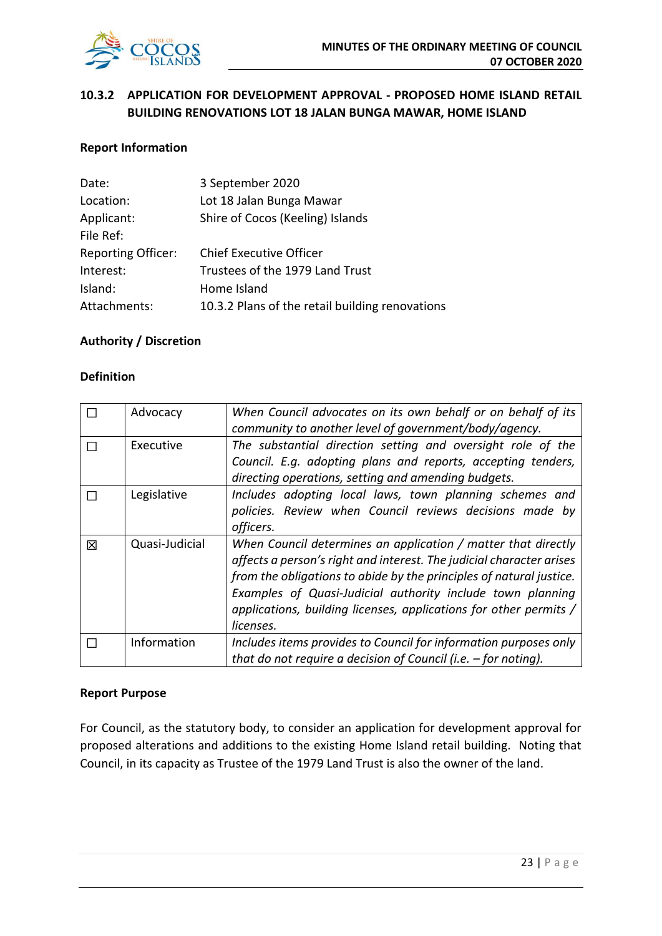

## **10.3.2 APPLICATION FOR DEVELOPMENT APPROVAL - PROPOSED HOME ISLAND RETAIL BUILDING RENOVATIONS LOT 18 JALAN BUNGA MAWAR, HOME ISLAND**

#### **Report Information**

| Date:                     | 3 September 2020                                |
|---------------------------|-------------------------------------------------|
| Location:                 | Lot 18 Jalan Bunga Mawar                        |
| Applicant:                | Shire of Cocos (Keeling) Islands                |
| File Ref:                 |                                                 |
| <b>Reporting Officer:</b> | <b>Chief Executive Officer</b>                  |
| Interest:                 | Trustees of the 1979 Land Trust                 |
| Island:                   | Home Island                                     |
| Attachments:              | 10.3.2 Plans of the retail building renovations |

#### **Authority / Discretion**

#### **Definition**

|   | Advocacy       | When Council advocates on its own behalf or on behalf of its         |
|---|----------------|----------------------------------------------------------------------|
|   |                | community to another level of government/body/agency.                |
|   | Executive      | The substantial direction setting and oversight role of the          |
|   |                | Council. E.g. adopting plans and reports, accepting tenders,         |
|   |                | directing operations, setting and amending budgets.                  |
|   | Legislative    | Includes adopting local laws, town planning schemes and              |
|   |                | policies. Review when Council reviews decisions made by              |
|   |                | officers.                                                            |
| 冈 | Quasi-Judicial | When Council determines an application / matter that directly        |
|   |                | affects a person's right and interest. The judicial character arises |
|   |                | from the obligations to abide by the principles of natural justice.  |
|   |                | Examples of Quasi-Judicial authority include town planning           |
|   |                | applications, building licenses, applications for other permits /    |
|   |                | licenses.                                                            |
|   | Information    | Includes items provides to Council for information purposes only     |
|   |                | that do not require a decision of Council (i.e. $-$ for noting).     |

#### **Report Purpose**

For Council, as the statutory body, to consider an application for development approval for proposed alterations and additions to the existing Home Island retail building. Noting that Council, in its capacity as Trustee of the 1979 Land Trust is also the owner of the land.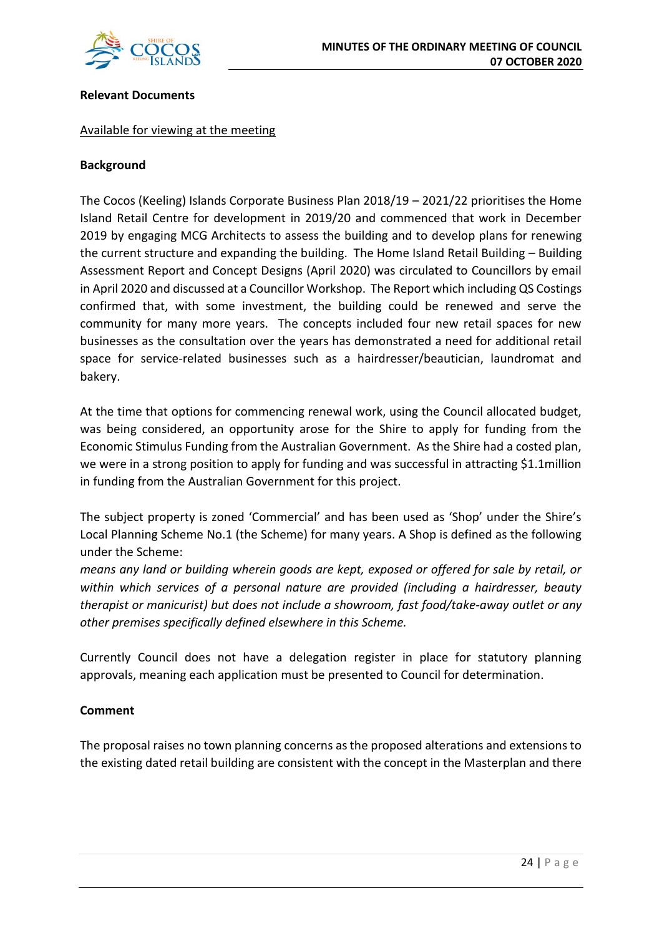

#### **Relevant Documents**

#### Available for viewing at the meeting

#### **Background**

The Cocos (Keeling) Islands Corporate Business Plan 2018/19 – 2021/22 prioritises the Home Island Retail Centre for development in 2019/20 and commenced that work in December 2019 by engaging MCG Architects to assess the building and to develop plans for renewing the current structure and expanding the building. The Home Island Retail Building – Building Assessment Report and Concept Designs (April 2020) was circulated to Councillors by email in April 2020 and discussed at a Councillor Workshop. The Report which including QS Costings confirmed that, with some investment, the building could be renewed and serve the community for many more years. The concepts included four new retail spaces for new businesses as the consultation over the years has demonstrated a need for additional retail space for service-related businesses such as a hairdresser/beautician, laundromat and bakery.

At the time that options for commencing renewal work, using the Council allocated budget, was being considered, an opportunity arose for the Shire to apply for funding from the Economic Stimulus Funding from the Australian Government. As the Shire had a costed plan, we were in a strong position to apply for funding and was successful in attracting \$1.1million in funding from the Australian Government for this project.

The subject property is zoned 'Commercial' and has been used as 'Shop' under the Shire's Local Planning Scheme No.1 (the Scheme) for many years. A Shop is defined as the following under the Scheme:

*means any land or building wherein goods are kept, exposed or offered for sale by retail, or within which services of a personal nature are provided (including a hairdresser, beauty therapist or manicurist) but does not include a showroom, fast food/take-away outlet or any other premises specifically defined elsewhere in this Scheme.* 

Currently Council does not have a delegation register in place for statutory planning approvals, meaning each application must be presented to Council for determination.

#### **Comment**

The proposal raises no town planning concerns as the proposed alterations and extensions to the existing dated retail building are consistent with the concept in the Masterplan and there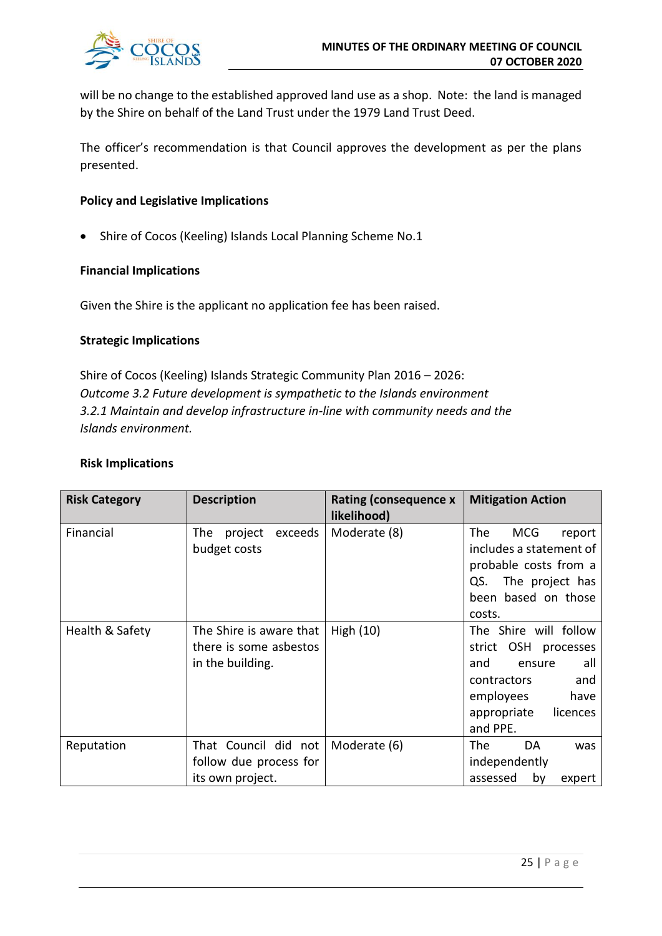

will be no change to the established approved land use as a shop. Note: the land is managed by the Shire on behalf of the Land Trust under the 1979 Land Trust Deed.

The officer's recommendation is that Council approves the development as per the plans presented.

#### **Policy and Legislative Implications**

• Shire of Cocos (Keeling) Islands Local Planning Scheme No.1

#### **Financial Implications**

Given the Shire is the applicant no application fee has been raised.

#### **Strategic Implications**

Shire of Cocos (Keeling) Islands Strategic Community Plan 2016 – 2026: *Outcome 3.2 Future development is sympathetic to the Islands environment 3.2.1 Maintain and develop infrastructure in-line with community needs and the Islands environment.* 

#### **Risk Implications**

| <b>Risk Category</b> | <b>Description</b>                                                    | Rating (consequence x<br>likelihood) | <b>Mitigation Action</b>                                                                                                                                   |
|----------------------|-----------------------------------------------------------------------|--------------------------------------|------------------------------------------------------------------------------------------------------------------------------------------------------------|
| Financial            | The l<br>project<br>exceeds<br>budget costs                           | Moderate (8)                         | <b>The</b><br><b>MCG</b><br>report<br>includes a statement of<br>probable costs from a<br>QS. The project has<br>been based on those<br>costs.             |
| Health & Safety      | The Shire is aware that<br>there is some asbestos<br>in the building. | High $(10)$                          | The Shire will follow<br>strict OSH<br>processes<br>and<br>all<br>ensure<br>contractors<br>and<br>employees<br>have<br>appropriate<br>licences<br>and PPE. |
| Reputation           | That Council did not<br>follow due process for                        | Moderate (6)                         | <b>The</b><br>DA<br>was<br>independently                                                                                                                   |
|                      | its own project.                                                      |                                      | assessed<br>by<br>expert                                                                                                                                   |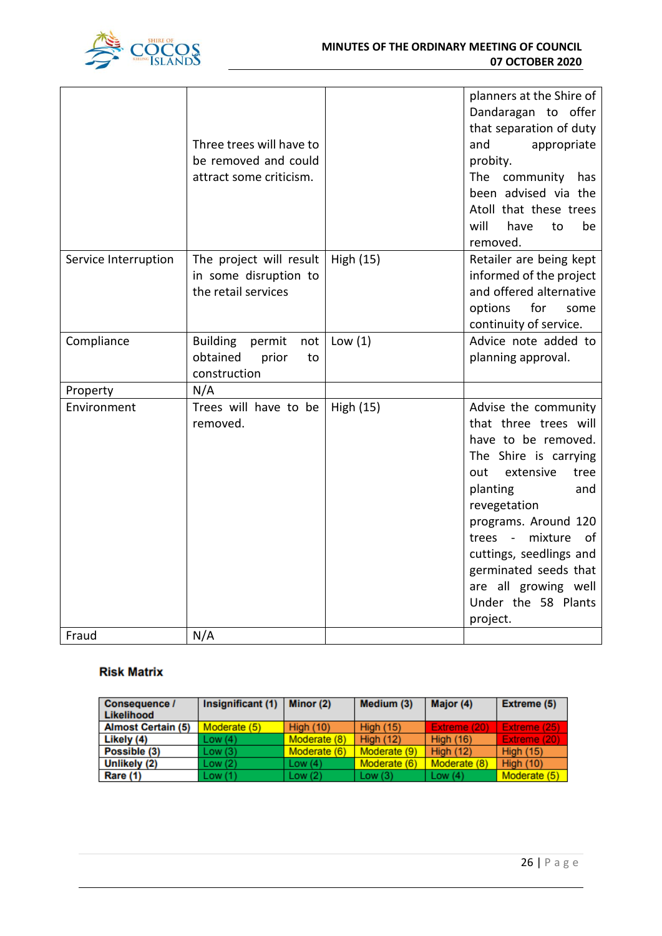

|                      | Three trees will have to<br>be removed and could<br>attract some criticism. |           | planners at the Shire of<br>Dandaragan to offer<br>that separation of duty<br>and<br>appropriate<br>probity.<br>The community has<br>been advised via the<br>Atoll that these trees<br>will<br>have<br>be<br>to<br>removed.                                                                                                     |
|----------------------|-----------------------------------------------------------------------------|-----------|---------------------------------------------------------------------------------------------------------------------------------------------------------------------------------------------------------------------------------------------------------------------------------------------------------------------------------|
| Service Interruption | The project will result<br>in some disruption to<br>the retail services     | High (15) | Retailer are being kept<br>informed of the project<br>and offered alternative<br>options<br>for<br>some<br>continuity of service.                                                                                                                                                                                               |
| Compliance           | <b>Building</b><br>permit<br>not<br>obtained<br>prior<br>to<br>construction | Low $(1)$ | Advice note added to<br>planning approval.                                                                                                                                                                                                                                                                                      |
| Property             | N/A                                                                         |           |                                                                                                                                                                                                                                                                                                                                 |
| Environment          | Trees will have to be<br>removed.                                           | High (15) | Advise the community<br>that three trees will<br>have to be removed.<br>The Shire is carrying<br>extensive<br>out<br>tree<br>planting<br>and<br>revegetation<br>programs. Around 120<br>mixture<br>of<br>trees -<br>cuttings, seedlings and<br>germinated seeds that<br>are all growing well<br>Under the 58 Plants<br>project. |
| Fraud                | N/A                                                                         |           |                                                                                                                                                                                                                                                                                                                                 |

#### **Risk Matrix**

| <b>Consequence /</b><br>Likelihood | Insignificant $(1)$ | Minor (2)        | Medium (3)       | Major (4)        | <b>Extreme (5)</b> |
|------------------------------------|---------------------|------------------|------------------|------------------|--------------------|
|                                    |                     |                  |                  |                  |                    |
| <b>Almost Certain (5)</b>          | Moderate (5)        | <b>High (10)</b> | <b>High (15)</b> | Extreme (20)     | Extreme (25)       |
| Likely (4)                         | Low(4)              | Moderate (8)     | <b>High (12)</b> | <b>High (16)</b> | Extreme (20)       |
| Possible (3)                       | Low(3)              | Moderate (6)     | Moderate (9)     | <b>High (12)</b> | <b>High (15)</b>   |
| Unlikely (2)                       | Low(2)              | Low $(4)$        | Moderate (6)     | Moderate (8)     | <b>High (10)</b>   |
| Rare (1)                           | Low(1)              | Low $(2)$        | Low $(3)$        | Low $(4)$        | Moderate (5)       |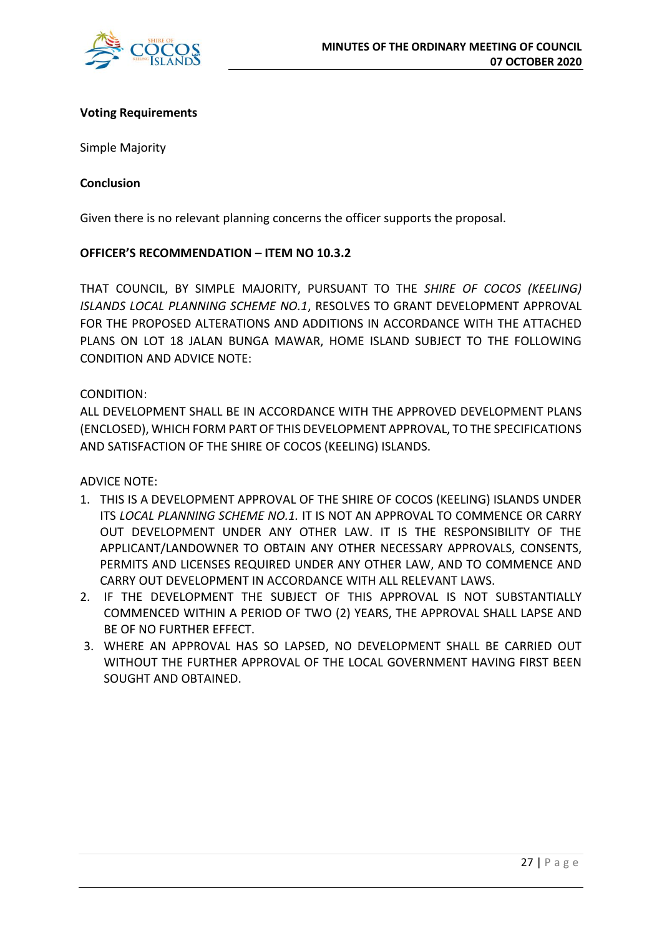

#### **Voting Requirements**

Simple Majority

#### **Conclusion**

Given there is no relevant planning concerns the officer supports the proposal.

#### **OFFICER'S RECOMMENDATION – ITEM NO 10.3.2**

THAT COUNCIL, BY SIMPLE MAJORITY, PURSUANT TO THE *SHIRE OF COCOS (KEELING) ISLANDS LOCAL PLANNING SCHEME NO.1*, RESOLVES TO GRANT DEVELOPMENT APPROVAL FOR THE PROPOSED ALTERATIONS AND ADDITIONS IN ACCORDANCE WITH THE ATTACHED PLANS ON LOT 18 JALAN BUNGA MAWAR, HOME ISLAND SUBJECT TO THE FOLLOWING CONDITION AND ADVICE NOTE:

#### CONDITION:

ALL DEVELOPMENT SHALL BE IN ACCORDANCE WITH THE APPROVED DEVELOPMENT PLANS (ENCLOSED), WHICH FORM PART OF THIS DEVELOPMENT APPROVAL, TO THE SPECIFICATIONS AND SATISFACTION OF THE SHIRE OF COCOS (KEELING) ISLANDS.

ADVICE NOTE:

- 1. THIS IS A DEVELOPMENT APPROVAL OF THE SHIRE OF COCOS (KEELING) ISLANDS UNDER ITS *LOCAL PLANNING SCHEME NO.1.* IT IS NOT AN APPROVAL TO COMMENCE OR CARRY OUT DEVELOPMENT UNDER ANY OTHER LAW. IT IS THE RESPONSIBILITY OF THE APPLICANT/LANDOWNER TO OBTAIN ANY OTHER NECESSARY APPROVALS, CONSENTS, PERMITS AND LICENSES REQUIRED UNDER ANY OTHER LAW, AND TO COMMENCE AND CARRY OUT DEVELOPMENT IN ACCORDANCE WITH ALL RELEVANT LAWS.
- 2. IF THE DEVELOPMENT THE SUBJECT OF THIS APPROVAL IS NOT SUBSTANTIALLY COMMENCED WITHIN A PERIOD OF TWO (2) YEARS, THE APPROVAL SHALL LAPSE AND BE OF NO FURTHER EFFECT.
- 3. WHERE AN APPROVAL HAS SO LAPSED, NO DEVELOPMENT SHALL BE CARRIED OUT WITHOUT THE FURTHER APPROVAL OF THE LOCAL GOVERNMENT HAVING FIRST BEEN SOUGHT AND OBTAINED.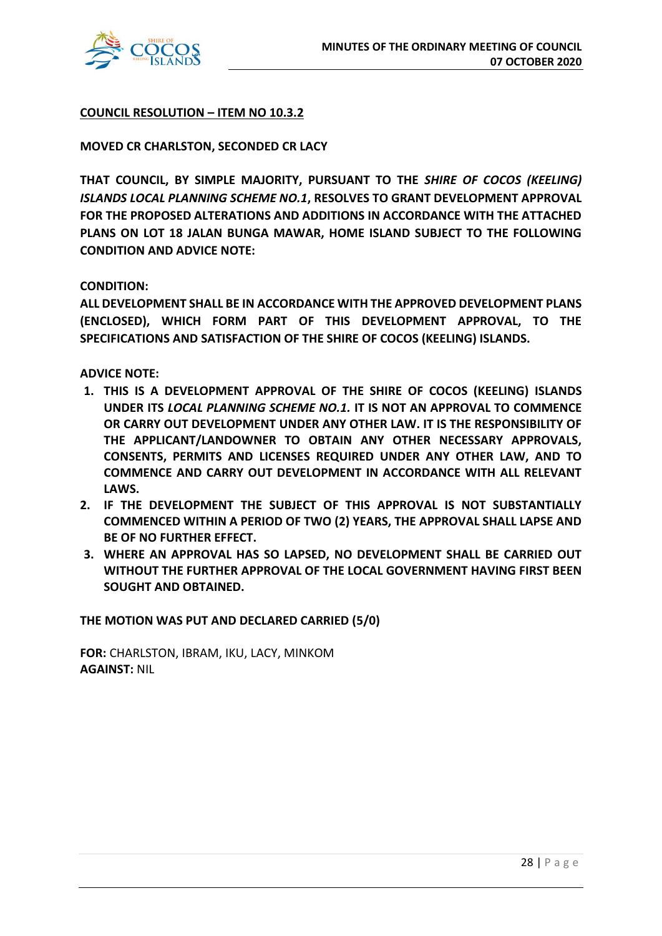

#### **COUNCIL RESOLUTION – ITEM NO 10.3.2**

#### **MOVED CR CHARLSTON, SECONDED CR LACY**

**THAT COUNCIL, BY SIMPLE MAJORITY, PURSUANT TO THE** *SHIRE OF COCOS (KEELING) ISLANDS LOCAL PLANNING SCHEME NO.1***, RESOLVES TO GRANT DEVELOPMENT APPROVAL FOR THE PROPOSED ALTERATIONS AND ADDITIONS IN ACCORDANCE WITH THE ATTACHED PLANS ON LOT 18 JALAN BUNGA MAWAR, HOME ISLAND SUBJECT TO THE FOLLOWING CONDITION AND ADVICE NOTE:** 

#### **CONDITION:**

**ALL DEVELOPMENT SHALL BE IN ACCORDANCE WITH THE APPROVED DEVELOPMENT PLANS (ENCLOSED), WHICH FORM PART OF THIS DEVELOPMENT APPROVAL, TO THE SPECIFICATIONS AND SATISFACTION OF THE SHIRE OF COCOS (KEELING) ISLANDS.**

**ADVICE NOTE:** 

- **1. THIS IS A DEVELOPMENT APPROVAL OF THE SHIRE OF COCOS (KEELING) ISLANDS UNDER ITS** *LOCAL PLANNING SCHEME NO.1.* **IT IS NOT AN APPROVAL TO COMMENCE OR CARRY OUT DEVELOPMENT UNDER ANY OTHER LAW. IT IS THE RESPONSIBILITY OF THE APPLICANT/LANDOWNER TO OBTAIN ANY OTHER NECESSARY APPROVALS, CONSENTS, PERMITS AND LICENSES REQUIRED UNDER ANY OTHER LAW, AND TO COMMENCE AND CARRY OUT DEVELOPMENT IN ACCORDANCE WITH ALL RELEVANT LAWS.**
- **2. IF THE DEVELOPMENT THE SUBJECT OF THIS APPROVAL IS NOT SUBSTANTIALLY COMMENCED WITHIN A PERIOD OF TWO (2) YEARS, THE APPROVAL SHALL LAPSE AND BE OF NO FURTHER EFFECT.**
- **3. WHERE AN APPROVAL HAS SO LAPSED, NO DEVELOPMENT SHALL BE CARRIED OUT WITHOUT THE FURTHER APPROVAL OF THE LOCAL GOVERNMENT HAVING FIRST BEEN SOUGHT AND OBTAINED.**

**THE MOTION WAS PUT AND DECLARED CARRIED (5/0)**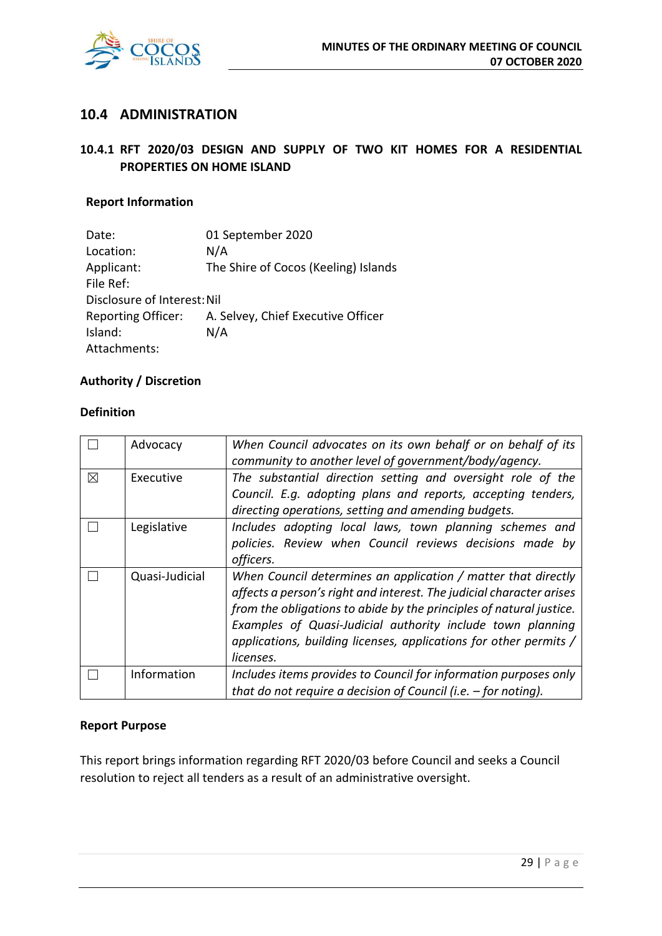

## **10.4 ADMINISTRATION**

## **10.4.1 RFT 2020/03 DESIGN AND SUPPLY OF TWO KIT HOMES FOR A RESIDENTIAL PROPERTIES ON HOME ISLAND**

#### **Report Information**

| The Shire of Cocos (Keeling) Islands |
|--------------------------------------|
|                                      |
|                                      |
| A. Selvey, Chief Executive Officer   |
|                                      |
|                                      |
|                                      |

#### **Authority / Discretion**

#### **Definition**

|             | Advocacy       | When Council advocates on its own behalf or on behalf of its<br>community to another level of government/body/agency.                                                                                                                                                                                                                                        |
|-------------|----------------|--------------------------------------------------------------------------------------------------------------------------------------------------------------------------------------------------------------------------------------------------------------------------------------------------------------------------------------------------------------|
| $\boxtimes$ | Executive      | The substantial direction setting and oversight role of the<br>Council. E.g. adopting plans and reports, accepting tenders,<br>directing operations, setting and amending budgets.                                                                                                                                                                           |
|             | Legislative    | Includes adopting local laws, town planning schemes and<br>policies. Review when Council reviews decisions made by<br>officers.                                                                                                                                                                                                                              |
|             | Quasi-Judicial | When Council determines an application / matter that directly<br>affects a person's right and interest. The judicial character arises<br>from the obligations to abide by the principles of natural justice.<br>Examples of Quasi-Judicial authority include town planning<br>applications, building licenses, applications for other permits /<br>licenses. |
|             | Information    | Includes items provides to Council for information purposes only<br>that do not require a decision of Council (i.e. $-$ for noting).                                                                                                                                                                                                                         |

#### **Report Purpose**

This report brings information regarding RFT 2020/03 before Council and seeks a Council resolution to reject all tenders as a result of an administrative oversight.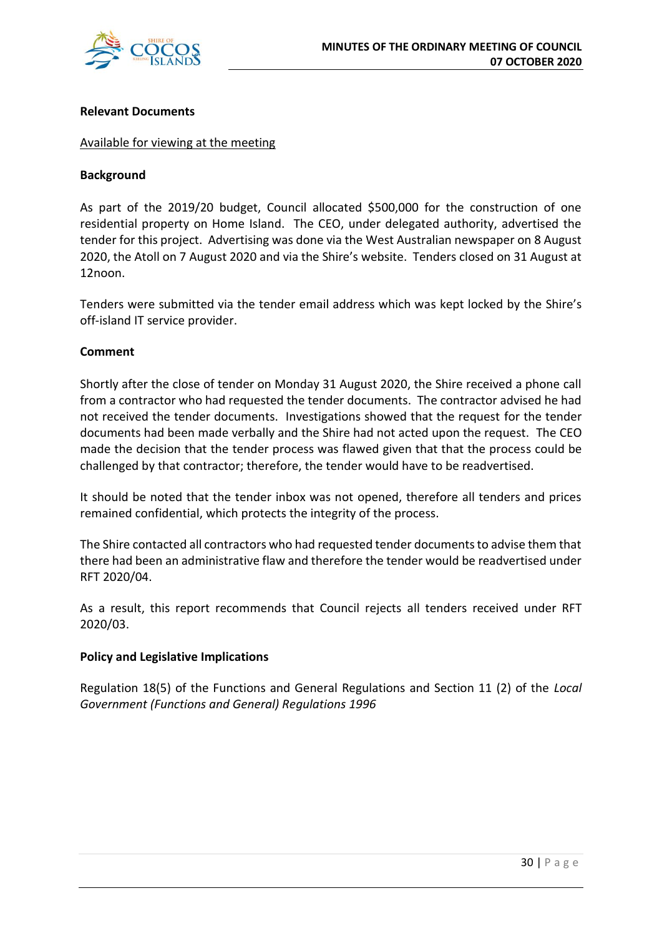

#### **Relevant Documents**

#### Available for viewing at the meeting

#### **Background**

As part of the 2019/20 budget, Council allocated \$500,000 for the construction of one residential property on Home Island. The CEO, under delegated authority, advertised the tender for this project. Advertising was done via the West Australian newspaper on 8 August 2020, the Atoll on 7 August 2020 and via the Shire's website. Tenders closed on 31 August at 12noon.

Tenders were submitted via the tender email address which was kept locked by the Shire's off-island IT service provider.

#### **Comment**

Shortly after the close of tender on Monday 31 August 2020, the Shire received a phone call from a contractor who had requested the tender documents. The contractor advised he had not received the tender documents. Investigations showed that the request for the tender documents had been made verbally and the Shire had not acted upon the request. The CEO made the decision that the tender process was flawed given that that the process could be challenged by that contractor; therefore, the tender would have to be readvertised.

It should be noted that the tender inbox was not opened, therefore all tenders and prices remained confidential, which protects the integrity of the process.

The Shire contacted all contractors who had requested tender documents to advise them that there had been an administrative flaw and therefore the tender would be readvertised under RFT 2020/04.

As a result, this report recommends that Council rejects all tenders received under RFT 2020/03.

#### **Policy and Legislative Implications**

Regulation 18(5) of the Functions and General Regulations and Section 11 (2) of the *Local Government (Functions and General) Regulations 1996*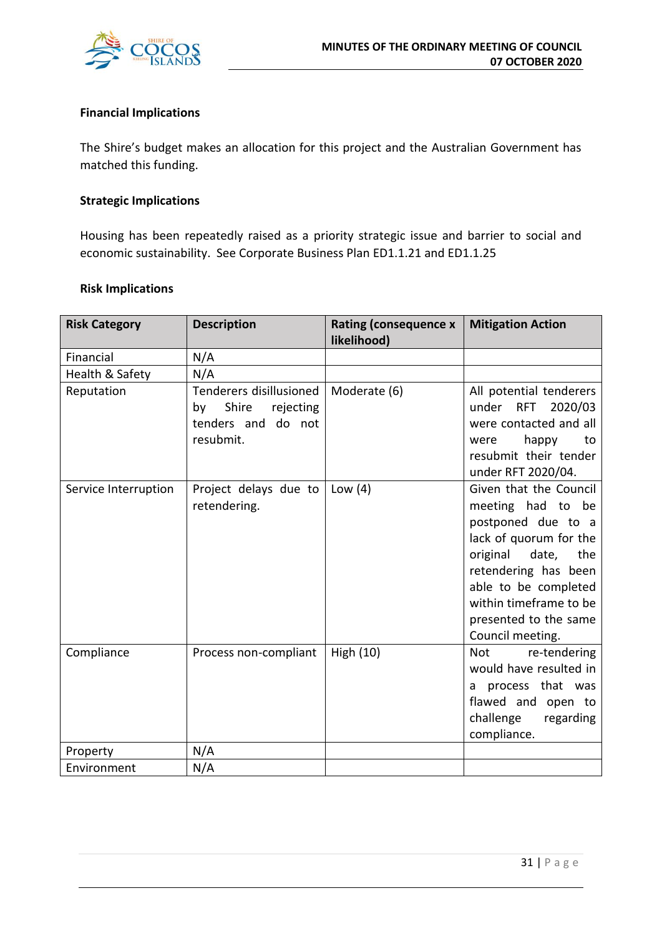

#### **Financial Implications**

The Shire's budget makes an allocation for this project and the Australian Government has matched this funding.

#### **Strategic Implications**

Housing has been repeatedly raised as a priority strategic issue and barrier to social and economic sustainability. See Corporate Business Plan ED1.1.21 and ED1.1.25

#### **Risk Implications**

| <b>Risk Category</b> | <b>Description</b>                                                                     | <b>Rating (consequence x</b><br>likelihood) | <b>Mitigation Action</b>                                                                                                                                                                                                                 |
|----------------------|----------------------------------------------------------------------------------------|---------------------------------------------|------------------------------------------------------------------------------------------------------------------------------------------------------------------------------------------------------------------------------------------|
| Financial            | N/A                                                                                    |                                             |                                                                                                                                                                                                                                          |
| Health & Safety      | N/A                                                                                    |                                             |                                                                                                                                                                                                                                          |
| Reputation           | Tenderers disillusioned<br>Shire<br>rejecting<br>by<br>tenders and do not<br>resubmit. | Moderate (6)                                | All potential tenderers<br>under RFT<br>2020/03<br>were contacted and all<br>happy<br>to<br>were<br>resubmit their tender<br>under RFT 2020/04.                                                                                          |
| Service Interruption | Project delays due to<br>retendering.                                                  | Low $(4)$                                   | Given that the Council<br>meeting had to be<br>postponed due to a<br>lack of quorum for the<br>original date, the<br>retendering has been<br>able to be completed<br>within timeframe to be<br>presented to the same<br>Council meeting. |
| Compliance           | Process non-compliant                                                                  | High (10)                                   | <b>Not</b><br>re-tendering<br>would have resulted in<br>process that was<br>a<br>flawed and open to<br>challenge<br>regarding<br>compliance.                                                                                             |
| Property             | N/A                                                                                    |                                             |                                                                                                                                                                                                                                          |
| Environment          | N/A                                                                                    |                                             |                                                                                                                                                                                                                                          |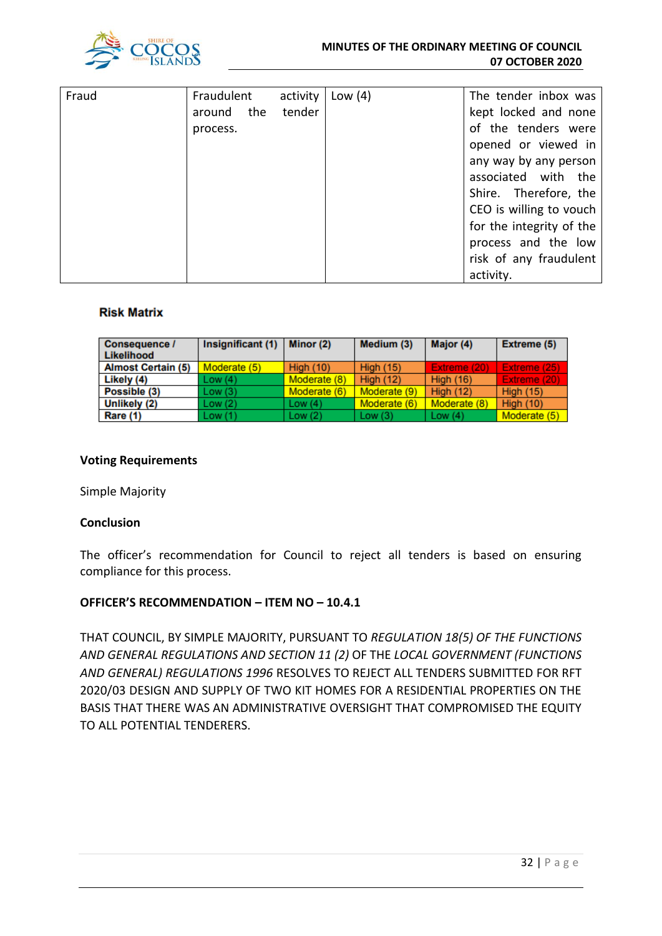

| Fraud | Fraudulent    | activity | Low $(4)$ | The tender inbox was     |
|-------|---------------|----------|-----------|--------------------------|
|       |               |          |           |                          |
|       | the<br>around | tender   |           | kept locked and none     |
|       | process.      |          |           | of the tenders were      |
|       |               |          |           | opened or viewed in      |
|       |               |          |           | any way by any person    |
|       |               |          |           | associated with the      |
|       |               |          |           | Shire. Therefore, the    |
|       |               |          |           | CEO is willing to vouch  |
|       |               |          |           | for the integrity of the |
|       |               |          |           | process and the low      |
|       |               |          |           | risk of any fraudulent   |
|       |               |          |           | activity.                |

#### **Risk Matrix**

| Consequence /<br>Likelihood | Insignificant (1) | Minor (2)        | Medium (3)       | Major (4)        | Extreme (5)      |
|-----------------------------|-------------------|------------------|------------------|------------------|------------------|
| <b>Almost Certain (5)</b>   | Moderate (5)      | <b>High (10)</b> | <b>High (15)</b> | Extreme (20)     | Extreme (25)     |
| Likely (4)                  | Low(4)            | Moderate (8)     | <b>High (12)</b> | <b>High (16)</b> | Extreme (20)     |
| Possible (3)                | Low(3)            | Moderate (6)     | Moderate (9)     | <b>High (12)</b> | <b>High (15)</b> |
| Unlikely (2)                | Low(2)            | Low $(4)$        | Moderate (6)     | Moderate (8)     | <b>High (10)</b> |
| Rare (1)                    | Low(1)            | Low(2)           | Low $(3)$        | Low $(4)$        | Moderate (5)     |

#### **Voting Requirements**

Simple Majority

#### **Conclusion**

The officer's recommendation for Council to reject all tenders is based on ensuring compliance for this process.

#### **OFFICER'S RECOMMENDATION – ITEM NO – 10.4.1**

THAT COUNCIL, BY SIMPLE MAJORITY, PURSUANT TO *REGULATION 18(5) OF THE FUNCTIONS AND GENERAL REGULATIONS AND SECTION 11 (2)* OF THE *LOCAL GOVERNMENT (FUNCTIONS AND GENERAL) REGULATIONS 1996* RESOLVES TO REJECT ALL TENDERS SUBMITTED FOR RFT 2020/03 DESIGN AND SUPPLY OF TWO KIT HOMES FOR A RESIDENTIAL PROPERTIES ON THE BASIS THAT THERE WAS AN ADMINISTRATIVE OVERSIGHT THAT COMPROMISED THE EQUITY TO ALL POTENTIAL TENDERERS.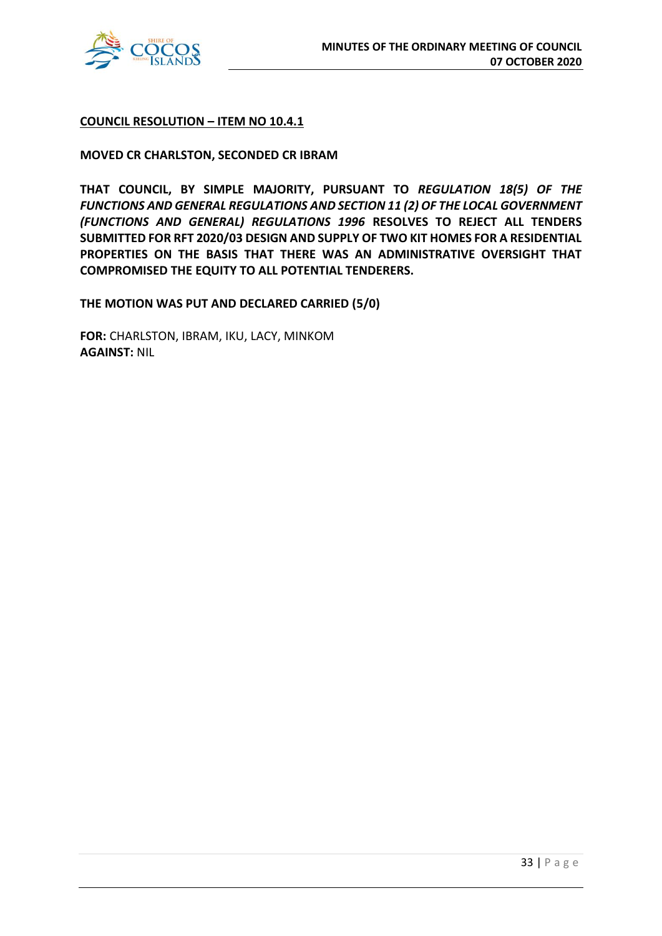

#### **COUNCIL RESOLUTION – ITEM NO 10.4.1**

#### **MOVED CR CHARLSTON, SECONDED CR IBRAM**

**THAT COUNCIL, BY SIMPLE MAJORITY, PURSUANT TO** *REGULATION 18(5) OF THE FUNCTIONS AND GENERAL REGULATIONS AND SECTION 11 (2) OF THE LOCAL GOVERNMENT (FUNCTIONS AND GENERAL) REGULATIONS 1996* **RESOLVES TO REJECT ALL TENDERS SUBMITTED FOR RFT 2020/03 DESIGN AND SUPPLY OF TWO KIT HOMES FOR A RESIDENTIAL PROPERTIES ON THE BASIS THAT THERE WAS AN ADMINISTRATIVE OVERSIGHT THAT COMPROMISED THE EQUITY TO ALL POTENTIAL TENDERERS.**

**THE MOTION WAS PUT AND DECLARED CARRIED (5/0)**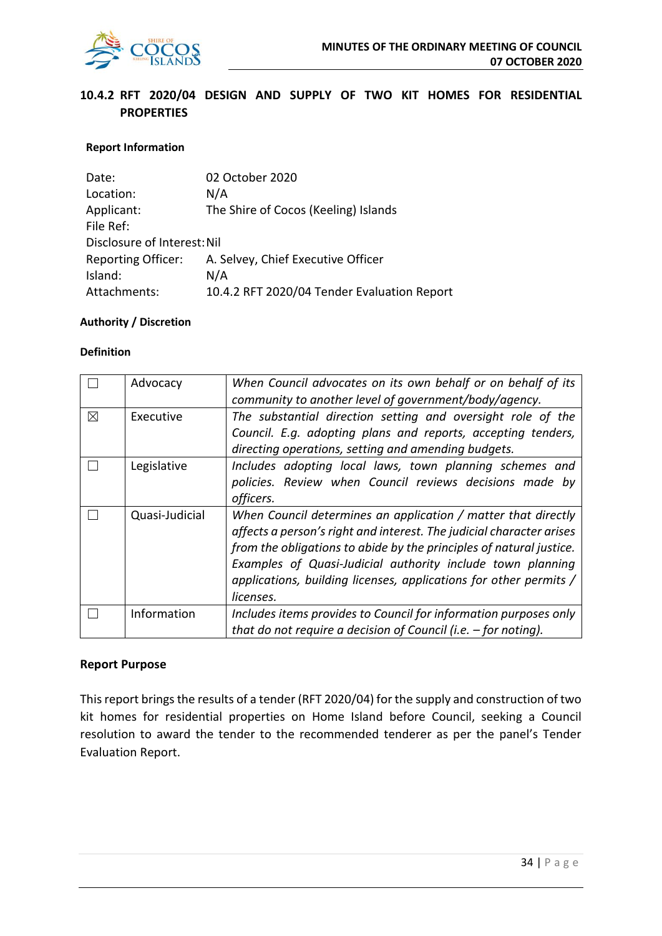

## **10.4.2 RFT 2020/04 DESIGN AND SUPPLY OF TWO KIT HOMES FOR RESIDENTIAL PROPERTIES**

#### **Report Information**

| 02 October 2020                             |
|---------------------------------------------|
| N/A                                         |
| The Shire of Cocos (Keeling) Islands        |
|                                             |
| Disclosure of Interest: Nil                 |
| A. Selvey, Chief Executive Officer          |
| N/A                                         |
| 10.4.2 RFT 2020/04 Tender Evaluation Report |
|                                             |

#### **Authority / Discretion**

#### **Definition**

|             | Advocacy       | When Council advocates on its own behalf or on behalf of its<br>community to another level of government/body/agency.                                                                                                                                                                                                                                        |
|-------------|----------------|--------------------------------------------------------------------------------------------------------------------------------------------------------------------------------------------------------------------------------------------------------------------------------------------------------------------------------------------------------------|
| $\boxtimes$ | Executive      | The substantial direction setting and oversight role of the<br>Council. E.g. adopting plans and reports, accepting tenders,<br>directing operations, setting and amending budgets.                                                                                                                                                                           |
|             | Legislative    | Includes adopting local laws, town planning schemes and<br>policies. Review when Council reviews decisions made by<br>officers.                                                                                                                                                                                                                              |
|             | Quasi-Judicial | When Council determines an application / matter that directly<br>affects a person's right and interest. The judicial character arises<br>from the obligations to abide by the principles of natural justice.<br>Examples of Quasi-Judicial authority include town planning<br>applications, building licenses, applications for other permits /<br>licenses. |
|             | Information    | Includes items provides to Council for information purposes only<br>that do not require a decision of Council (i.e. $-$ for noting).                                                                                                                                                                                                                         |

#### **Report Purpose**

This report brings the results of a tender (RFT 2020/04) for the supply and construction of two kit homes for residential properties on Home Island before Council, seeking a Council resolution to award the tender to the recommended tenderer as per the panel's Tender Evaluation Report.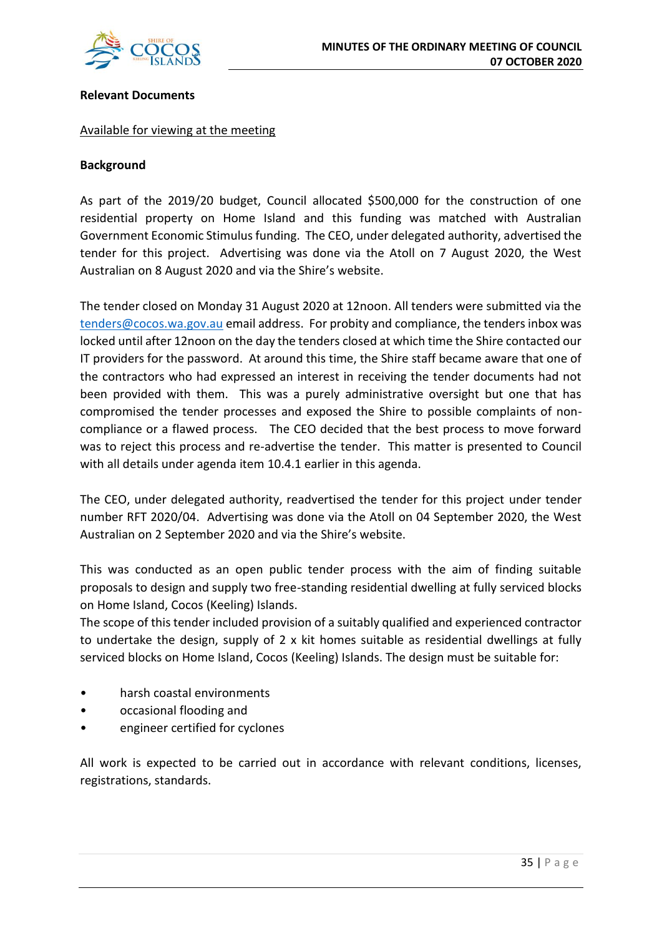

#### **Relevant Documents**

#### Available for viewing at the meeting

#### **Background**

As part of the 2019/20 budget, Council allocated \$500,000 for the construction of one residential property on Home Island and this funding was matched with Australian Government Economic Stimulus funding. The CEO, under delegated authority, advertised the tender for this project. Advertising was done via the Atoll on 7 August 2020, the West Australian on 8 August 2020 and via the Shire's website.

The tender closed on Monday 31 August 2020 at 12noon. All tenders were submitted via the [tenders@cocos.wa.gov.au](mailto:tenders@cocos.wa.gov.au) email address. For probity and compliance, the tenders inbox was locked until after 12noon on the day the tenders closed at which time the Shire contacted our IT providers for the password. At around this time, the Shire staff became aware that one of the contractors who had expressed an interest in receiving the tender documents had not been provided with them. This was a purely administrative oversight but one that has compromised the tender processes and exposed the Shire to possible complaints of noncompliance or a flawed process. The CEO decided that the best process to move forward was to reject this process and re-advertise the tender. This matter is presented to Council with all details under agenda item 10.4.1 earlier in this agenda.

The CEO, under delegated authority, readvertised the tender for this project under tender number RFT 2020/04. Advertising was done via the Atoll on 04 September 2020, the West Australian on 2 September 2020 and via the Shire's website.

This was conducted as an open public tender process with the aim of finding suitable proposals to design and supply two free-standing residential dwelling at fully serviced blocks on Home Island, Cocos (Keeling) Islands.

The scope of this tender included provision of a suitably qualified and experienced contractor to undertake the design, supply of 2 x kit homes suitable as residential dwellings at fully serviced blocks on Home Island, Cocos (Keeling) Islands. The design must be suitable for:

- harsh coastal environments
- occasional flooding and
- engineer certified for cyclones

All work is expected to be carried out in accordance with relevant conditions, licenses, registrations, standards.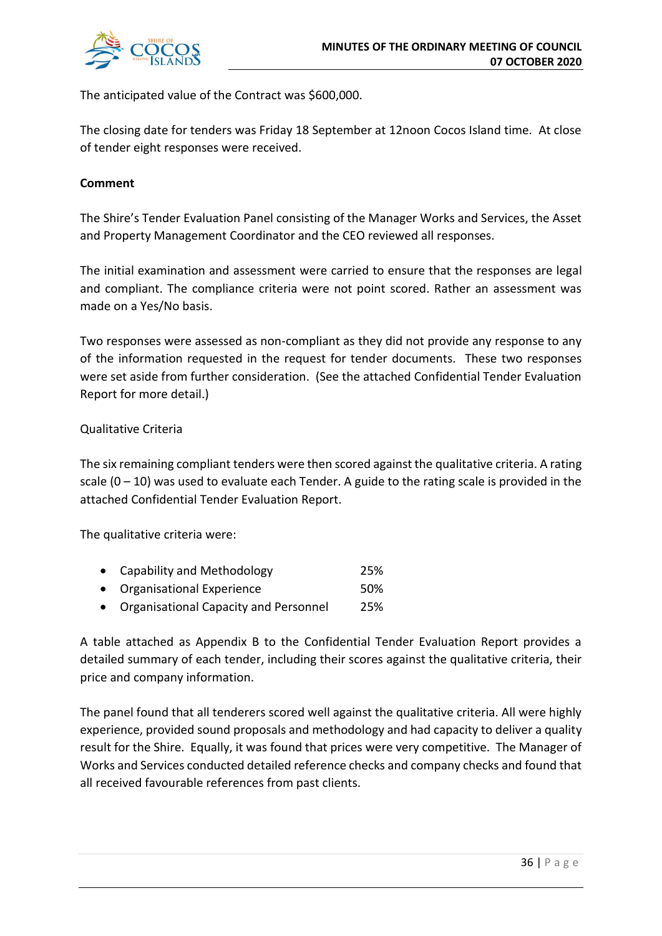

The anticipated value of the Contract was \$600,000.

The closing date for tenders was Friday 18 September at 12noon Cocos Island time. At close of tender eight responses were received.

# **Comment**

The Shire's Tender Evaluation Panel consisting of the Manager Works and Services, the Asset and Property Management Coordinator and the CEO reviewed all responses.

The initial examination and assessment were carried to ensure that the responses are legal and compliant. The compliance criteria were not point scored. Rather an assessment was made on a Yes/No basis.

Two responses were assessed as non-compliant as they did not provide any response to any of the information requested in the request for tender documents. These two responses were set aside from further consideration. (See the attached Confidential Tender Evaluation Report for more detail.)

# Qualitative Criteria

The six remaining compliant tenders were then scored against the qualitative criteria. A rating scale  $(0 - 10)$  was used to evaluate each Tender. A guide to the rating scale is provided in the attached Confidential Tender Evaluation Report.

The qualitative criteria were:

|           | • Capability and Methodology          | 25%    |
|-----------|---------------------------------------|--------|
|           | • Organisational Experience           | 50%    |
| $\bullet$ | Organicational Canacity and Dersonnel | つ ロ ロノ |

 $\bullet$  - Organisational Capacity and Personnel  $25\%$ 

A table attached as Appendix B to the Confidential Tender Evaluation Report provides a detailed summary of each tender, including their scores against the qualitative criteria, their price and company information.

The panel found that all tenderers scored well against the qualitative criteria. All were highly experience, provided sound proposals and methodology and had capacity to deliver a quality result for the Shire. Equally, it was found that prices were very competitive. The Manager of Works and Services conducted detailed reference checks and company checks and found that all received favourable references from past clients.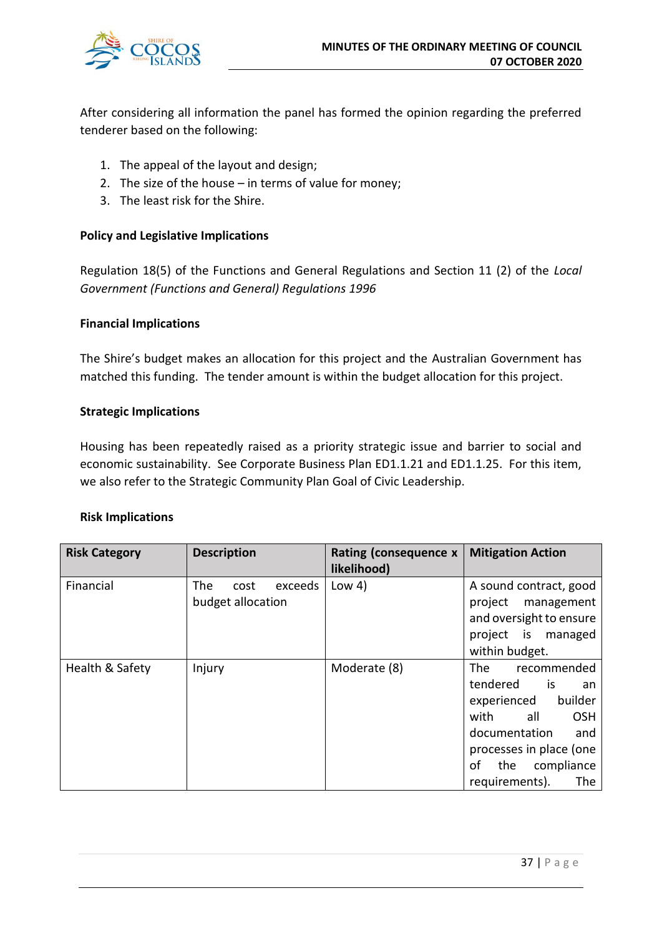

After considering all information the panel has formed the opinion regarding the preferred tenderer based on the following:

- 1. The appeal of the layout and design;
- 2. The size of the house in terms of value for money;
- 3. The least risk for the Shire.

# **Policy and Legislative Implications**

Regulation 18(5) of the Functions and General Regulations and Section 11 (2) of the *Local Government (Functions and General) Regulations 1996* 

# **Financial Implications**

The Shire's budget makes an allocation for this project and the Australian Government has matched this funding. The tender amount is within the budget allocation for this project.

# **Strategic Implications**

Housing has been repeatedly raised as a priority strategic issue and barrier to social and economic sustainability. See Corporate Business Plan ED1.1.21 and ED1.1.25. For this item, we also refer to the Strategic Community Plan Goal of Civic Leadership.

#### **Risk Implications**

| <b>Risk Category</b> | <b>Description</b>                                 | Rating (consequence x<br>likelihood) | <b>Mitigation Action</b>                                                                                                                                                                                  |
|----------------------|----------------------------------------------------|--------------------------------------|-----------------------------------------------------------------------------------------------------------------------------------------------------------------------------------------------------------|
| Financial            | <b>The</b><br>exceeds<br>cost<br>budget allocation | Low $4)$                             | A sound contract, good<br>project<br>management<br>and oversight to ensure<br>project is<br>managed<br>within budget.                                                                                     |
| Health & Safety      | Injury                                             | Moderate (8)                         | The<br>recommended<br>tendered<br>is.<br>an<br>builder<br>experienced<br>all<br>with<br><b>OSH</b><br>documentation<br>and<br>processes in place (one<br>compliance<br>οf<br>the<br>requirements).<br>The |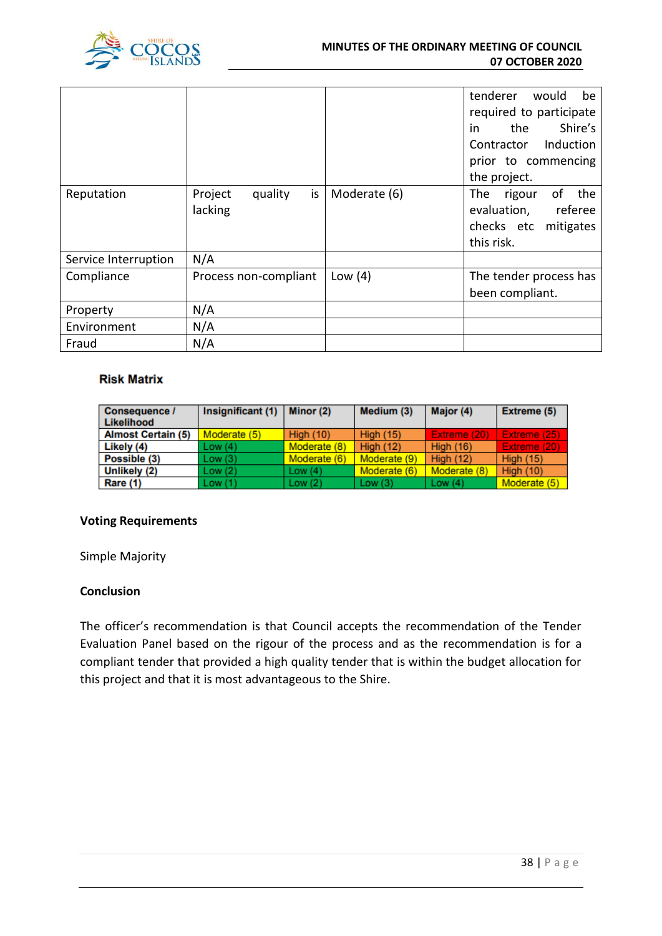

|                      |                                     |              | tenderer would<br>be<br>required to participate<br>Shire's<br>the<br>in<br>Contractor Induction<br>prior to commencing<br>the project. |
|----------------------|-------------------------------------|--------------|----------------------------------------------------------------------------------------------------------------------------------------|
| Reputation           | Project<br>is<br>quality<br>lacking | Moderate (6) | of<br>the<br>The<br>rigour<br>evaluation,<br>referee<br>checks etc mitigates<br>this risk.                                             |
| Service Interruption | N/A                                 |              |                                                                                                                                        |
| Compliance           | Process non-compliant               | Low $(4)$    | The tender process has<br>been compliant.                                                                                              |
| Property             | N/A                                 |              |                                                                                                                                        |
| Environment          | N/A                                 |              |                                                                                                                                        |
| Fraud                | N/A                                 |              |                                                                                                                                        |

# **Risk Matrix**

| <b>Consequence /</b><br>Likelihood | Insignificant (1) | Minor (2)        | Medium (3)       | Major (4)        | <b>Extreme (5)</b> |
|------------------------------------|-------------------|------------------|------------------|------------------|--------------------|
| <b>Almost Certain (5)</b>          | Moderate (5)      | <b>High (10)</b> | <b>High (15)</b> | Extreme (20)     | Extreme (25)       |
| Likely (4)                         | Low(4)            | Moderate (8)     | <b>High (12)</b> | <b>High (16)</b> | Extreme (20)       |
| Possible (3)                       | Low(3)            | Moderate (6)     | Moderate (9)     | High $(12)$      | <b>High (15)</b>   |
| Unlikely (2)                       | Low(2)            | Low $(4)$        | Moderate (6)     | Moderate (8)     | <b>High (10)</b>   |
| Rare (1)                           | Low(1)            | Low $(2)$        | Low(3)           | Low $(4)$        | Moderate (5)       |

# **Voting Requirements**

Simple Majority

# **Conclusion**

The officer's recommendation is that Council accepts the recommendation of the Tender Evaluation Panel based on the rigour of the process and as the recommendation is for a compliant tender that provided a high quality tender that is within the budget allocation for this project and that it is most advantageous to the Shire.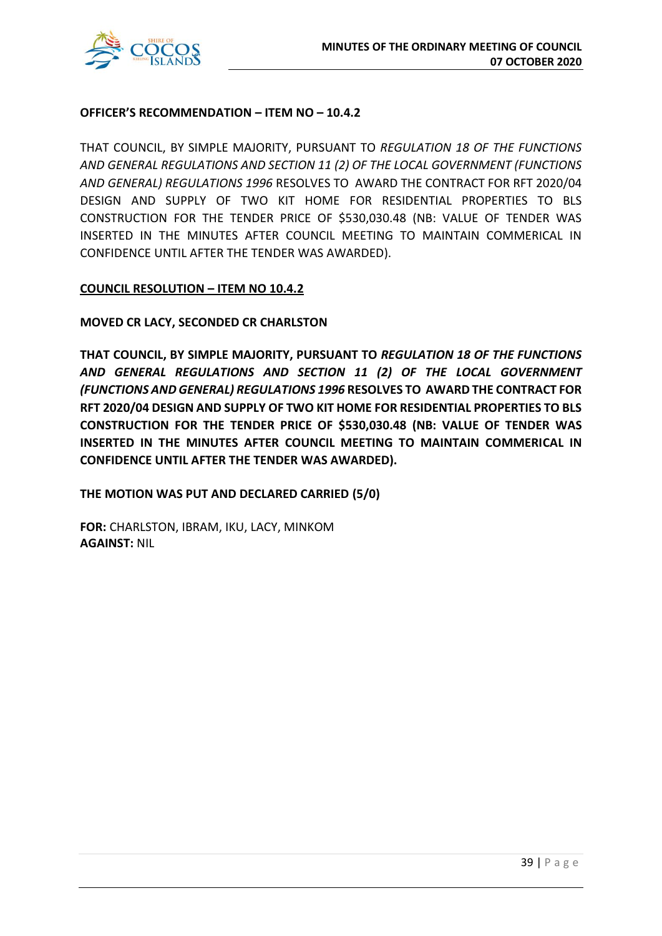

# **OFFICER'S RECOMMENDATION – ITEM NO – 10.4.2**

THAT COUNCIL, BY SIMPLE MAJORITY, PURSUANT TO *REGULATION 18 OF THE FUNCTIONS AND GENERAL REGULATIONS AND SECTION 11 (2) OF THE LOCAL GOVERNMENT (FUNCTIONS AND GENERAL) REGULATIONS 1996* RESOLVES TO AWARD THE CONTRACT FOR RFT 2020/04 DESIGN AND SUPPLY OF TWO KIT HOME FOR RESIDENTIAL PROPERTIES TO BLS CONSTRUCTION FOR THE TENDER PRICE OF \$530,030.48 (NB: VALUE OF TENDER WAS INSERTED IN THE MINUTES AFTER COUNCIL MEETING TO MAINTAIN COMMERICAL IN CONFIDENCE UNTIL AFTER THE TENDER WAS AWARDED).

# **COUNCIL RESOLUTION – ITEM NO 10.4.2**

**MOVED CR LACY, SECONDED CR CHARLSTON**

**THAT COUNCIL, BY SIMPLE MAJORITY, PURSUANT TO** *REGULATION 18 OF THE FUNCTIONS AND GENERAL REGULATIONS AND SECTION 11 (2) OF THE LOCAL GOVERNMENT (FUNCTIONS AND GENERAL) REGULATIONS 1996* **RESOLVES TO AWARD THE CONTRACT FOR RFT 2020/04 DESIGN AND SUPPLY OF TWO KIT HOME FOR RESIDENTIAL PROPERTIES TO BLS CONSTRUCTION FOR THE TENDER PRICE OF \$530,030.48 (NB: VALUE OF TENDER WAS INSERTED IN THE MINUTES AFTER COUNCIL MEETING TO MAINTAIN COMMERICAL IN CONFIDENCE UNTIL AFTER THE TENDER WAS AWARDED).**

**THE MOTION WAS PUT AND DECLARED CARRIED (5/0)**

**FOR:** CHARLSTON, IBRAM, IKU, LACY, MINKOM **AGAINST:** NIL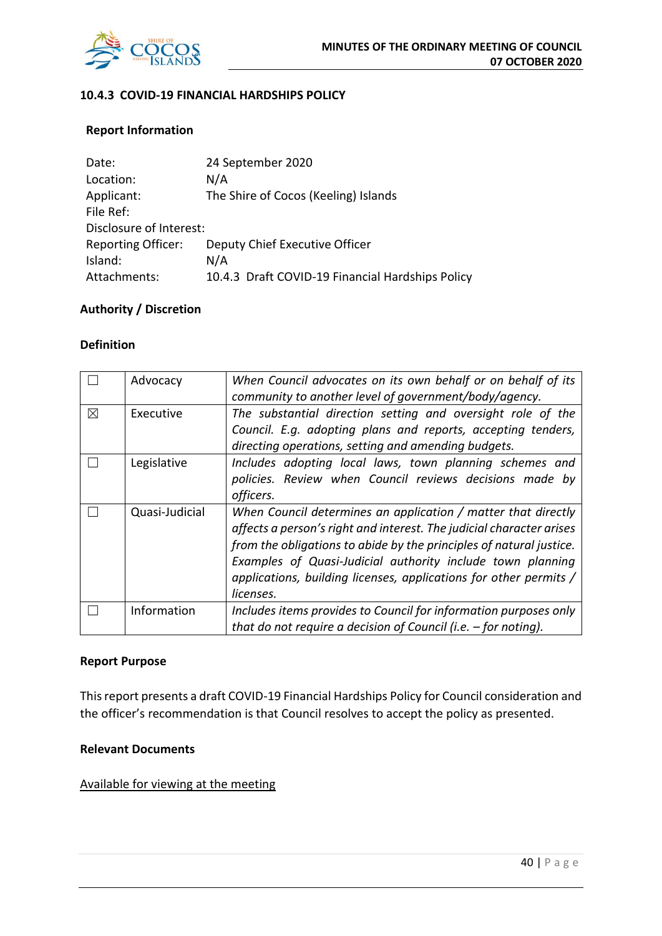

# **10.4.3 COVID-19 FINANCIAL HARDSHIPS POLICY**

# **Report Information**

| Date:                     | 24 September 2020                                |
|---------------------------|--------------------------------------------------|
| Location:                 | N/A                                              |
| Applicant:                | The Shire of Cocos (Keeling) Islands             |
| File Ref:                 |                                                  |
| Disclosure of Interest:   |                                                  |
| <b>Reporting Officer:</b> | Deputy Chief Executive Officer                   |
| Island:                   | N/A                                              |
| Attachments:              | 10.4.3 Draft COVID-19 Financial Hardships Policy |

#### **Authority / Discretion**

#### **Definition**

|   | Advocacy       | When Council advocates on its own behalf or on behalf of its<br>community to another level of government/body/agency. |
|---|----------------|-----------------------------------------------------------------------------------------------------------------------|
|   |                |                                                                                                                       |
| X | Executive      | The substantial direction setting and oversight role of the                                                           |
|   |                | Council. E.g. adopting plans and reports, accepting tenders,                                                          |
|   |                | directing operations, setting and amending budgets.                                                                   |
|   | Legislative    | Includes adopting local laws, town planning schemes and                                                               |
|   |                | policies. Review when Council reviews decisions made by                                                               |
|   |                | officers.                                                                                                             |
|   | Quasi-Judicial | When Council determines an application / matter that directly                                                         |
|   |                | affects a person's right and interest. The judicial character arises                                                  |
|   |                | from the obligations to abide by the principles of natural justice.                                                   |
|   |                | Examples of Quasi-Judicial authority include town planning                                                            |
|   |                | applications, building licenses, applications for other permits /                                                     |
|   |                | licenses.                                                                                                             |
|   | Information    | Includes items provides to Council for information purposes only                                                      |
|   |                | that do not require a decision of Council (i.e. $-$ for noting).                                                      |

#### **Report Purpose**

This report presents a draft COVID-19 Financial Hardships Policy for Council consideration and the officer's recommendation is that Council resolves to accept the policy as presented.

# **Relevant Documents**

# Available for viewing at the meeting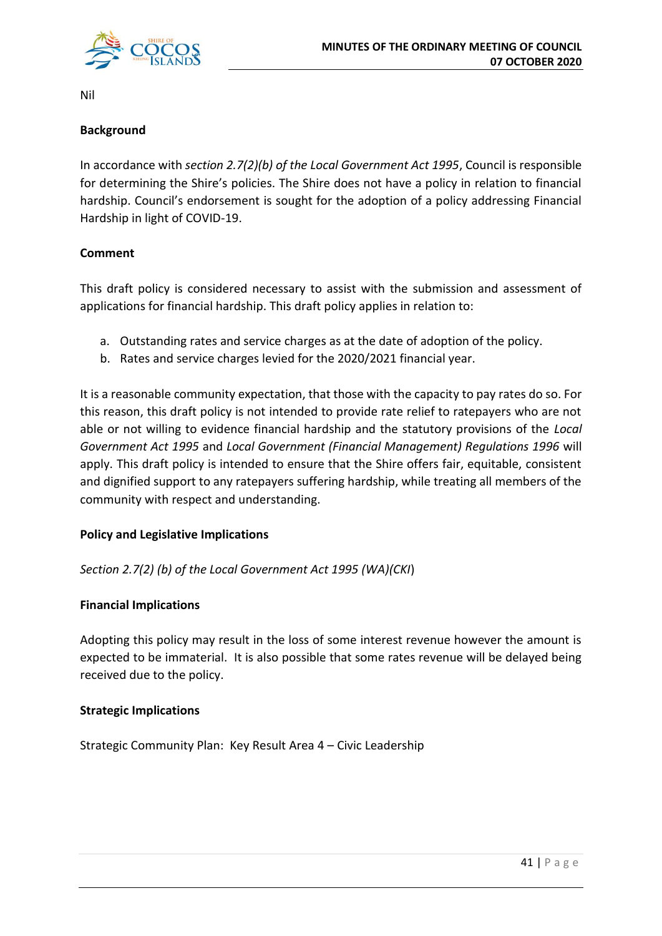

Nil

# **Background**

In accordance with *section 2.7(2)(b) of the Local Government Act 1995*, Council is responsible for determining the Shire's policies. The Shire does not have a policy in relation to financial hardship. Council's endorsement is sought for the adoption of a policy addressing Financial Hardship in light of COVID-19.

# **Comment**

This draft policy is considered necessary to assist with the submission and assessment of applications for financial hardship. This draft policy applies in relation to:

- a. Outstanding rates and service charges as at the date of adoption of the policy.
- b. Rates and service charges levied for the 2020/2021 financial year.

It is a reasonable community expectation, that those with the capacity to pay rates do so. For this reason, this draft policy is not intended to provide rate relief to ratepayers who are not able or not willing to evidence financial hardship and the statutory provisions of the *Local Government Act 1995* and *Local Government (Financial Management) Regulations 1996* will apply. This draft policy is intended to ensure that the Shire offers fair, equitable, consistent and dignified support to any ratepayers suffering hardship, while treating all members of the community with respect and understanding.

# **Policy and Legislative Implications**

*Section 2.7(2) (b) of the Local Government Act 1995 (WA)(CKI*)

# **Financial Implications**

Adopting this policy may result in the loss of some interest revenue however the amount is expected to be immaterial. It is also possible that some rates revenue will be delayed being received due to the policy.

# **Strategic Implications**

Strategic Community Plan: Key Result Area 4 – Civic Leadership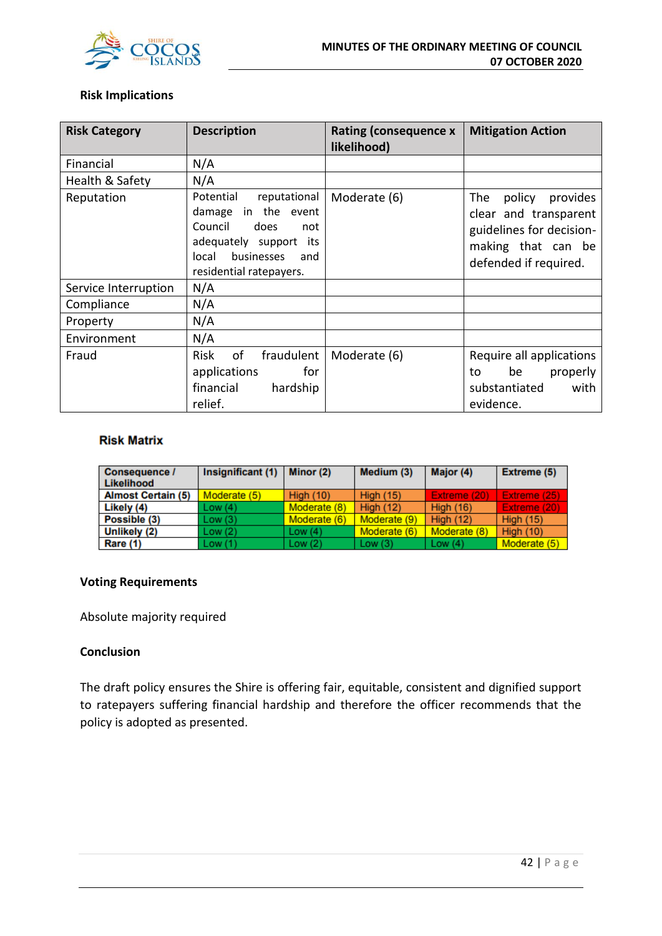

# **Risk Implications**

| <b>Risk Category</b> | <b>Description</b>                                                                                                                                               | <b>Rating (consequence x</b><br>likelihood) | <b>Mitigation Action</b>                                                                                                      |
|----------------------|------------------------------------------------------------------------------------------------------------------------------------------------------------------|---------------------------------------------|-------------------------------------------------------------------------------------------------------------------------------|
| Financial            | N/A                                                                                                                                                              |                                             |                                                                                                                               |
| Health & Safety      | N/A                                                                                                                                                              |                                             |                                                                                                                               |
| Reputation           | Potential<br>reputational<br>in the event<br>damage<br>Council<br>does<br>not<br>adequately support its<br>businesses<br>local<br>and<br>residential ratepayers. | Moderate (6)                                | The<br>provides<br>policy<br>clear and transparent<br>guidelines for decision-<br>making that can be<br>defended if required. |
| Service Interruption | N/A                                                                                                                                                              |                                             |                                                                                                                               |
| Compliance           | N/A                                                                                                                                                              |                                             |                                                                                                                               |
| Property             | N/A                                                                                                                                                              |                                             |                                                                                                                               |
| Environment          | N/A                                                                                                                                                              |                                             |                                                                                                                               |
| Fraud                | <b>Risk</b><br>of<br>fraudulent<br>for<br>applications<br>financial<br>hardship<br>relief.                                                                       | Moderate (6)                                | Require all applications<br>properly<br>be<br>to<br>substantiated<br>with<br>evidence.                                        |

#### **Risk Matrix**

| <b>Consequence /</b><br>Likelihood | Insignificant (1) | Minor (2)        | Medium (3)       | Major (4)        | Extreme (5)      |
|------------------------------------|-------------------|------------------|------------------|------------------|------------------|
| <b>Almost Certain (5)</b>          | Moderate (5)      | <b>High (10)</b> | <b>High (15)</b> | Extreme (20)     | Extreme (25)     |
| Likely (4)                         | Low(4)            | Moderate (8)     | High $(12)$      | <b>High (16)</b> | Extreme (20)     |
| Possible (3)                       | Low(3)            | Moderate (6)     | Moderate (9)     | <b>High (12)</b> | <b>High (15)</b> |
| Unlikely (2)                       | Low(2)            | Low $(4)$        | Moderate (6)     | Moderate (8)     | High $(10)$      |
| Rare (1)                           | Low(1)            | Low $(2)$        | Low(3)           | Low $(4)$        | Moderate (5)     |

# **Voting Requirements**

Absolute majority required

# **Conclusion**

The draft policy ensures the Shire is offering fair, equitable, consistent and dignified support to ratepayers suffering financial hardship and therefore the officer recommends that the policy is adopted as presented.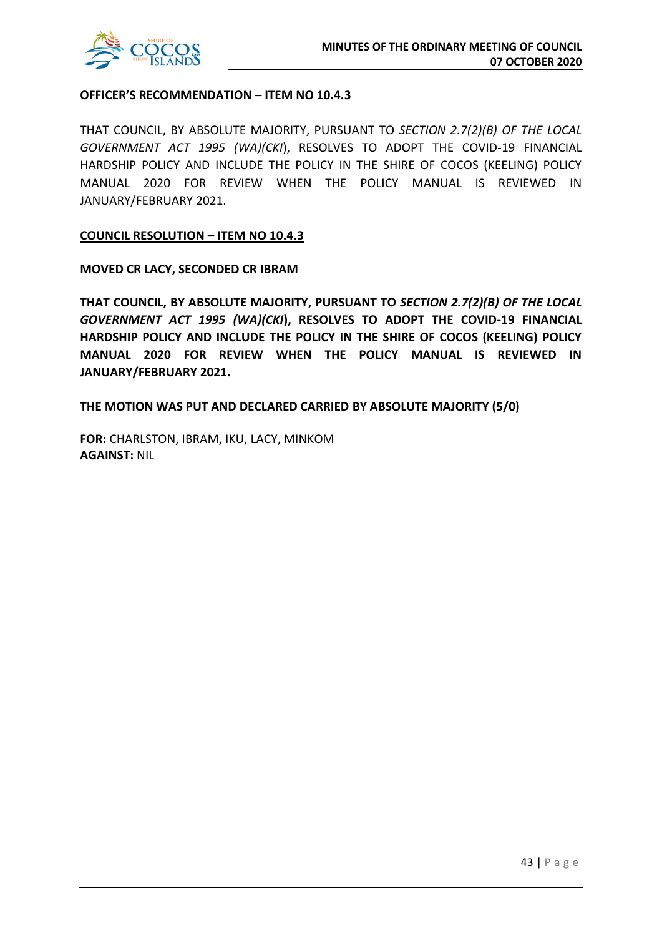

# **OFFICER'S RECOMMENDATION – ITEM NO 10.4.3**

THAT COUNCIL, BY ABSOLUTE MAJORITY, PURSUANT TO *SECTION 2.7(2)(B) OF THE LOCAL GOVERNMENT ACT 1995 (WA)(CKI*), RESOLVES TO ADOPT THE COVID-19 FINANCIAL HARDSHIP POLICY AND INCLUDE THE POLICY IN THE SHIRE OF COCOS (KEELING) POLICY MANUAL 2020 FOR REVIEW WHEN THE POLICY MANUAL IS REVIEWED IN JANUARY/FEBRUARY 2021.

#### **COUNCIL RESOLUTION – ITEM NO 10.4.3**

#### **MOVED CR LACY, SECONDED CR IBRAM**

**THAT COUNCIL, BY ABSOLUTE MAJORITY, PURSUANT TO** *SECTION 2.7(2)(B) OF THE LOCAL GOVERNMENT ACT 1995 (WA)(CKI***), RESOLVES TO ADOPT THE COVID-19 FINANCIAL HARDSHIP POLICY AND INCLUDE THE POLICY IN THE SHIRE OF COCOS (KEELING) POLICY MANUAL 2020 FOR REVIEW WHEN THE POLICY MANUAL IS REVIEWED IN JANUARY/FEBRUARY 2021.**

#### **THE MOTION WAS PUT AND DECLARED CARRIED BY ABSOLUTE MAJORITY (5/0)**

**FOR:** CHARLSTON, IBRAM, IKU, LACY, MINKOM **AGAINST:** NIL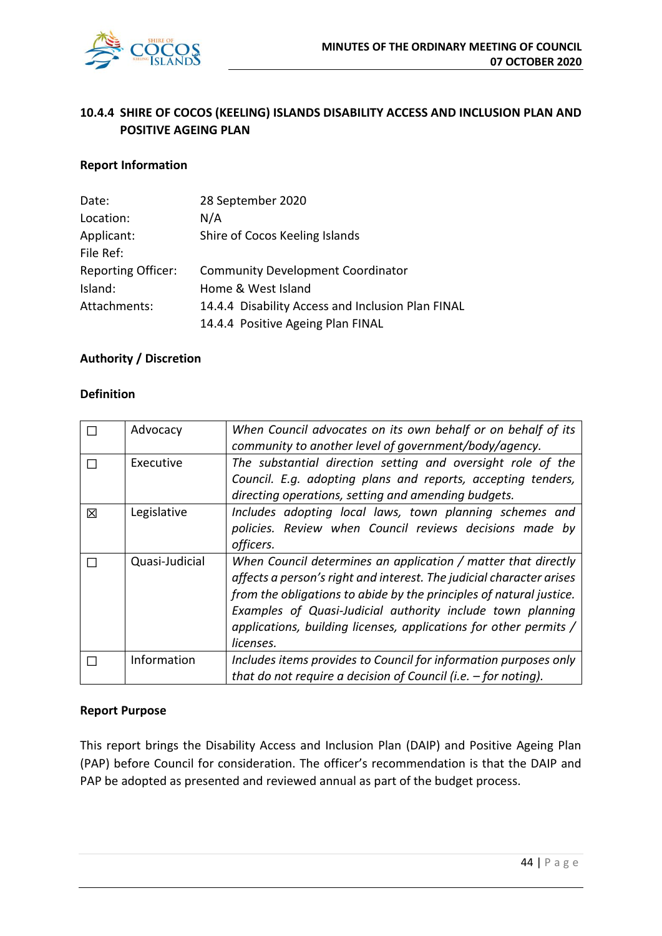

# **10.4.4 SHIRE OF COCOS (KEELING) ISLANDS DISABILITY ACCESS AND INCLUSION PLAN AND POSITIVE AGEING PLAN**

# **Report Information**

| Date:                     | 28 September 2020                                 |
|---------------------------|---------------------------------------------------|
| Location:                 | N/A                                               |
| Applicant:                | Shire of Cocos Keeling Islands                    |
| File Ref:                 |                                                   |
| <b>Reporting Officer:</b> | <b>Community Development Coordinator</b>          |
| Island:                   | Home & West Island                                |
| Attachments:              | 14.4.4 Disability Access and Inclusion Plan FINAL |
|                           | 14.4.4 Positive Ageing Plan FINAL                 |

# **Authority / Discretion**

# **Definition**

|   | Advocacy       | When Council advocates on its own behalf or on behalf of its         |
|---|----------------|----------------------------------------------------------------------|
|   |                | community to another level of government/body/agency.                |
|   | Executive      | The substantial direction setting and oversight role of the          |
|   |                | Council. E.g. adopting plans and reports, accepting tenders,         |
|   |                | directing operations, setting and amending budgets.                  |
| 冈 | Legislative    | Includes adopting local laws, town planning schemes and              |
|   |                | policies. Review when Council reviews decisions made by              |
|   |                | officers.                                                            |
|   | Quasi-Judicial | When Council determines an application / matter that directly        |
|   |                | affects a person's right and interest. The judicial character arises |
|   |                | from the obligations to abide by the principles of natural justice.  |
|   |                | Examples of Quasi-Judicial authority include town planning           |
|   |                | applications, building licenses, applications for other permits /    |
|   |                | licenses.                                                            |
|   | Information    | Includes items provides to Council for information purposes only     |
|   |                | that do not require a decision of Council (i.e. $-$ for noting).     |

#### **Report Purpose**

This report brings the Disability Access and Inclusion Plan (DAIP) and Positive Ageing Plan (PAP) before Council for consideration. The officer's recommendation is that the DAIP and PAP be adopted as presented and reviewed annual as part of the budget process.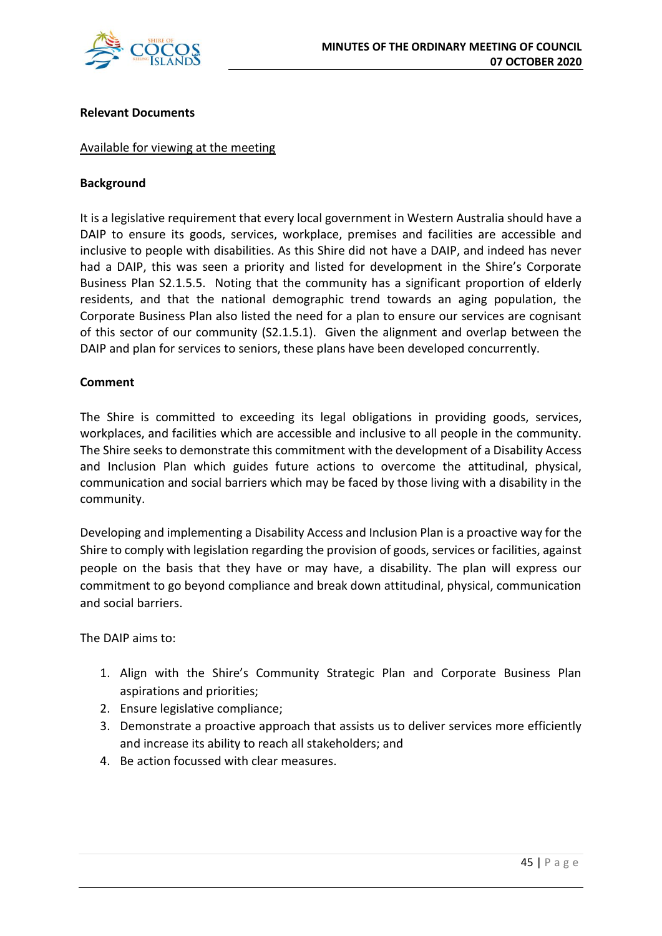

# **Relevant Documents**

# Available for viewing at the meeting

# **Background**

It is a legislative requirement that every local government in Western Australia should have a DAIP to ensure its goods, services, workplace, premises and facilities are accessible and inclusive to people with disabilities. As this Shire did not have a DAIP, and indeed has never had a DAIP, this was seen a priority and listed for development in the Shire's Corporate Business Plan S2.1.5.5. Noting that the community has a significant proportion of elderly residents, and that the national demographic trend towards an aging population, the Corporate Business Plan also listed the need for a plan to ensure our services are cognisant of this sector of our community (S2.1.5.1). Given the alignment and overlap between the DAIP and plan for services to seniors, these plans have been developed concurrently.

# **Comment**

The Shire is committed to exceeding its legal obligations in providing goods, services, workplaces, and facilities which are accessible and inclusive to all people in the community. The Shire seeks to demonstrate this commitment with the development of a Disability Access and Inclusion Plan which guides future actions to overcome the attitudinal, physical, communication and social barriers which may be faced by those living with a disability in the community.

Developing and implementing a Disability Access and Inclusion Plan is a proactive way for the Shire to comply with legislation regarding the provision of goods, services or facilities, against people on the basis that they have or may have, a disability. The plan will express our commitment to go beyond compliance and break down attitudinal, physical, communication and social barriers.

The DAIP aims to:

- 1. Align with the Shire's Community Strategic Plan and Corporate Business Plan aspirations and priorities;
- 2. Ensure legislative compliance;
- 3. Demonstrate a proactive approach that assists us to deliver services more efficiently and increase its ability to reach all stakeholders; and
- 4. Be action focussed with clear measures.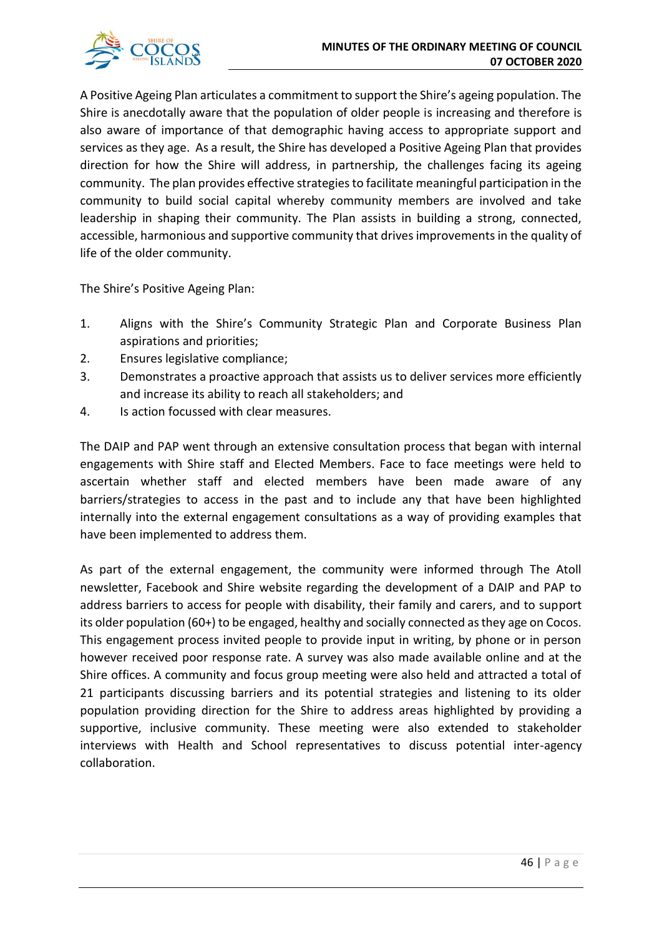

A Positive Ageing Plan articulates a commitment to support the Shire's ageing population. The Shire is anecdotally aware that the population of older people is increasing and therefore is also aware of importance of that demographic having access to appropriate support and services as they age. As a result, the Shire has developed a Positive Ageing Plan that provides direction for how the Shire will address, in partnership, the challenges facing its ageing community. The plan provides effective strategies to facilitate meaningful participation in the community to build social capital whereby community members are involved and take leadership in shaping their community. The Plan assists in building a strong, connected, accessible, harmonious and supportive community that drives improvements in the quality of life of the older community.

The Shire's Positive Ageing Plan:

- 1. Aligns with the Shire's Community Strategic Plan and Corporate Business Plan aspirations and priorities;
- 2. Ensures legislative compliance;
- 3. Demonstrates a proactive approach that assists us to deliver services more efficiently and increase its ability to reach all stakeholders; and
- 4. Is action focussed with clear measures.

The DAIP and PAP went through an extensive consultation process that began with internal engagements with Shire staff and Elected Members. Face to face meetings were held to ascertain whether staff and elected members have been made aware of any barriers/strategies to access in the past and to include any that have been highlighted internally into the external engagement consultations as a way of providing examples that have been implemented to address them.

As part of the external engagement, the community were informed through The Atoll newsletter, Facebook and Shire website regarding the development of a DAIP and PAP to address barriers to access for people with disability, their family and carers, and to support its older population (60+) to be engaged, healthy and socially connected as they age on Cocos. This engagement process invited people to provide input in writing, by phone or in person however received poor response rate. A survey was also made available online and at the Shire offices. A community and focus group meeting were also held and attracted a total of 21 participants discussing barriers and its potential strategies and listening to its older population providing direction for the Shire to address areas highlighted by providing a supportive, inclusive community. These meeting were also extended to stakeholder interviews with Health and School representatives to discuss potential inter-agency collaboration.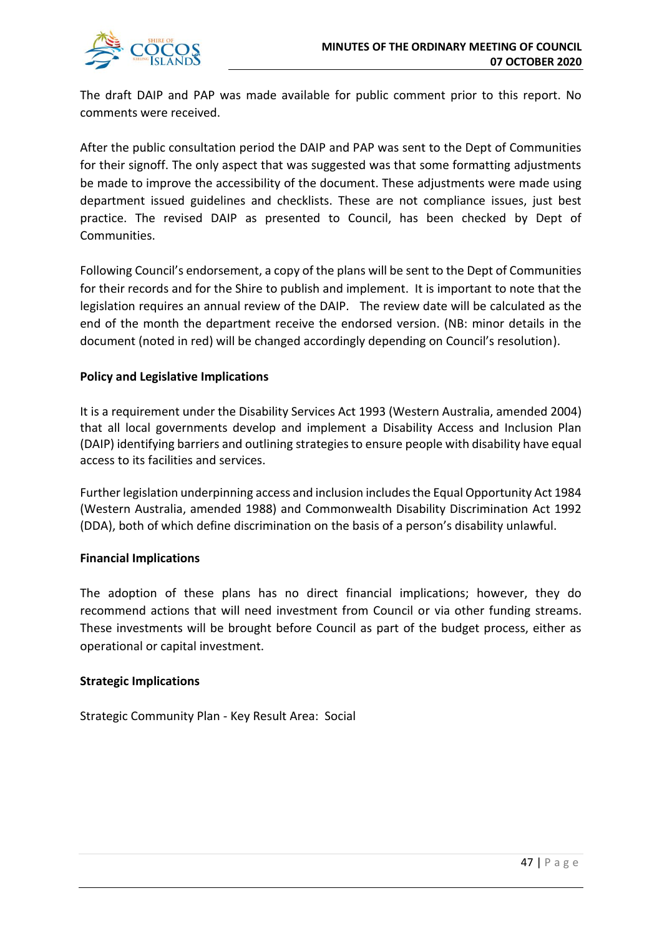

The draft DAIP and PAP was made available for public comment prior to this report. No comments were received.

After the public consultation period the DAIP and PAP was sent to the Dept of Communities for their signoff. The only aspect that was suggested was that some formatting adjustments be made to improve the accessibility of the document. These adjustments were made using department issued guidelines and checklists. These are not compliance issues, just best practice. The revised DAIP as presented to Council, has been checked by Dept of Communities.

Following Council's endorsement, a copy of the plans will be sent to the Dept of Communities for their records and for the Shire to publish and implement. It is important to note that the legislation requires an annual review of the DAIP. The review date will be calculated as the end of the month the department receive the endorsed version. (NB: minor details in the document (noted in red) will be changed accordingly depending on Council's resolution).

# **Policy and Legislative Implications**

It is a requirement under the Disability Services Act 1993 (Western Australia, amended 2004) that all local governments develop and implement a Disability Access and Inclusion Plan (DAIP) identifying barriers and outlining strategies to ensure people with disability have equal access to its facilities and services.

Further legislation underpinning access and inclusion includes the Equal Opportunity Act 1984 (Western Australia, amended 1988) and Commonwealth Disability Discrimination Act 1992 (DDA), both of which define discrimination on the basis of a person's disability unlawful.

# **Financial Implications**

The adoption of these plans has no direct financial implications; however, they do recommend actions that will need investment from Council or via other funding streams. These investments will be brought before Council as part of the budget process, either as operational or capital investment.

# **Strategic Implications**

Strategic Community Plan - Key Result Area: Social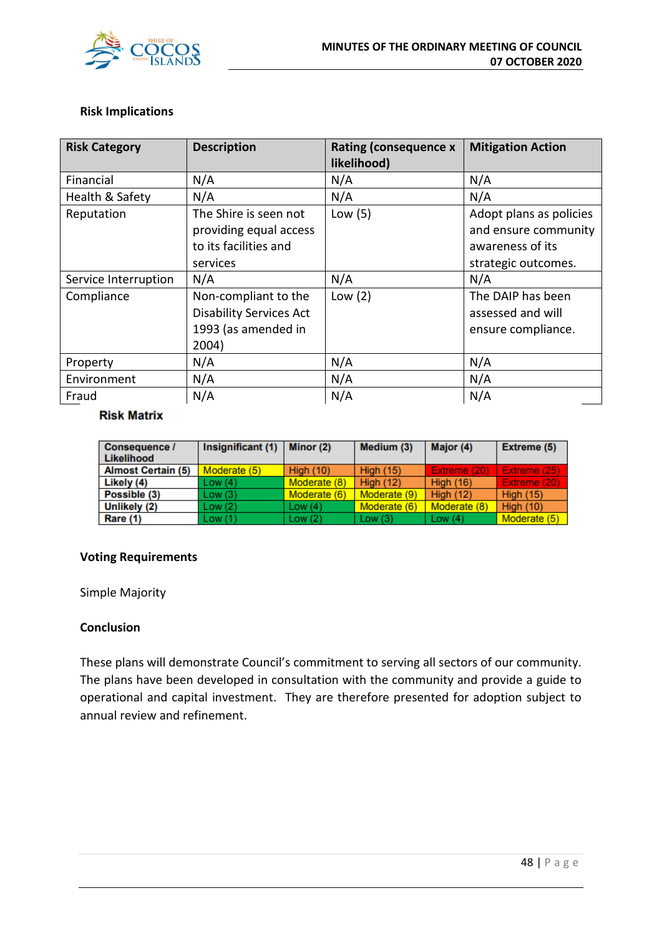

# **Risk Implications**

| <b>Risk Category</b> | <b>Description</b>                                                                     | <b>Rating (consequence x</b><br>likelihood) | <b>Mitigation Action</b>                                                                   |
|----------------------|----------------------------------------------------------------------------------------|---------------------------------------------|--------------------------------------------------------------------------------------------|
| Financial            | N/A                                                                                    | N/A                                         | N/A                                                                                        |
| Health & Safety      | N/A                                                                                    | N/A                                         | N/A                                                                                        |
| Reputation           | The Shire is seen not<br>providing equal access<br>to its facilities and<br>services   | Low $(5)$                                   | Adopt plans as policies<br>and ensure community<br>awareness of its<br>strategic outcomes. |
| Service Interruption | N/A                                                                                    | N/A                                         | N/A                                                                                        |
| Compliance           | Non-compliant to the<br><b>Disability Services Act</b><br>1993 (as amended in<br>2004) | Low $(2)$                                   | The DAIP has been<br>assessed and will<br>ensure compliance.                               |
| Property             | N/A                                                                                    | N/A                                         | N/A                                                                                        |
| Environment          | N/A                                                                                    | N/A                                         | N/A                                                                                        |
| Fraud                | N/A                                                                                    | N/A                                         | N/A                                                                                        |

#### **Risk Matrix**

| Consequence /<br>Likelihood | Insignificant (1) | Minor (2)    | Medium (3)       | Major (4)        | <b>Extreme (5)</b> |
|-----------------------------|-------------------|--------------|------------------|------------------|--------------------|
| <b>Almost Certain (5)</b>   | Moderate (5)      | High $(10)$  | <b>High (15)</b> | Extreme (20)     | Extreme (25)       |
| Likely (4)                  | Low (4)           | Moderate (8) | High $(12)$      | <b>High (16)</b> | Extreme (20)       |
| Possible (3)                | Low (3)           | Moderate (6) | Moderate (9)     | High $(12)$      | <b>High (15)</b>   |
| Unlikely (2)                | Low (2)           | Low $(4)$    | Moderate (6)     | Moderate (8)     | <b>High (10)</b>   |
| Rare (1)                    | Low (1)           | Low(2)       | Low(3)           | Low $(4)$        | Moderate (5)       |

# **Voting Requirements**

Simple Majority

# **Conclusion**

These plans will demonstrate Council's commitment to serving all sectors of our community. The plans have been developed in consultation with the community and provide a guide to operational and capital investment. They are therefore presented for adoption subject to annual review and refinement.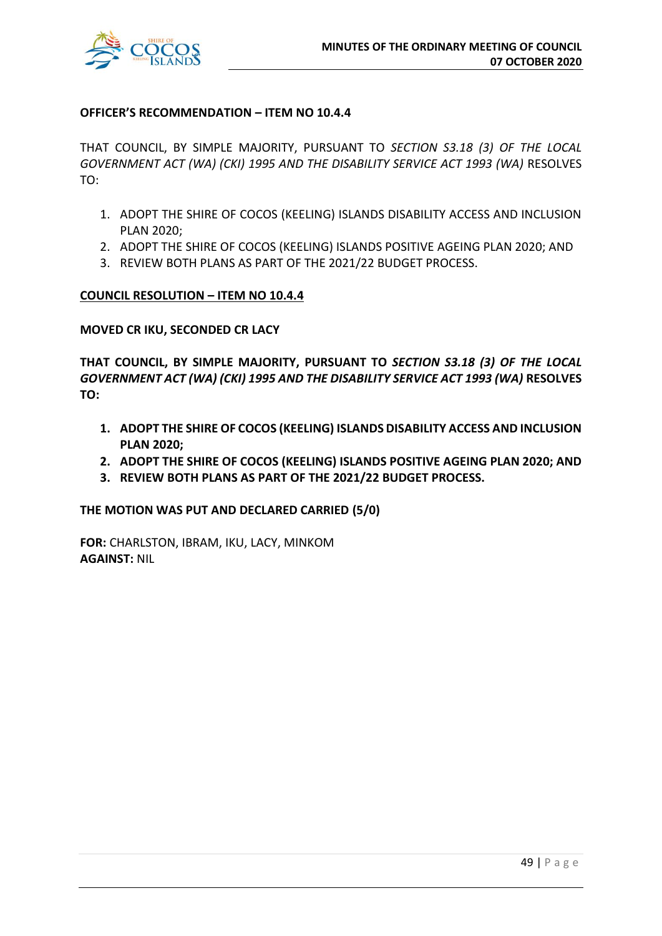

# **OFFICER'S RECOMMENDATION – ITEM NO 10.4.4**

THAT COUNCIL, BY SIMPLE MAJORITY, PURSUANT TO *SECTION S3.18 (3) OF THE LOCAL GOVERNMENT ACT (WA) (CKI) 1995 AND THE DISABILITY SERVICE ACT 1993 (WA)* RESOLVES TO:

- 1. ADOPT THE SHIRE OF COCOS (KEELING) ISLANDS DISABILITY ACCESS AND INCLUSION PLAN 2020;
- 2. ADOPT THE SHIRE OF COCOS (KEELING) ISLANDS POSITIVE AGEING PLAN 2020; AND
- 3. REVIEW BOTH PLANS AS PART OF THE 2021/22 BUDGET PROCESS.

# **COUNCIL RESOLUTION – ITEM NO 10.4.4**

**MOVED CR IKU, SECONDED CR LACY**

**THAT COUNCIL, BY SIMPLE MAJORITY, PURSUANT TO** *SECTION S3.18 (3) OF THE LOCAL GOVERNMENT ACT (WA) (CKI) 1995 AND THE DISABILITY SERVICE ACT 1993 (WA)* **RESOLVES TO:**

- **1. ADOPT THE SHIRE OF COCOS (KEELING) ISLANDS DISABILITY ACCESS AND INCLUSION PLAN 2020;**
- **2. ADOPT THE SHIRE OF COCOS (KEELING) ISLANDS POSITIVE AGEING PLAN 2020; AND**
- **3. REVIEW BOTH PLANS AS PART OF THE 2021/22 BUDGET PROCESS.**

**THE MOTION WAS PUT AND DECLARED CARRIED (5/0)**

**FOR:** CHARLSTON, IBRAM, IKU, LACY, MINKOM **AGAINST:** NIL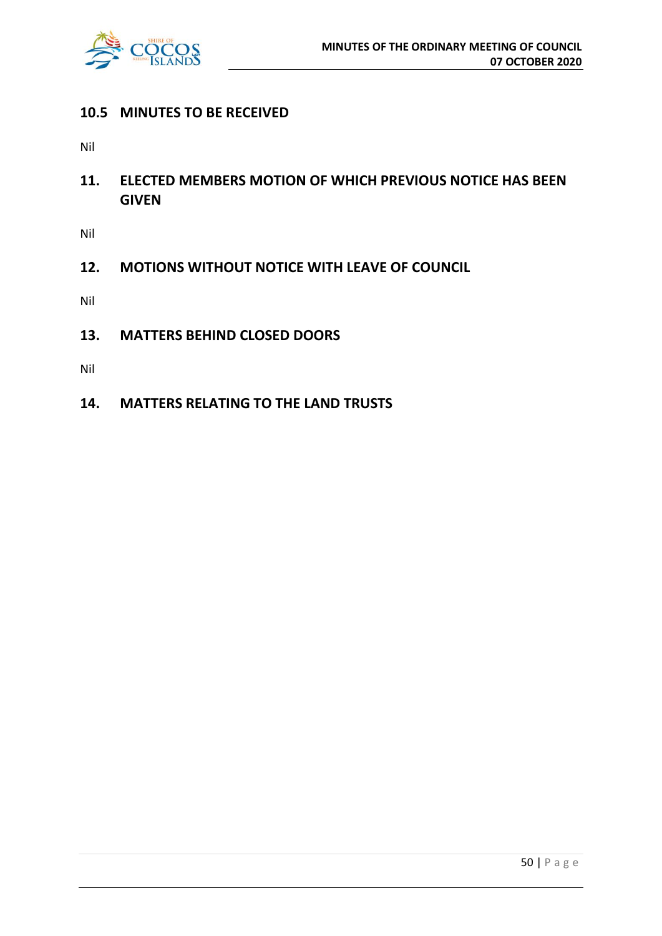

# **10.5 MINUTES TO BE RECEIVED**

Nil

**11. ELECTED MEMBERS MOTION OF WHICH PREVIOUS NOTICE HAS BEEN GIVEN**

Nil

**12. MOTIONS WITHOUT NOTICE WITH LEAVE OF COUNCIL**

Nil

**13. MATTERS BEHIND CLOSED DOORS**

Nil

**14. MATTERS RELATING TO THE LAND TRUSTS**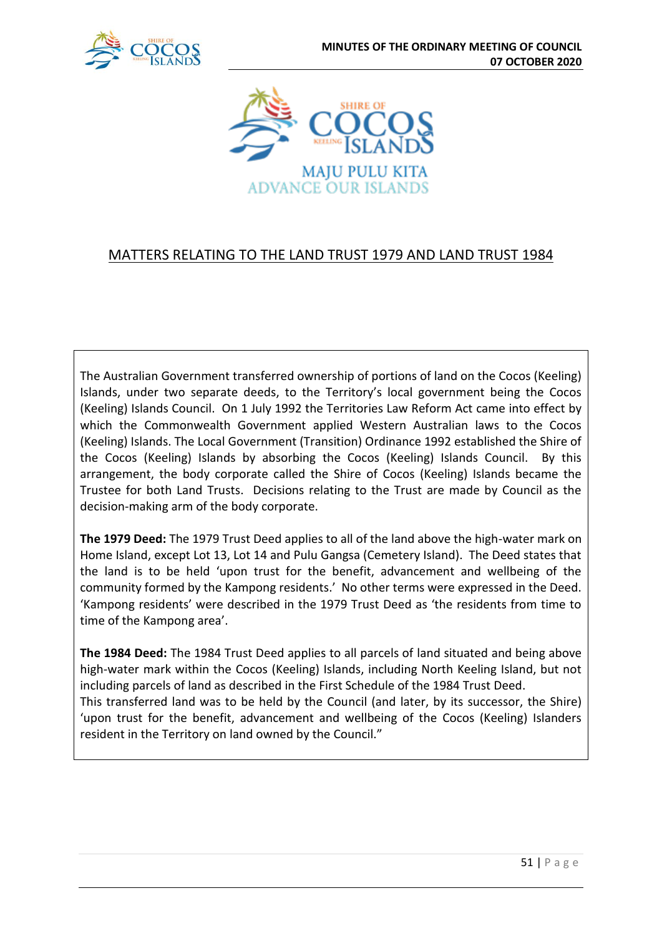



# MATTERS RELATING TO THE LAND TRUST 1979 AND LAND TRUST 1984

The Australian Government transferred ownership of portions of land on the Cocos (Keeling) Islands, under two separate deeds, to the Territory's local government being the Cocos (Keeling) Islands Council. On 1 July 1992 the Territories Law Reform Act came into effect by which the Commonwealth Government applied Western Australian laws to the Cocos (Keeling) Islands. The Local Government (Transition) Ordinance 1992 established the Shire of the Cocos (Keeling) Islands by absorbing the Cocos (Keeling) Islands Council. By this arrangement, the body corporate called the Shire of Cocos (Keeling) Islands became the Trustee for both Land Trusts. Decisions relating to the Trust are made by Council as the decision-making arm of the body corporate.

**The 1979 Deed:** The 1979 Trust Deed applies to all of the land above the high-water mark on Home Island, except Lot 13, Lot 14 and Pulu Gangsa (Cemetery Island). The Deed states that the land is to be held 'upon trust for the benefit, advancement and wellbeing of the community formed by the Kampong residents.' No other terms were expressed in the Deed. 'Kampong residents' were described in the 1979 Trust Deed as 'the residents from time to time of the Kampong area'.

**The 1984 Deed:** The 1984 Trust Deed applies to all parcels of land situated and being above high-water mark within the Cocos (Keeling) Islands, including North Keeling Island, but not including parcels of land as described in the First Schedule of the 1984 Trust Deed. This transferred land was to be held by the Council (and later, by its successor, the Shire) 'upon trust for the benefit, advancement and wellbeing of the Cocos (Keeling) Islanders resident in the Territory on land owned by the Council."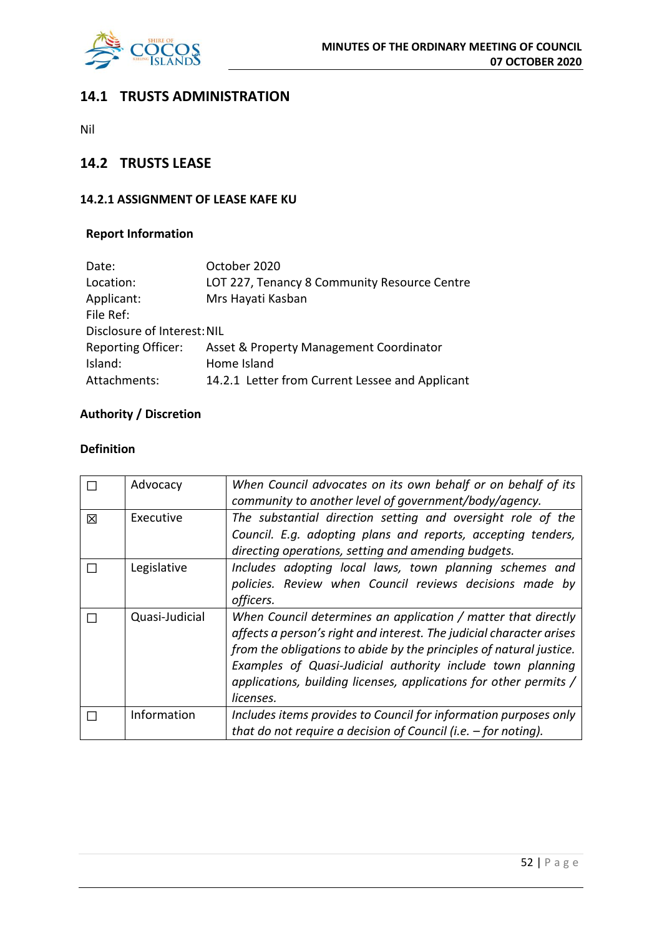

# **14.1 TRUSTS ADMINISTRATION**

Nil

# **14.2 TRUSTS LEASE**

# **14.2.1 ASSIGNMENT OF LEASE KAFE KU**

# **Report Information**

| Date:                       | October 2020                                    |
|-----------------------------|-------------------------------------------------|
| Location:                   | LOT 227, Tenancy 8 Community Resource Centre    |
| Applicant:                  | Mrs Hayati Kasban                               |
| File Ref:                   |                                                 |
| Disclosure of Interest: NIL |                                                 |
| <b>Reporting Officer:</b>   | Asset & Property Management Coordinator         |
| Island:                     | Home Island                                     |
| Attachments:                | 14.2.1 Letter from Current Lessee and Applicant |

# **Authority / Discretion**

# **Definition**

|   | Advocacy       | When Council advocates on its own behalf or on behalf of its<br>community to another level of government/body/agency.                                                                                                                                                                                                                                        |
|---|----------------|--------------------------------------------------------------------------------------------------------------------------------------------------------------------------------------------------------------------------------------------------------------------------------------------------------------------------------------------------------------|
| 区 | Executive      | The substantial direction setting and oversight role of the<br>Council. E.g. adopting plans and reports, accepting tenders,<br>directing operations, setting and amending budgets.                                                                                                                                                                           |
|   | Legislative    | Includes adopting local laws, town planning schemes and<br>policies. Review when Council reviews decisions made by<br>officers.                                                                                                                                                                                                                              |
|   | Quasi-Judicial | When Council determines an application / matter that directly<br>affects a person's right and interest. The judicial character arises<br>from the obligations to abide by the principles of natural justice.<br>Examples of Quasi-Judicial authority include town planning<br>applications, building licenses, applications for other permits /<br>licenses. |
|   | Information    | Includes items provides to Council for information purposes only<br>that do not require a decision of Council (i.e. $-$ for noting).                                                                                                                                                                                                                         |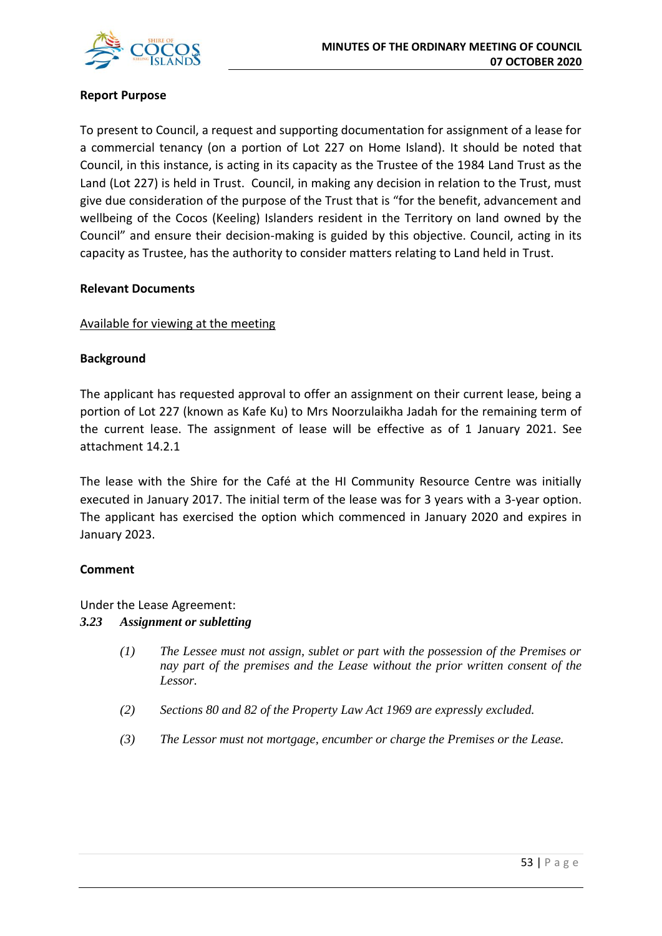

# **Report Purpose**

To present to Council, a request and supporting documentation for assignment of a lease for a commercial tenancy (on a portion of Lot 227 on Home Island). It should be noted that Council, in this instance, is acting in its capacity as the Trustee of the 1984 Land Trust as the Land (Lot 227) is held in Trust. Council, in making any decision in relation to the Trust, must give due consideration of the purpose of the Trust that is "for the benefit, advancement and wellbeing of the Cocos (Keeling) Islanders resident in the Territory on land owned by the Council" and ensure their decision-making is guided by this objective. Council, acting in its capacity as Trustee, has the authority to consider matters relating to Land held in Trust.

# **Relevant Documents**

# Available for viewing at the meeting

# **Background**

The applicant has requested approval to offer an assignment on their current lease, being a portion of Lot 227 (known as Kafe Ku) to Mrs Noorzulaikha Jadah for the remaining term of the current lease. The assignment of lease will be effective as of 1 January 2021. See attachment 14.2.1

The lease with the Shire for the Café at the HI Community Resource Centre was initially executed in January 2017. The initial term of the lease was for 3 years with a 3-year option. The applicant has exercised the option which commenced in January 2020 and expires in January 2023.

# **Comment**

Under the Lease Agreement:

# *3.23 Assignment or subletting*

- *(1) The Lessee must not assign, sublet or part with the possession of the Premises or nay part of the premises and the Lease without the prior written consent of the Lessor.*
- *(2) Sections 80 and 82 of the Property Law Act 1969 are expressly excluded.*
- *(3) The Lessor must not mortgage, encumber or charge the Premises or the Lease.*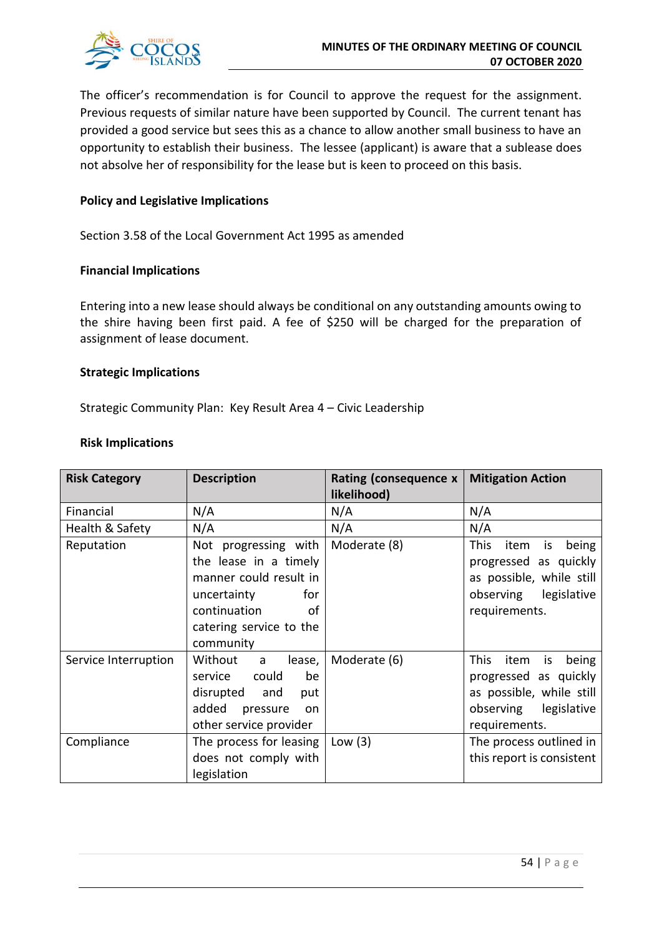

The officer's recommendation is for Council to approve the request for the assignment. Previous requests of similar nature have been supported by Council. The current tenant has provided a good service but sees this as a chance to allow another small business to have an opportunity to establish their business. The lessee (applicant) is aware that a sublease does not absolve her of responsibility for the lease but is keen to proceed on this basis.

# **Policy and Legislative Implications**

Section 3.58 of the Local Government Act 1995 as amended

# **Financial Implications**

Entering into a new lease should always be conditional on any outstanding amounts owing to the shire having been first paid. A fee of \$250 will be charged for the preparation of assignment of lease document.

# **Strategic Implications**

Strategic Community Plan: Key Result Area 4 – Civic Leadership

#### **Risk Implications**

| <b>Risk Category</b> | <b>Description</b>                                                                                                                                          | Rating (consequence x<br>likelihood) | <b>Mitigation Action</b>                                                                                                          |
|----------------------|-------------------------------------------------------------------------------------------------------------------------------------------------------------|--------------------------------------|-----------------------------------------------------------------------------------------------------------------------------------|
| Financial            | N/A                                                                                                                                                         | N/A                                  | N/A                                                                                                                               |
| Health & Safety      | N/A                                                                                                                                                         | N/A                                  | N/A                                                                                                                               |
| Reputation           | Not progressing with<br>the lease in a timely<br>manner could result in<br>for<br>uncertainty<br>continuation<br>of<br>catering service to the<br>community | Moderate (8)                         | <b>This</b><br>item<br>being<br>is<br>progressed as quickly<br>as possible, while still<br>observing legislative<br>requirements. |
| Service Interruption | Without<br>lease,<br>a a<br>could<br>be<br>service<br>disrupted and<br>put<br>added<br>pressure<br><b>on</b><br>other service provider                      | Moderate (6)                         | This<br>item<br>being<br>is<br>progressed as quickly<br>as possible, while still<br>observing legislative<br>requirements.        |
| Compliance           | The process for leasing<br>does not comply with<br>legislation                                                                                              | Low $(3)$                            | The process outlined in<br>this report is consistent                                                                              |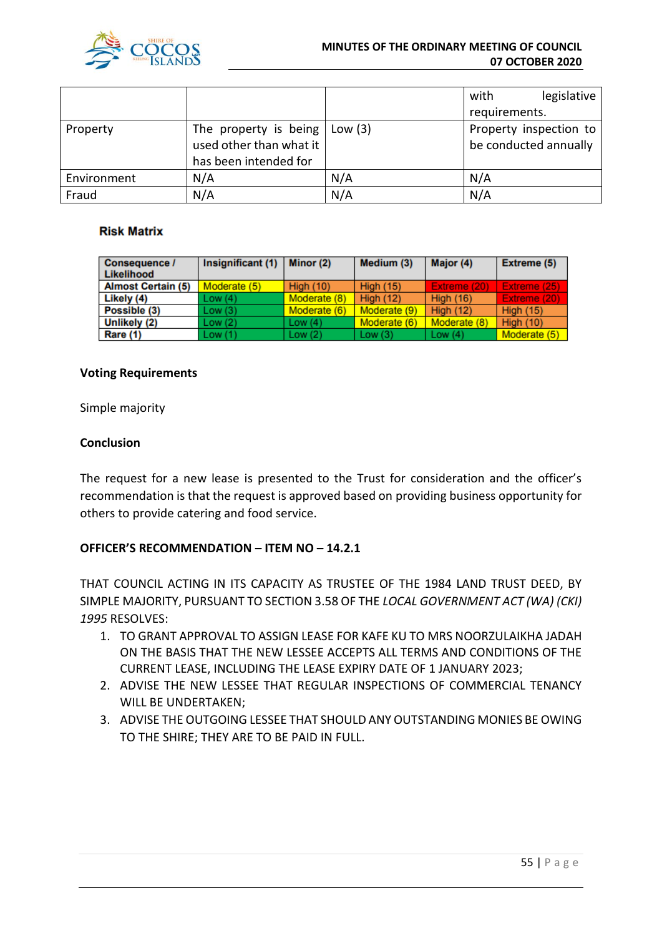

#### **MINUTES OF THE ORDINARY MEETING OF COUNCIL 07 OCTOBER 2020**

|             |                                   |     | with                   | legislative |
|-------------|-----------------------------------|-----|------------------------|-------------|
|             |                                   |     | requirements.          |             |
| Property    | The property is being $ $ Low (3) |     | Property inspection to |             |
|             | used other than what it           |     | be conducted annually  |             |
|             | has been intended for             |     |                        |             |
| Environment | N/A                               | N/A | N/A                    |             |
| Fraud       | N/A                               | N/A | N/A                    |             |

# **Risk Matrix**

| <b>Consequence /</b><br>Likelihood | Insignificant (1) | Minor (2)        | Medium (3)       | Major (4)        | <b>Extreme (5)</b> |
|------------------------------------|-------------------|------------------|------------------|------------------|--------------------|
| <b>Almost Certain (5)</b>          | Moderate (5)      | <b>High (10)</b> | <b>High (15)</b> | Extreme (20)     | Extreme (25)       |
| Likely (4)                         | Low(4)            | Moderate (8)     | <b>High (12)</b> | <b>High (16)</b> | Extreme (20)       |
| Possible (3)                       | Low(3)            | Moderate (6)     | Moderate (9)     | <b>High (12)</b> | High $(15)$        |
| Unlikely (2)                       | Low(2)            | Low $(4)$        | Moderate (6)     | Moderate (8)     | <b>High (10)</b>   |
| Rare (1)                           | Low(1)            | Low(2)           | Low $(3)$        | Low $(4)$        | Moderate (5)       |

# **Voting Requirements**

Simple majority

# **Conclusion**

The request for a new lease is presented to the Trust for consideration and the officer's recommendation is that the request is approved based on providing business opportunity for others to provide catering and food service.

# **OFFICER'S RECOMMENDATION – ITEM NO – 14.2.1**

THAT COUNCIL ACTING IN ITS CAPACITY AS TRUSTEE OF THE 1984 LAND TRUST DEED, BY SIMPLE MAJORITY, PURSUANT TO SECTION 3.58 OF THE *LOCAL GOVERNMENT ACT (WA) (CKI) 1995* RESOLVES:

- 1. TO GRANT APPROVAL TO ASSIGN LEASE FOR KAFE KU TO MRS NOORZULAIKHA JADAH ON THE BASIS THAT THE NEW LESSEE ACCEPTS ALL TERMS AND CONDITIONS OF THE CURRENT LEASE, INCLUDING THE LEASE EXPIRY DATE OF 1 JANUARY 2023;
- 2. ADVISE THE NEW LESSEE THAT REGULAR INSPECTIONS OF COMMERCIAL TENANCY WILL BE UNDERTAKEN;
- 3. ADVISE THE OUTGOING LESSEE THAT SHOULD ANY OUTSTANDING MONIES BE OWING TO THE SHIRE; THEY ARE TO BE PAID IN FULL.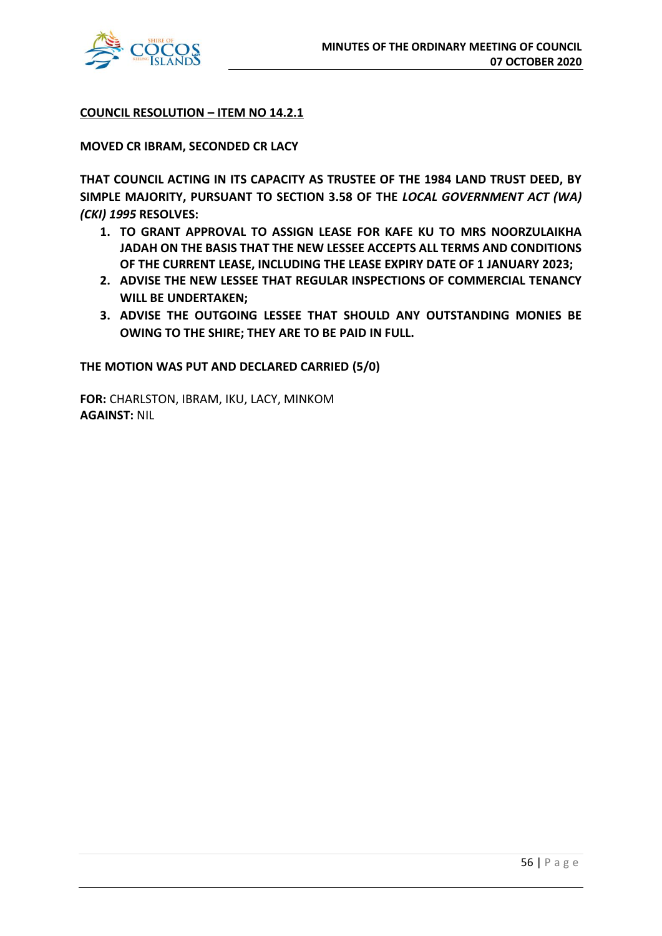

**COUNCIL RESOLUTION – ITEM NO 14.2.1**

**MOVED CR IBRAM, SECONDED CR LACY**

**THAT COUNCIL ACTING IN ITS CAPACITY AS TRUSTEE OF THE 1984 LAND TRUST DEED, BY SIMPLE MAJORITY, PURSUANT TO SECTION 3.58 OF THE** *LOCAL GOVERNMENT ACT (WA) (CKI) 1995* **RESOLVES:**

- **1. TO GRANT APPROVAL TO ASSIGN LEASE FOR KAFE KU TO MRS NOORZULAIKHA JADAH ON THE BASIS THAT THE NEW LESSEE ACCEPTS ALL TERMS AND CONDITIONS OF THE CURRENT LEASE, INCLUDING THE LEASE EXPIRY DATE OF 1 JANUARY 2023;**
- **2. ADVISE THE NEW LESSEE THAT REGULAR INSPECTIONS OF COMMERCIAL TENANCY WILL BE UNDERTAKEN;**
- **3. ADVISE THE OUTGOING LESSEE THAT SHOULD ANY OUTSTANDING MONIES BE OWING TO THE SHIRE; THEY ARE TO BE PAID IN FULL.**

**THE MOTION WAS PUT AND DECLARED CARRIED (5/0)**

**FOR:** CHARLSTON, IBRAM, IKU, LACY, MINKOM **AGAINST:** NIL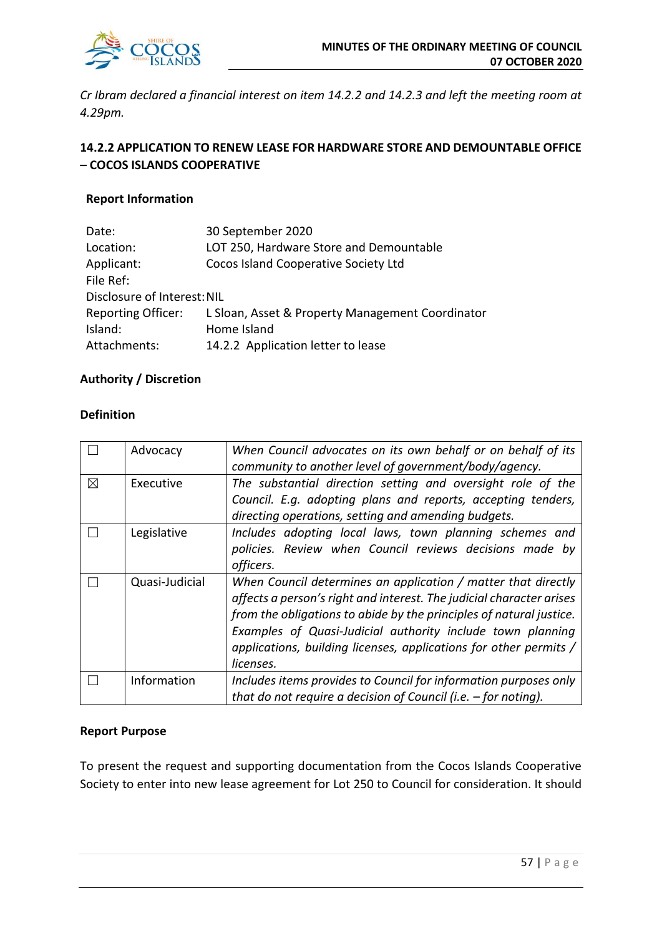

*Cr Ibram declared a financial interest on item 14.2.2 and 14.2.3 and left the meeting room at 4.29pm.*

# **14.2.2 APPLICATION TO RENEW LEASE FOR HARDWARE STORE AND DEMOUNTABLE OFFICE – COCOS ISLANDS COOPERATIVE**

# **Report Information**

| Date:                       | 30 September 2020                                |
|-----------------------------|--------------------------------------------------|
| Location:                   | LOT 250, Hardware Store and Demountable          |
| Applicant:                  | Cocos Island Cooperative Society Ltd             |
| File Ref:                   |                                                  |
| Disclosure of Interest: NIL |                                                  |
| <b>Reporting Officer:</b>   | L Sloan, Asset & Property Management Coordinator |
| Island:                     | Home Island                                      |
| Attachments:                | 14.2.2 Application letter to lease               |

# **Authority / Discretion**

# **Definition**

|             | Advocacy       | When Council advocates on its own behalf or on behalf of its         |
|-------------|----------------|----------------------------------------------------------------------|
|             |                | community to another level of government/body/agency.                |
| $\boxtimes$ | Executive      | The substantial direction setting and oversight role of the          |
|             |                | Council. E.g. adopting plans and reports, accepting tenders,         |
|             |                | directing operations, setting and amending budgets.                  |
|             | Legislative    | Includes adopting local laws, town planning schemes and              |
|             |                | policies. Review when Council reviews decisions made by              |
|             |                | officers.                                                            |
|             | Quasi-Judicial | When Council determines an application / matter that directly        |
|             |                | affects a person's right and interest. The judicial character arises |
|             |                | from the obligations to abide by the principles of natural justice.  |
|             |                | Examples of Quasi-Judicial authority include town planning           |
|             |                | applications, building licenses, applications for other permits /    |
|             |                | licenses.                                                            |
|             | Information    | Includes items provides to Council for information purposes only     |
|             |                | that do not require a decision of Council (i.e. $-$ for noting).     |

# **Report Purpose**

To present the request and supporting documentation from the Cocos Islands Cooperative Society to enter into new lease agreement for Lot 250 to Council for consideration. It should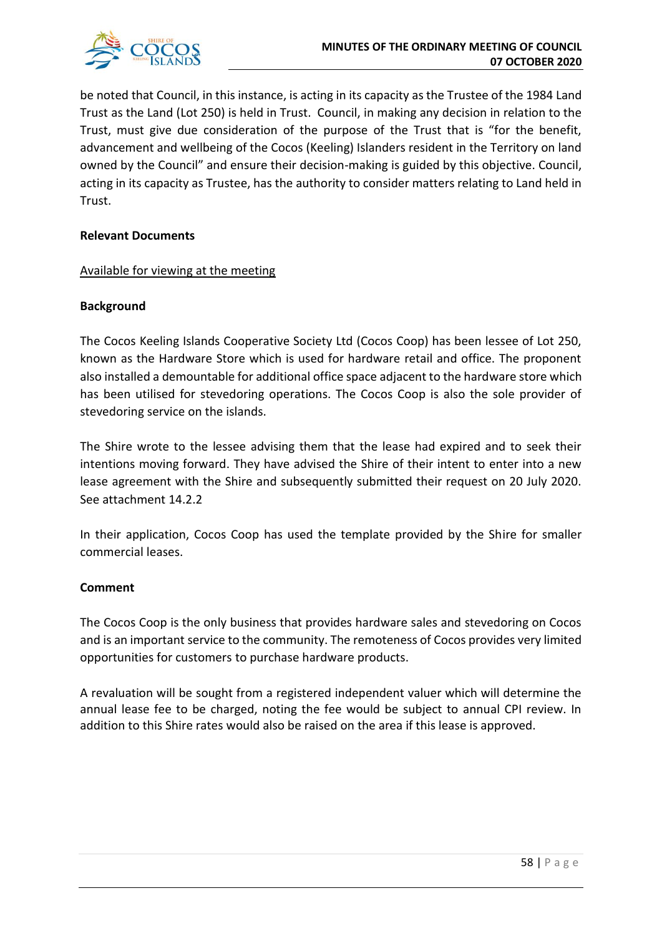

be noted that Council, in this instance, is acting in its capacity as the Trustee of the 1984 Land Trust as the Land (Lot 250) is held in Trust. Council, in making any decision in relation to the Trust, must give due consideration of the purpose of the Trust that is "for the benefit, advancement and wellbeing of the Cocos (Keeling) Islanders resident in the Territory on land owned by the Council" and ensure their decision-making is guided by this objective. Council, acting in its capacity as Trustee, has the authority to consider matters relating to Land held in Trust.

# **Relevant Documents**

# Available for viewing at the meeting

# **Background**

The Cocos Keeling Islands Cooperative Society Ltd (Cocos Coop) has been lessee of Lot 250, known as the Hardware Store which is used for hardware retail and office. The proponent also installed a demountable for additional office space adjacent to the hardware store which has been utilised for stevedoring operations. The Cocos Coop is also the sole provider of stevedoring service on the islands.

The Shire wrote to the lessee advising them that the lease had expired and to seek their intentions moving forward. They have advised the Shire of their intent to enter into a new lease agreement with the Shire and subsequently submitted their request on 20 July 2020. See attachment 14.2.2

In their application, Cocos Coop has used the template provided by the Shire for smaller commercial leases.

# **Comment**

The Cocos Coop is the only business that provides hardware sales and stevedoring on Cocos and is an important service to the community. The remoteness of Cocos provides very limited opportunities for customers to purchase hardware products.

A revaluation will be sought from a registered independent valuer which will determine the annual lease fee to be charged, noting the fee would be subject to annual CPI review. In addition to this Shire rates would also be raised on the area if this lease is approved.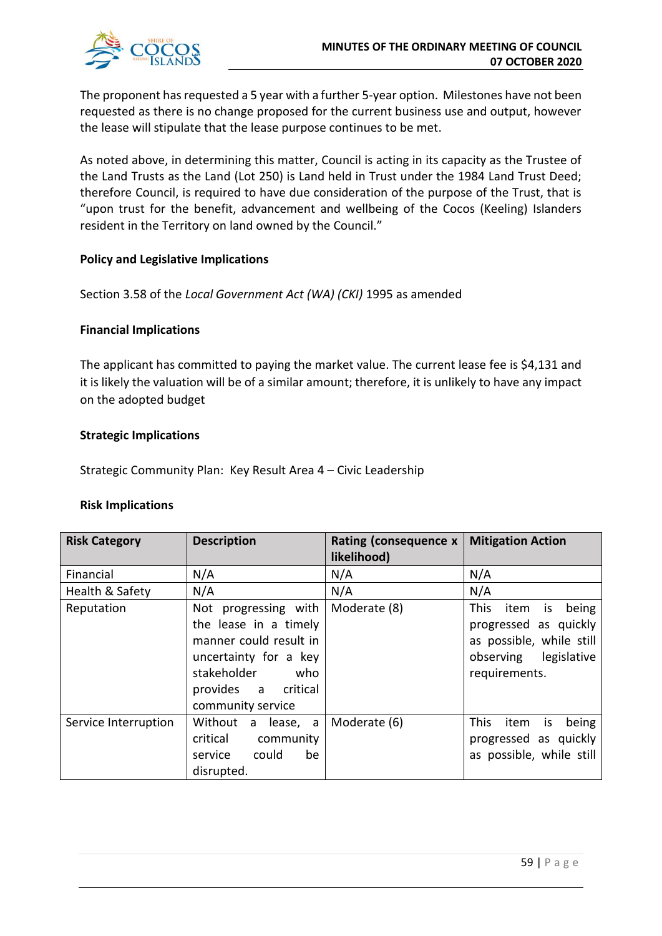

The proponent has requested a 5 year with a further 5-year option. Milestones have not been requested as there is no change proposed for the current business use and output, however the lease will stipulate that the lease purpose continues to be met.

As noted above, in determining this matter, Council is acting in its capacity as the Trustee of the Land Trusts as the Land (Lot 250) is Land held in Trust under the 1984 Land Trust Deed; therefore Council, is required to have due consideration of the purpose of the Trust, that is "upon trust for the benefit, advancement and wellbeing of the Cocos (Keeling) Islanders resident in the Territory on land owned by the Council."

# **Policy and Legislative Implications**

Section 3.58 of the *Local Government Act (WA) (CKI)* 1995 as amended

# **Financial Implications**

The applicant has committed to paying the market value. The current lease fee is \$4,131 and it is likely the valuation will be of a similar amount; therefore, it is unlikely to have any impact on the adopted budget

# **Strategic Implications**

Strategic Community Plan: Key Result Area 4 – Civic Leadership

#### **Risk Implications**

| <b>Risk Category</b> | <b>Description</b>                                                                                                                                                 | Rating (consequence x<br>likelihood) | <b>Mitigation Action</b>                                                                                                   |
|----------------------|--------------------------------------------------------------------------------------------------------------------------------------------------------------------|--------------------------------------|----------------------------------------------------------------------------------------------------------------------------|
| Financial            | N/A                                                                                                                                                                | N/A                                  | N/A                                                                                                                        |
| Health & Safety      | N/A                                                                                                                                                                | N/A                                  | N/A                                                                                                                        |
| Reputation           | Not progressing with<br>the lease in a timely<br>manner could result in<br>uncertainty for a key<br>stakeholder<br>who<br>provides a critical<br>community service | Moderate (8)                         | This<br>item<br>being<br>is<br>progressed as quickly<br>as possible, while still<br>observing legislative<br>requirements. |
| Service Interruption | Without<br>a lease, a<br>critical<br>community<br>could<br>be<br>service<br>disrupted.                                                                             | Moderate (6)                         | This<br>item<br>being<br><b>is</b><br>progressed as quickly<br>as possible, while still                                    |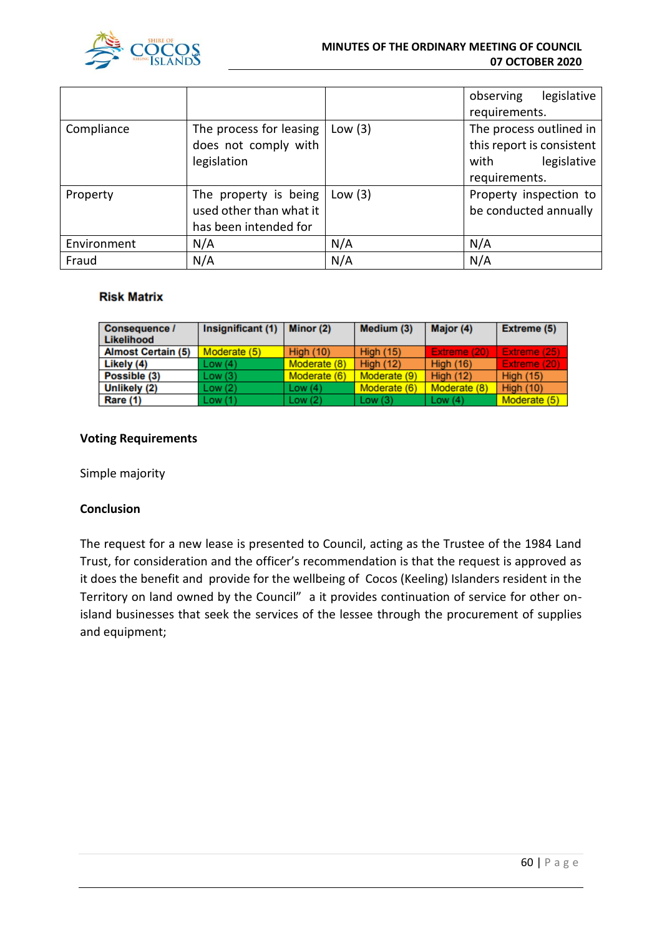

#### **MINUTES OF THE ORDINARY MEETING OF COUNCIL 07 OCTOBER 2020**

|             |                                                                           |           | legislative<br>observing<br>requirements.                                                    |
|-------------|---------------------------------------------------------------------------|-----------|----------------------------------------------------------------------------------------------|
| Compliance  | The process for leasing<br>does not comply with<br>legislation            | Low $(3)$ | The process outlined in<br>this report is consistent<br>legislative<br>with<br>requirements. |
| Property    | The property is being<br>used other than what it<br>has been intended for | Low $(3)$ | Property inspection to<br>be conducted annually                                              |
| Environment | N/A                                                                       | N/A       | N/A                                                                                          |
| Fraud       | N/A                                                                       | N/A       | N/A                                                                                          |

# **Risk Matrix**

| Consequence /<br>Likelihood | Insignificant (1) | Minor $(2)$      | Medium (3)       | Major (4)        | Extreme (5)      |
|-----------------------------|-------------------|------------------|------------------|------------------|------------------|
| <b>Almost Certain (5)</b>   | Moderate (5)      | <b>High (10)</b> | <b>High (15)</b> | Extreme (20)     | Extreme (25)     |
| Likely (4)                  | Low(4)            | Moderate (8)     | High $(12)$      | <b>High (16)</b> | Extreme (20)     |
| Possible (3)                | Low(3)            | Moderate (6)     | Moderate (9)     | High $(12)$      | <b>High (15)</b> |
| Unlikely (2)                | Low(2)            | Low $(4)$        | Moderate (6)     | Moderate (8)     | <b>High (10)</b> |
| Rare (1)                    | Low(1)            | Low(2)           | Low $(3)$        | Low $(4)$        | Moderate (5)     |

# **Voting Requirements**

Simple majority

# **Conclusion**

The request for a new lease is presented to Council, acting as the Trustee of the 1984 Land Trust, for consideration and the officer's recommendation is that the request is approved as it does the benefit and provide for the wellbeing of Cocos (Keeling) Islanders resident in the Territory on land owned by the Council" a it provides continuation of service for other onisland businesses that seek the services of the lessee through the procurement of supplies and equipment;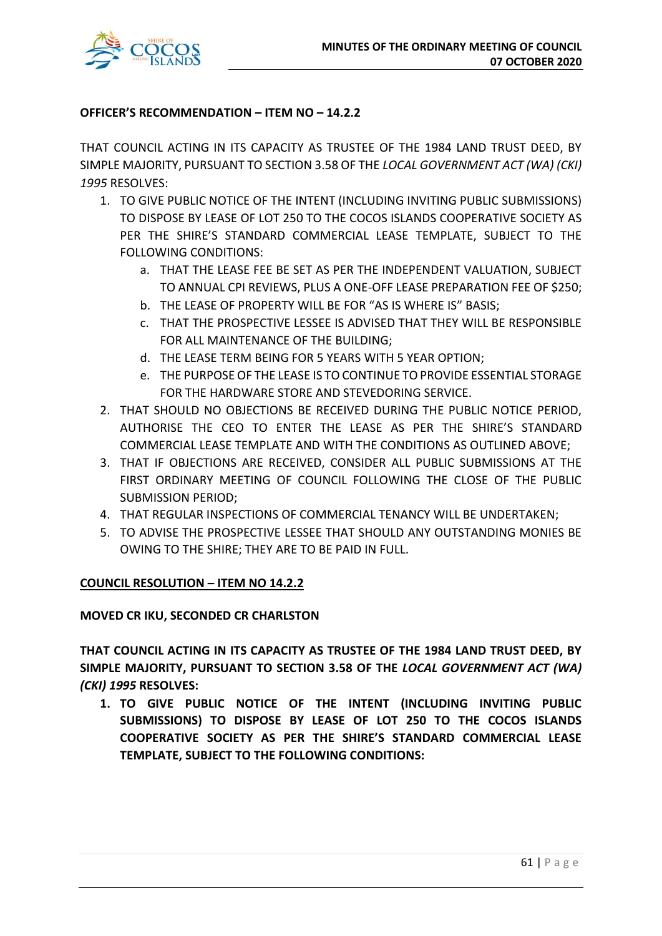

# **OFFICER'S RECOMMENDATION – ITEM NO – 14.2.2**

THAT COUNCIL ACTING IN ITS CAPACITY AS TRUSTEE OF THE 1984 LAND TRUST DEED, BY SIMPLE MAJORITY, PURSUANT TO SECTION 3.58 OF THE *LOCAL GOVERNMENT ACT (WA) (CKI) 1995* RESOLVES:

- 1. TO GIVE PUBLIC NOTICE OF THE INTENT (INCLUDING INVITING PUBLIC SUBMISSIONS) TO DISPOSE BY LEASE OF LOT 250 TO THE COCOS ISLANDS COOPERATIVE SOCIETY AS PER THE SHIRE'S STANDARD COMMERCIAL LEASE TEMPLATE, SUBJECT TO THE FOLLOWING CONDITIONS:
	- a. THAT THE LEASE FEE BE SET AS PER THE INDEPENDENT VALUATION, SUBJECT TO ANNUAL CPI REVIEWS, PLUS A ONE-OFF LEASE PREPARATION FEE OF \$250;
	- b. THE LEASE OF PROPERTY WILL BE FOR "AS IS WHERE IS" BASIS;
	- c. THAT THE PROSPECTIVE LESSEE IS ADVISED THAT THEY WILL BE RESPONSIBLE FOR ALL MAINTENANCE OF THE BUILDING;
	- d. THE LEASE TERM BEING FOR 5 YEARS WITH 5 YEAR OPTION;
	- e. THE PURPOSE OF THE LEASE IS TO CONTINUE TO PROVIDE ESSENTIAL STORAGE FOR THE HARDWARE STORE AND STEVEDORING SERVICE.
- 2. THAT SHOULD NO OBJECTIONS BE RECEIVED DURING THE PUBLIC NOTICE PERIOD, AUTHORISE THE CEO TO ENTER THE LEASE AS PER THE SHIRE'S STANDARD COMMERCIAL LEASE TEMPLATE AND WITH THE CONDITIONS AS OUTLINED ABOVE;
- 3. THAT IF OBJECTIONS ARE RECEIVED, CONSIDER ALL PUBLIC SUBMISSIONS AT THE FIRST ORDINARY MEETING OF COUNCIL FOLLOWING THE CLOSE OF THE PUBLIC SUBMISSION PERIOD;
- 4. THAT REGULAR INSPECTIONS OF COMMERCIAL TENANCY WILL BE UNDERTAKEN;
- 5. TO ADVISE THE PROSPECTIVE LESSEE THAT SHOULD ANY OUTSTANDING MONIES BE OWING TO THE SHIRE; THEY ARE TO BE PAID IN FULL.

# **COUNCIL RESOLUTION – ITEM NO 14.2.2**

# **MOVED CR IKU, SECONDED CR CHARLSTON**

**THAT COUNCIL ACTING IN ITS CAPACITY AS TRUSTEE OF THE 1984 LAND TRUST DEED, BY SIMPLE MAJORITY, PURSUANT TO SECTION 3.58 OF THE** *LOCAL GOVERNMENT ACT (WA) (CKI) 1995* **RESOLVES:**

**1. TO GIVE PUBLIC NOTICE OF THE INTENT (INCLUDING INVITING PUBLIC SUBMISSIONS) TO DISPOSE BY LEASE OF LOT 250 TO THE COCOS ISLANDS COOPERATIVE SOCIETY AS PER THE SHIRE'S STANDARD COMMERCIAL LEASE TEMPLATE, SUBJECT TO THE FOLLOWING CONDITIONS:**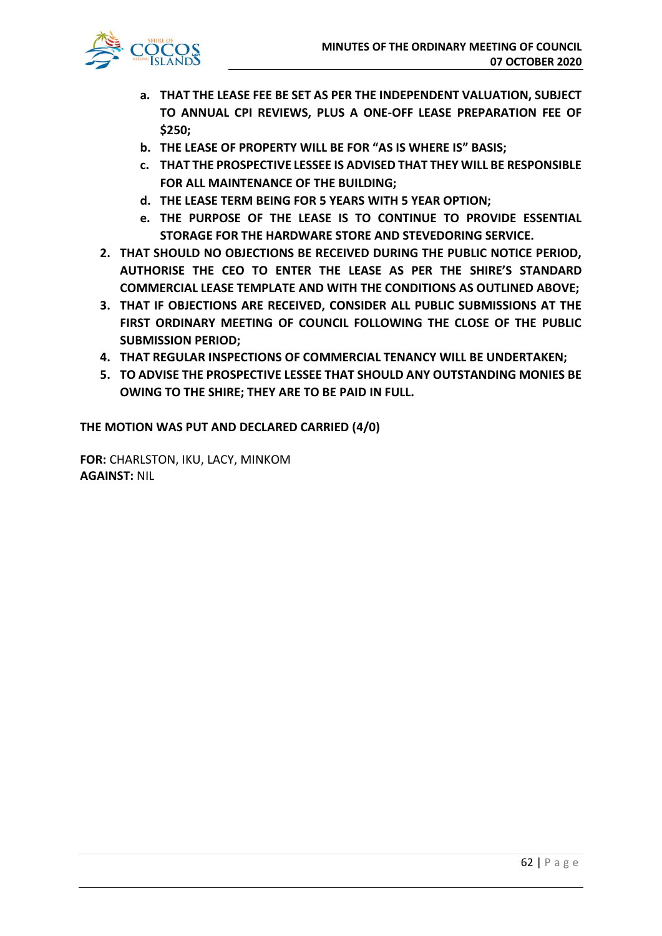

- **a. THAT THE LEASE FEE BE SET AS PER THE INDEPENDENT VALUATION, SUBJECT TO ANNUAL CPI REVIEWS, PLUS A ONE-OFF LEASE PREPARATION FEE OF \$250;**
- **b. THE LEASE OF PROPERTY WILL BE FOR "AS IS WHERE IS" BASIS;**
- **c. THAT THE PROSPECTIVE LESSEE IS ADVISED THAT THEY WILL BE RESPONSIBLE FOR ALL MAINTENANCE OF THE BUILDING;**
- **d. THE LEASE TERM BEING FOR 5 YEARS WITH 5 YEAR OPTION;**
- **e. THE PURPOSE OF THE LEASE IS TO CONTINUE TO PROVIDE ESSENTIAL STORAGE FOR THE HARDWARE STORE AND STEVEDORING SERVICE.**
- **2. THAT SHOULD NO OBJECTIONS BE RECEIVED DURING THE PUBLIC NOTICE PERIOD, AUTHORISE THE CEO TO ENTER THE LEASE AS PER THE SHIRE'S STANDARD COMMERCIAL LEASE TEMPLATE AND WITH THE CONDITIONS AS OUTLINED ABOVE;**
- **3. THAT IF OBJECTIONS ARE RECEIVED, CONSIDER ALL PUBLIC SUBMISSIONS AT THE FIRST ORDINARY MEETING OF COUNCIL FOLLOWING THE CLOSE OF THE PUBLIC SUBMISSION PERIOD;**
- **4. THAT REGULAR INSPECTIONS OF COMMERCIAL TENANCY WILL BE UNDERTAKEN;**
- **5. TO ADVISE THE PROSPECTIVE LESSEE THAT SHOULD ANY OUTSTANDING MONIES BE OWING TO THE SHIRE; THEY ARE TO BE PAID IN FULL.**

**THE MOTION WAS PUT AND DECLARED CARRIED (4/0)**

**FOR:** CHARLSTON, IKU, LACY, MINKOM **AGAINST:** NIL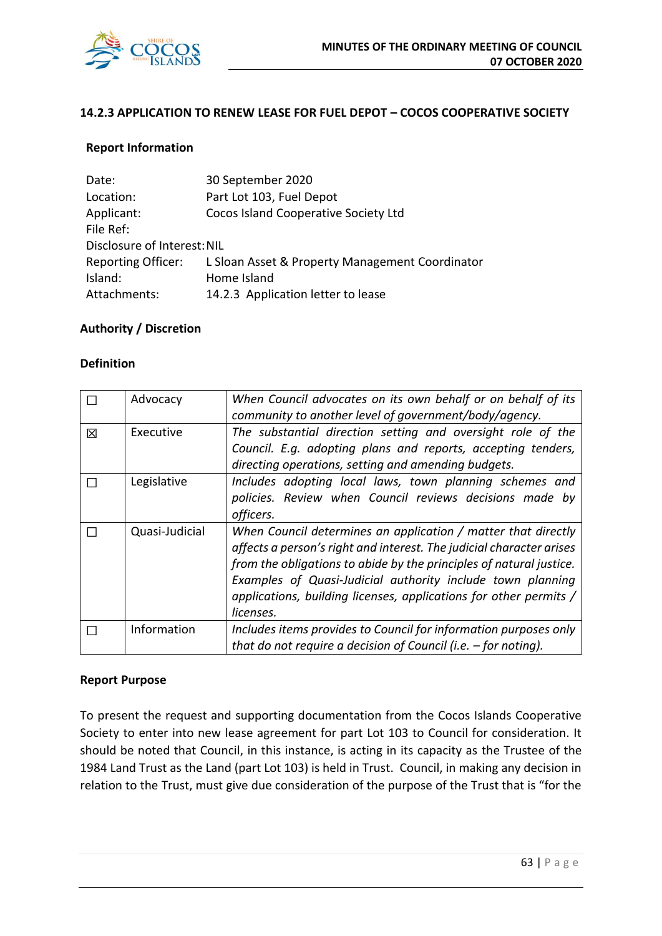

# **14.2.3 APPLICATION TO RENEW LEASE FOR FUEL DEPOT – COCOS COOPERATIVE SOCIETY**

#### **Report Information**

| Date:                       | 30 September 2020                               |
|-----------------------------|-------------------------------------------------|
| Location:                   | Part Lot 103, Fuel Depot                        |
| Applicant:                  | Cocos Island Cooperative Society Ltd            |
| File Ref:                   |                                                 |
| Disclosure of Interest: NIL |                                                 |
| <b>Reporting Officer:</b>   | L Sloan Asset & Property Management Coordinator |
| Island:                     | Home Island                                     |
| Attachments:                | 14.2.3 Application letter to lease              |

# **Authority / Discretion**

#### **Definition**

|   | Advocacy       | When Council advocates on its own behalf or on behalf of its<br>community to another level of government/body/agency.                                                                                                                                                                                                                                        |
|---|----------------|--------------------------------------------------------------------------------------------------------------------------------------------------------------------------------------------------------------------------------------------------------------------------------------------------------------------------------------------------------------|
| 区 | Executive      | The substantial direction setting and oversight role of the<br>Council. E.g. adopting plans and reports, accepting tenders,<br>directing operations, setting and amending budgets.                                                                                                                                                                           |
|   | Legislative    | Includes adopting local laws, town planning schemes and<br>policies. Review when Council reviews decisions made by<br>officers.                                                                                                                                                                                                                              |
|   | Quasi-Judicial | When Council determines an application / matter that directly<br>affects a person's right and interest. The judicial character arises<br>from the obligations to abide by the principles of natural justice.<br>Examples of Quasi-Judicial authority include town planning<br>applications, building licenses, applications for other permits /<br>licenses. |
|   | Information    | Includes items provides to Council for information purposes only<br>that do not require a decision of Council (i.e. $-$ for noting).                                                                                                                                                                                                                         |

#### **Report Purpose**

To present the request and supporting documentation from the Cocos Islands Cooperative Society to enter into new lease agreement for part Lot 103 to Council for consideration. It should be noted that Council, in this instance, is acting in its capacity as the Trustee of the 1984 Land Trust as the Land (part Lot 103) is held in Trust. Council, in making any decision in relation to the Trust, must give due consideration of the purpose of the Trust that is "for the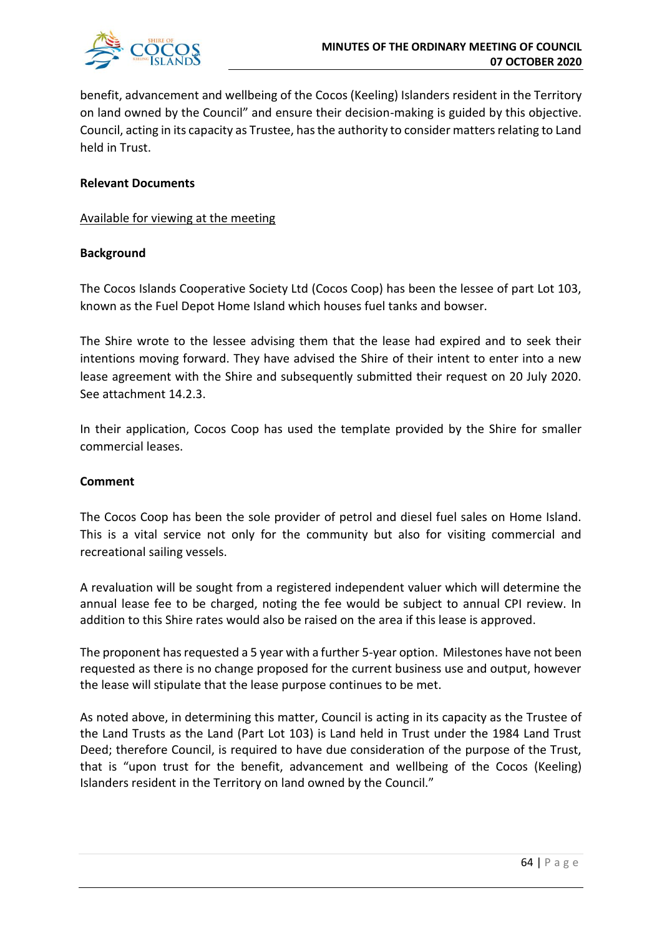

benefit, advancement and wellbeing of the Cocos (Keeling) Islanders resident in the Territory on land owned by the Council" and ensure their decision-making is guided by this objective. Council, acting in its capacity as Trustee, has the authority to consider matters relating to Land held in Trust.

#### **Relevant Documents**

#### Available for viewing at the meeting

# **Background**

The Cocos Islands Cooperative Society Ltd (Cocos Coop) has been the lessee of part Lot 103, known as the Fuel Depot Home Island which houses fuel tanks and bowser.

The Shire wrote to the lessee advising them that the lease had expired and to seek their intentions moving forward. They have advised the Shire of their intent to enter into a new lease agreement with the Shire and subsequently submitted their request on 20 July 2020. See attachment 14.2.3.

In their application, Cocos Coop has used the template provided by the Shire for smaller commercial leases.

#### **Comment**

The Cocos Coop has been the sole provider of petrol and diesel fuel sales on Home Island. This is a vital service not only for the community but also for visiting commercial and recreational sailing vessels.

A revaluation will be sought from a registered independent valuer which will determine the annual lease fee to be charged, noting the fee would be subject to annual CPI review. In addition to this Shire rates would also be raised on the area if this lease is approved.

The proponent has requested a 5 year with a further 5-year option. Milestones have not been requested as there is no change proposed for the current business use and output, however the lease will stipulate that the lease purpose continues to be met.

As noted above, in determining this matter, Council is acting in its capacity as the Trustee of the Land Trusts as the Land (Part Lot 103) is Land held in Trust under the 1984 Land Trust Deed; therefore Council, is required to have due consideration of the purpose of the Trust, that is "upon trust for the benefit, advancement and wellbeing of the Cocos (Keeling) Islanders resident in the Territory on land owned by the Council."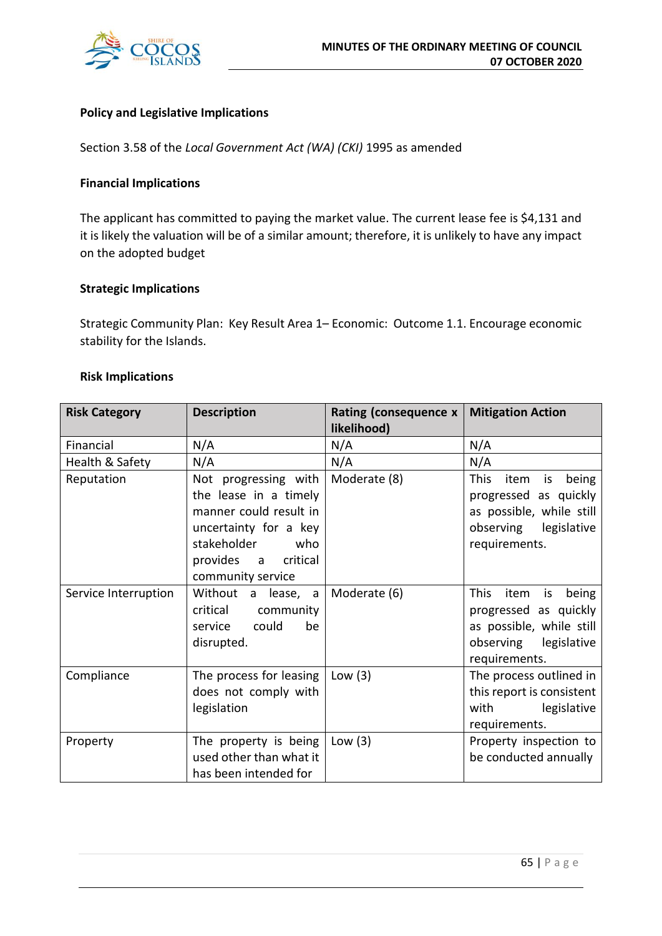

# **Policy and Legislative Implications**

Section 3.58 of the *Local Government Act (WA) (CKI)* 1995 as amended

# **Financial Implications**

The applicant has committed to paying the market value. The current lease fee is \$4,131 and it is likely the valuation will be of a similar amount; therefore, it is unlikely to have any impact on the adopted budget

# **Strategic Implications**

Strategic Community Plan: Key Result Area 1– Economic: Outcome 1.1. Encourage economic stability for the Islands.

#### **Risk Implications**

| <b>Risk Category</b> | <b>Description</b>                                                                                                                                                    | Rating (consequence x<br>likelihood) | <b>Mitigation Action</b>                                                                                                   |
|----------------------|-----------------------------------------------------------------------------------------------------------------------------------------------------------------------|--------------------------------------|----------------------------------------------------------------------------------------------------------------------------|
| Financial            | N/A                                                                                                                                                                   | N/A                                  | N/A                                                                                                                        |
| Health & Safety      | N/A                                                                                                                                                                   | N/A                                  | N/A                                                                                                                        |
| Reputation           | Not progressing with<br>the lease in a timely<br>manner could result in<br>uncertainty for a key<br>stakeholder<br>who<br>provides a<br>critical<br>community service | Moderate (8)                         | This<br>item<br>being<br>is<br>progressed as quickly<br>as possible, while still<br>observing legislative<br>requirements. |
| Service Interruption | Without a lease, a<br>critical<br>community<br>could<br>be<br>service<br>disrupted.                                                                                   | Moderate (6)                         | This<br>item<br>being<br>is<br>progressed as quickly<br>as possible, while still<br>observing legislative<br>requirements. |
| Compliance           | The process for leasing<br>does not comply with<br>legislation                                                                                                        | Low $(3)$                            | The process outlined in<br>this report is consistent<br>legislative<br>with<br>requirements.                               |
| Property             | The property is being<br>used other than what it<br>has been intended for                                                                                             | Low $(3)$                            | Property inspection to<br>be conducted annually                                                                            |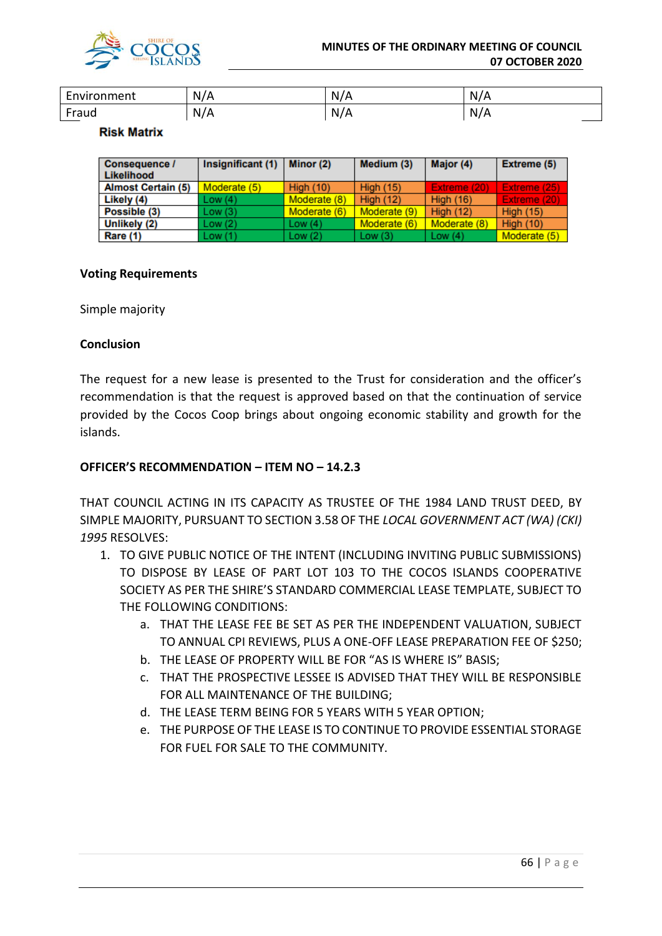

| -<br>nvironment <sup>.</sup> | N | N.<br><b>V</b> | N<br>. . |
|------------------------------|---|----------------|----------|
| raud                         | M | N.<br>. .      | N<br>. . |

#### **Risk Matrix**

| <b>Consequence /</b><br>Likelihood | Insignificant (1) | Minor (2)        | Medium (3)       | Major (4)        | <b>Extreme (5)</b> |
|------------------------------------|-------------------|------------------|------------------|------------------|--------------------|
| <b>Almost Certain (5)</b>          | Moderate (5)      | <b>High (10)</b> | <b>High (15)</b> | Extreme (20)     | Extreme (25)       |
| Likely (4)                         | Low(4)            | Moderate (8)     | <b>High (12)</b> | <b>High (16)</b> | Extreme (20)       |
| Possible (3)                       | Low(3)            | Moderate (6)     | Moderate (9)     | High $(12)$      | <b>High (15)</b>   |
| Unlikely (2)                       | Low(2)            | Low $(4)$        | Moderate (6)     | Moderate (8)     | <b>High (10)</b>   |
| Rare (1)                           | Low(1)            | Low(2)           | Low $(3)$        | Low $(4)$        | Moderate (5)       |

# **Voting Requirements**

Simple majority

# **Conclusion**

The request for a new lease is presented to the Trust for consideration and the officer's recommendation is that the request is approved based on that the continuation of service provided by the Cocos Coop brings about ongoing economic stability and growth for the islands.

# **OFFICER'S RECOMMENDATION – ITEM NO – 14.2.3**

THAT COUNCIL ACTING IN ITS CAPACITY AS TRUSTEE OF THE 1984 LAND TRUST DEED, BY SIMPLE MAJORITY, PURSUANT TO SECTION 3.58 OF THE *LOCAL GOVERNMENT ACT (WA) (CKI) 1995* RESOLVES:

- 1. TO GIVE PUBLIC NOTICE OF THE INTENT (INCLUDING INVITING PUBLIC SUBMISSIONS) TO DISPOSE BY LEASE OF PART LOT 103 TO THE COCOS ISLANDS COOPERATIVE SOCIETY AS PER THE SHIRE'S STANDARD COMMERCIAL LEASE TEMPLATE, SUBJECT TO THE FOLLOWING CONDITIONS:
	- a. THAT THE LEASE FEE BE SET AS PER THE INDEPENDENT VALUATION, SUBJECT TO ANNUAL CPI REVIEWS, PLUS A ONE-OFF LEASE PREPARATION FEE OF \$250;
	- b. THE LEASE OF PROPERTY WILL BE FOR "AS IS WHERE IS" BASIS;
	- c. THAT THE PROSPECTIVE LESSEE IS ADVISED THAT THEY WILL BE RESPONSIBLE FOR ALL MAINTENANCE OF THE BUILDING;
	- d. THE LEASE TERM BEING FOR 5 YEARS WITH 5 YEAR OPTION;
	- e. THE PURPOSE OF THE LEASE IS TO CONTINUE TO PROVIDE ESSENTIAL STORAGE FOR FUEL FOR SALE TO THE COMMUNITY.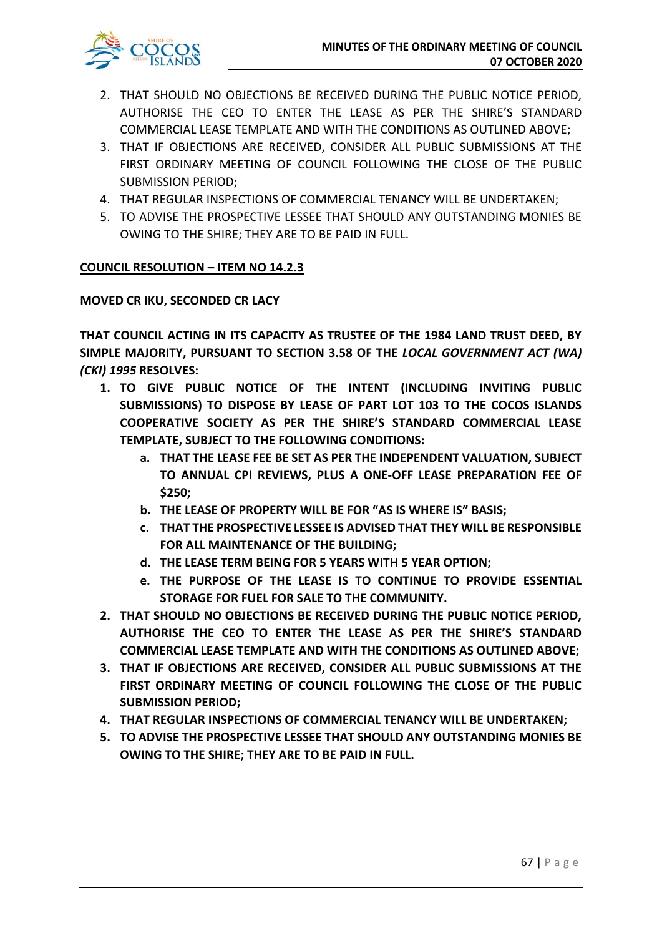

- 2. THAT SHOULD NO OBJECTIONS BE RECEIVED DURING THE PUBLIC NOTICE PERIOD, AUTHORISE THE CEO TO ENTER THE LEASE AS PER THE SHIRE'S STANDARD COMMERCIAL LEASE TEMPLATE AND WITH THE CONDITIONS AS OUTLINED ABOVE;
- 3. THAT IF OBJECTIONS ARE RECEIVED, CONSIDER ALL PUBLIC SUBMISSIONS AT THE FIRST ORDINARY MEETING OF COUNCIL FOLLOWING THE CLOSE OF THE PUBLIC SUBMISSION PERIOD;
- 4. THAT REGULAR INSPECTIONS OF COMMERCIAL TENANCY WILL BE UNDERTAKEN;
- 5. TO ADVISE THE PROSPECTIVE LESSEE THAT SHOULD ANY OUTSTANDING MONIES BE OWING TO THE SHIRE; THEY ARE TO BE PAID IN FULL.

# **COUNCIL RESOLUTION – ITEM NO 14.2.3**

# **MOVED CR IKU, SECONDED CR LACY**

**THAT COUNCIL ACTING IN ITS CAPACITY AS TRUSTEE OF THE 1984 LAND TRUST DEED, BY SIMPLE MAJORITY, PURSUANT TO SECTION 3.58 OF THE** *LOCAL GOVERNMENT ACT (WA) (CKI) 1995* **RESOLVES:**

- **1. TO GIVE PUBLIC NOTICE OF THE INTENT (INCLUDING INVITING PUBLIC SUBMISSIONS) TO DISPOSE BY LEASE OF PART LOT 103 TO THE COCOS ISLANDS COOPERATIVE SOCIETY AS PER THE SHIRE'S STANDARD COMMERCIAL LEASE TEMPLATE, SUBJECT TO THE FOLLOWING CONDITIONS:**
	- **a. THAT THE LEASE FEE BE SET AS PER THE INDEPENDENT VALUATION, SUBJECT TO ANNUAL CPI REVIEWS, PLUS A ONE-OFF LEASE PREPARATION FEE OF \$250;**
	- **b. THE LEASE OF PROPERTY WILL BE FOR "AS IS WHERE IS" BASIS;**
	- **c. THAT THE PROSPECTIVE LESSEE IS ADVISED THAT THEY WILL BE RESPONSIBLE FOR ALL MAINTENANCE OF THE BUILDING;**
	- **d. THE LEASE TERM BEING FOR 5 YEARS WITH 5 YEAR OPTION;**
	- **e. THE PURPOSE OF THE LEASE IS TO CONTINUE TO PROVIDE ESSENTIAL STORAGE FOR FUEL FOR SALE TO THE COMMUNITY.**
- **2. THAT SHOULD NO OBJECTIONS BE RECEIVED DURING THE PUBLIC NOTICE PERIOD, AUTHORISE THE CEO TO ENTER THE LEASE AS PER THE SHIRE'S STANDARD COMMERCIAL LEASE TEMPLATE AND WITH THE CONDITIONS AS OUTLINED ABOVE;**
- **3. THAT IF OBJECTIONS ARE RECEIVED, CONSIDER ALL PUBLIC SUBMISSIONS AT THE FIRST ORDINARY MEETING OF COUNCIL FOLLOWING THE CLOSE OF THE PUBLIC SUBMISSION PERIOD;**
- **4. THAT REGULAR INSPECTIONS OF COMMERCIAL TENANCY WILL BE UNDERTAKEN;**
- **5. TO ADVISE THE PROSPECTIVE LESSEE THAT SHOULD ANY OUTSTANDING MONIES BE OWING TO THE SHIRE; THEY ARE TO BE PAID IN FULL.**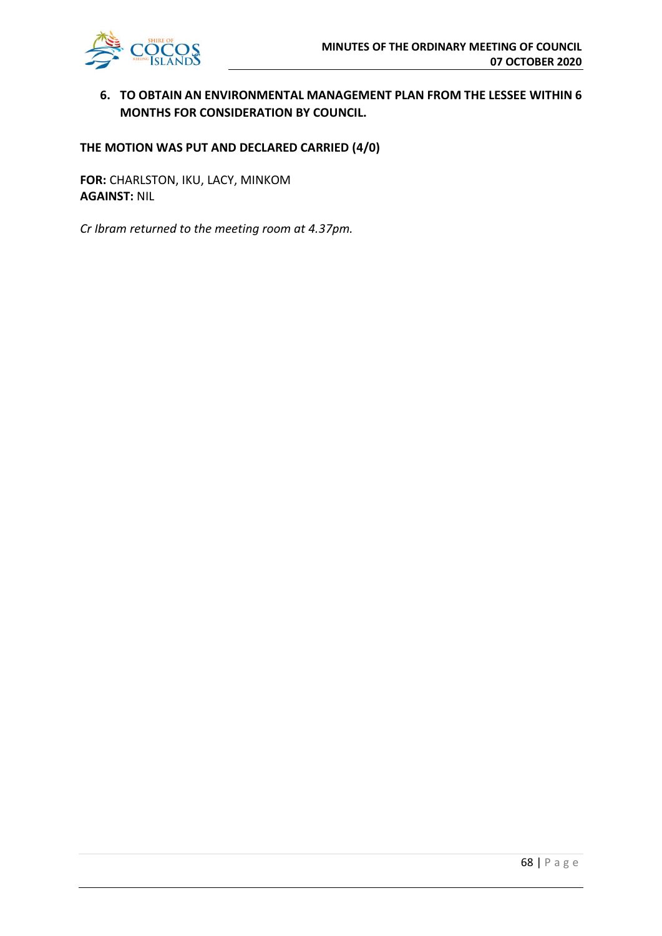**6. TO OBTAIN AN ENVIRONMENTAL MANAGEMENT PLAN FROM THE LESSEE WITHIN 6 MONTHS FOR CONSIDERATION BY COUNCIL.** 

# **THE MOTION WAS PUT AND DECLARED CARRIED (4/0)**

**FOR:** CHARLSTON, IKU, LACY, MINKOM **AGAINST:** NIL

*Cr Ibram returned to the meeting room at 4.37pm.*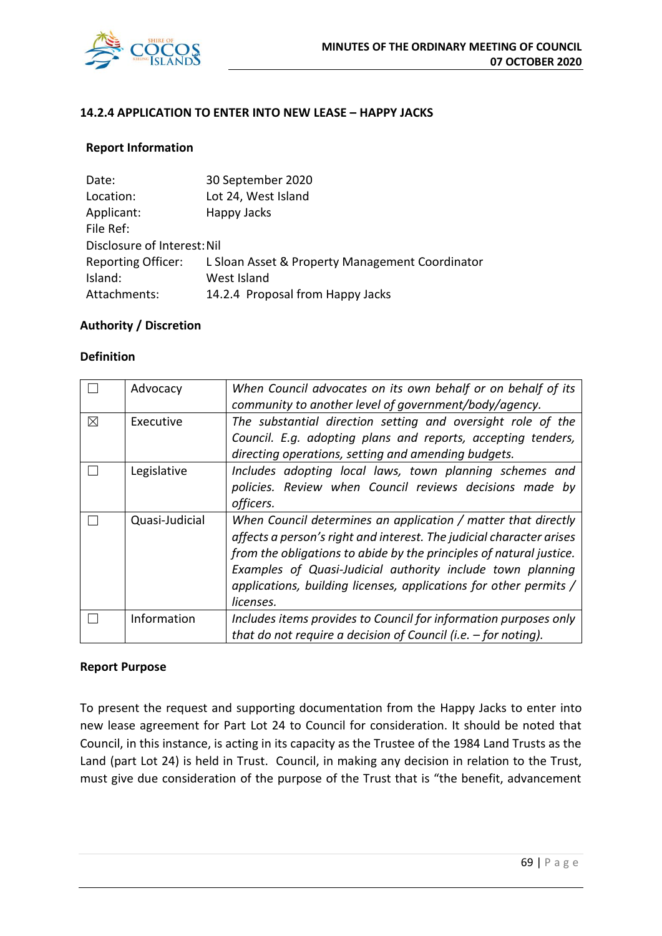

# **14.2.4 APPLICATION TO ENTER INTO NEW LEASE – HAPPY JACKS**

# **Report Information**

| Date:                       | 30 September 2020                               |
|-----------------------------|-------------------------------------------------|
| Location:                   | Lot 24, West Island                             |
| Applicant:                  | Happy Jacks                                     |
| File Ref:                   |                                                 |
| Disclosure of Interest: Nil |                                                 |
| <b>Reporting Officer:</b>   | L Sloan Asset & Property Management Coordinator |
| Island:                     | West Island                                     |
| Attachments:                | 14.2.4 Proposal from Happy Jacks                |

# **Authority / Discretion**

#### **Definition**

|   | Advocacy       | When Council advocates on its own behalf or on behalf of its<br>community to another level of government/body/agency.                                                                                                                                                                                                                                        |
|---|----------------|--------------------------------------------------------------------------------------------------------------------------------------------------------------------------------------------------------------------------------------------------------------------------------------------------------------------------------------------------------------|
| X | Executive      | The substantial direction setting and oversight role of the<br>Council. E.g. adopting plans and reports, accepting tenders,<br>directing operations, setting and amending budgets.                                                                                                                                                                           |
|   | Legislative    | Includes adopting local laws, town planning schemes and<br>policies. Review when Council reviews decisions made by<br>officers.                                                                                                                                                                                                                              |
|   | Quasi-Judicial | When Council determines an application / matter that directly<br>affects a person's right and interest. The judicial character arises<br>from the obligations to abide by the principles of natural justice.<br>Examples of Quasi-Judicial authority include town planning<br>applications, building licenses, applications for other permits /<br>licenses. |
|   | Information    | Includes items provides to Council for information purposes only<br>that do not require a decision of Council (i.e. $-$ for noting).                                                                                                                                                                                                                         |

#### **Report Purpose**

To present the request and supporting documentation from the Happy Jacks to enter into new lease agreement for Part Lot 24 to Council for consideration. It should be noted that Council, in this instance, is acting in its capacity as the Trustee of the 1984 Land Trusts as the Land (part Lot 24) is held in Trust. Council, in making any decision in relation to the Trust, must give due consideration of the purpose of the Trust that is "the benefit, advancement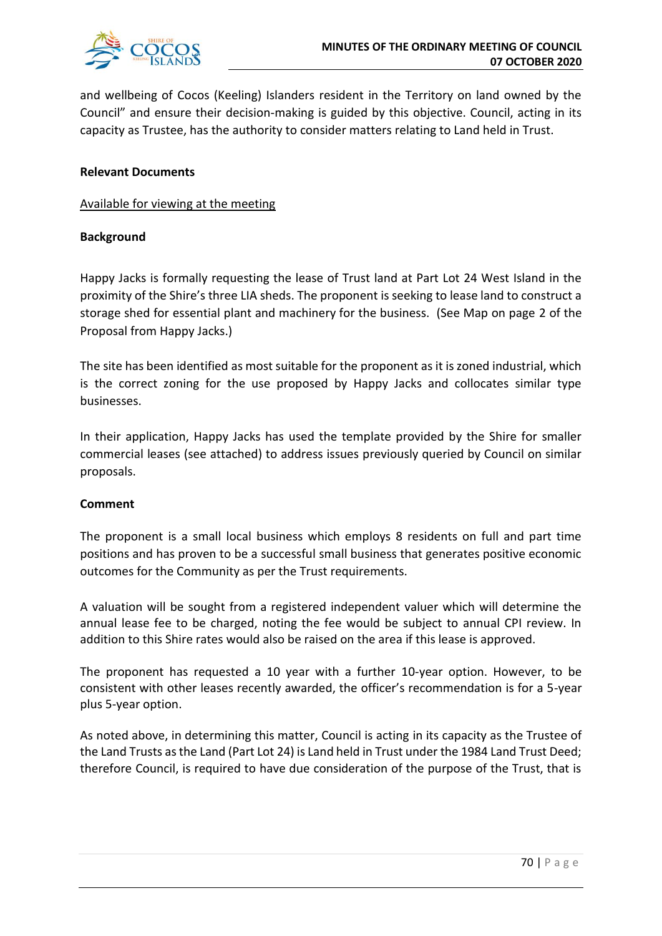

and wellbeing of Cocos (Keeling) Islanders resident in the Territory on land owned by the Council" and ensure their decision-making is guided by this objective. Council, acting in its capacity as Trustee, has the authority to consider matters relating to Land held in Trust.

# **Relevant Documents**

Available for viewing at the meeting

# **Background**

Happy Jacks is formally requesting the lease of Trust land at Part Lot 24 West Island in the proximity of the Shire's three LIA sheds. The proponent is seeking to lease land to construct a storage shed for essential plant and machinery for the business. (See Map on page 2 of the Proposal from Happy Jacks.)

The site has been identified as most suitable for the proponent as it is zoned industrial, which is the correct zoning for the use proposed by Happy Jacks and collocates similar type businesses.

In their application, Happy Jacks has used the template provided by the Shire for smaller commercial leases (see attached) to address issues previously queried by Council on similar proposals.

#### **Comment**

The proponent is a small local business which employs 8 residents on full and part time positions and has proven to be a successful small business that generates positive economic outcomes for the Community as per the Trust requirements.

A valuation will be sought from a registered independent valuer which will determine the annual lease fee to be charged, noting the fee would be subject to annual CPI review. In addition to this Shire rates would also be raised on the area if this lease is approved.

The proponent has requested a 10 year with a further 10-year option. However, to be consistent with other leases recently awarded, the officer's recommendation is for a 5-year plus 5-year option.

As noted above, in determining this matter, Council is acting in its capacity as the Trustee of the Land Trusts as the Land (Part Lot 24) is Land held in Trust under the 1984 Land Trust Deed; therefore Council, is required to have due consideration of the purpose of the Trust, that is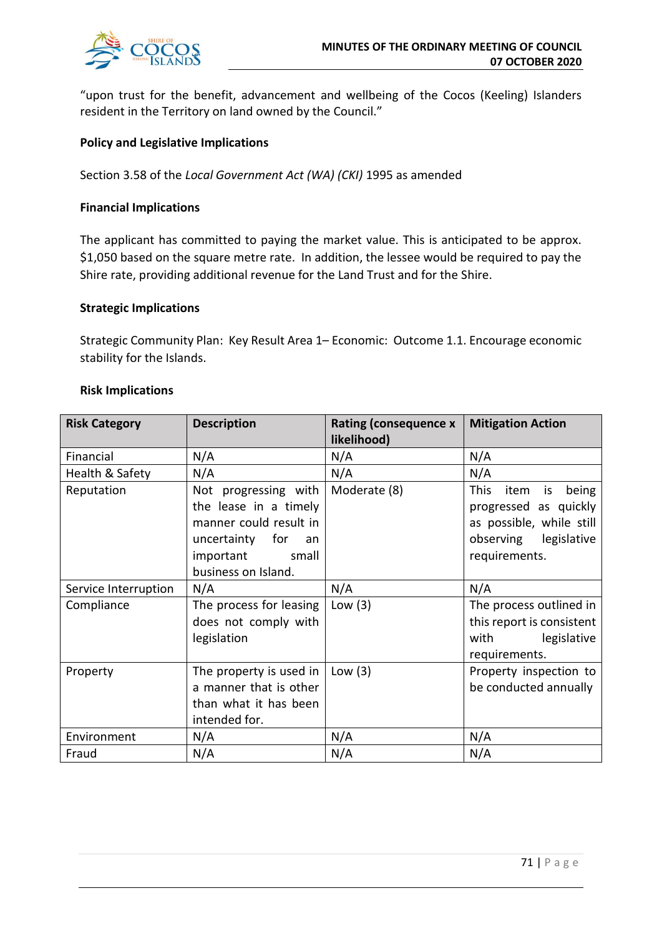

"upon trust for the benefit, advancement and wellbeing of the Cocos (Keeling) Islanders resident in the Territory on land owned by the Council."

# **Policy and Legislative Implications**

Section 3.58 of the *Local Government Act (WA) (CKI)* 1995 as amended

#### **Financial Implications**

The applicant has committed to paying the market value. This is anticipated to be approx. \$1,050 based on the square metre rate. In addition, the lessee would be required to pay the Shire rate, providing additional revenue for the Land Trust and for the Shire.

#### **Strategic Implications**

Strategic Community Plan: Key Result Area 1– Economic: Outcome 1.1. Encourage economic stability for the Islands.

| <b>Risk Implications</b> |  |
|--------------------------|--|
|--------------------------|--|

| <b>Risk Category</b> | <b>Description</b>      | Rating (consequence x<br>likelihood) | <b>Mitigation Action</b>           |
|----------------------|-------------------------|--------------------------------------|------------------------------------|
| Financial            | N/A                     | N/A                                  | N/A                                |
|                      |                         |                                      |                                    |
| Health & Safety      | N/A                     | N/A                                  | N/A                                |
| Reputation           | Not progressing with    | Moderate (8)                         | <b>This</b><br>item<br>being<br>is |
|                      | the lease in a timely   |                                      | progressed as quickly              |
|                      | manner could result in  |                                      | as possible, while still           |
|                      | uncertainty for<br>an   |                                      | observing legislative              |
|                      | important<br>small      |                                      | requirements.                      |
|                      | business on Island.     |                                      |                                    |
| Service Interruption | N/A                     | N/A                                  | N/A                                |
| Compliance           | The process for leasing | Low $(3)$                            | The process outlined in            |
|                      | does not comply with    |                                      | this report is consistent          |
|                      | legislation             |                                      | with<br>legislative                |
|                      |                         |                                      | requirements.                      |
| Property             | The property is used in | Low $(3)$                            | Property inspection to             |
|                      | a manner that is other  |                                      | be conducted annually              |
|                      | than what it has been   |                                      |                                    |
|                      | intended for.           |                                      |                                    |
| Environment          | N/A                     | N/A                                  | N/A                                |
| Fraud                | N/A                     | N/A                                  | N/A                                |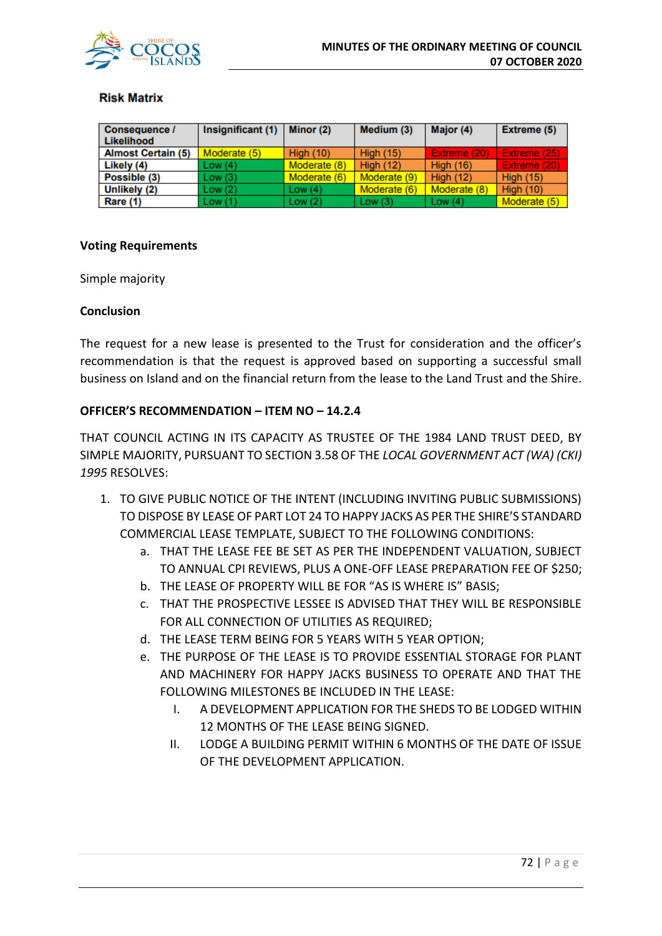

#### **Risk Matrix**

| <b>Consequence /</b><br>Likelihood | Insignificant (1) | Minor $(2)$  | Medium (3)       | Major (4)        | Extreme (5)      |
|------------------------------------|-------------------|--------------|------------------|------------------|------------------|
| <b>Almost Certain (5)</b>          | Moderate (5)      | High $(10)$  | <b>High (15)</b> | Extreme (20)     | Extreme (25)     |
| Likely (4)                         | Low(4)            | Moderate (8) | <b>High (12)</b> | <b>High (16)</b> | Extreme (20)     |
| Possible (3)                       | Low(3)            | Moderate (6) | Moderate (9)     | <b>High (12)</b> | <b>High (15)</b> |
| Unlikely (2)                       | Low(2)            | Low $(4)$    | Moderate (6)     | Moderate (8)     | <b>High (10)</b> |
| Rare (1)                           | Low(1)            | Low $(2)$    | Low $(3)$        | Low $(4)$        | Moderate (5)     |

#### **Voting Requirements**

Simple majority

#### **Conclusion**

The request for a new lease is presented to the Trust for consideration and the officer's recommendation is that the request is approved based on supporting a successful small business on Island and on the financial return from the lease to the Land Trust and the Shire.

### **OFFICER'S RECOMMENDATION – ITEM NO – 14.2.4**

THAT COUNCIL ACTING IN ITS CAPACITY AS TRUSTEE OF THE 1984 LAND TRUST DEED, BY SIMPLE MAJORITY, PURSUANT TO SECTION 3.58 OF THE *LOCAL GOVERNMENT ACT (WA) (CKI) 1995* RESOLVES:

- 1. TO GIVE PUBLIC NOTICE OF THE INTENT (INCLUDING INVITING PUBLIC SUBMISSIONS) TO DISPOSE BY LEASE OF PART LOT 24 TO HAPPY JACKS AS PER THE SHIRE'S STANDARD COMMERCIAL LEASE TEMPLATE, SUBJECT TO THE FOLLOWING CONDITIONS:
	- a. THAT THE LEASE FEE BE SET AS PER THE INDEPENDENT VALUATION, SUBJECT TO ANNUAL CPI REVIEWS, PLUS A ONE-OFF LEASE PREPARATION FEE OF \$250;
	- b. THE LEASE OF PROPERTY WILL BE FOR "AS IS WHERE IS" BASIS;
	- c. THAT THE PROSPECTIVE LESSEE IS ADVISED THAT THEY WILL BE RESPONSIBLE FOR ALL CONNECTION OF UTILITIES AS REQUIRED;
	- d. THE LEASE TERM BEING FOR 5 YEARS WITH 5 YEAR OPTION;
	- e. THE PURPOSE OF THE LEASE IS TO PROVIDE ESSENTIAL STORAGE FOR PLANT AND MACHINERY FOR HAPPY JACKS BUSINESS TO OPERATE AND THAT THE FOLLOWING MILESTONES BE INCLUDED IN THE LEASE:
		- I. A DEVELOPMENT APPLICATION FOR THE SHEDS TO BE LODGED WITHIN 12 MONTHS OF THE LEASE BEING SIGNED.
		- II. LODGE A BUILDING PERMIT WITHIN 6 MONTHS OF THE DATE OF ISSUE OF THE DEVELOPMENT APPLICATION.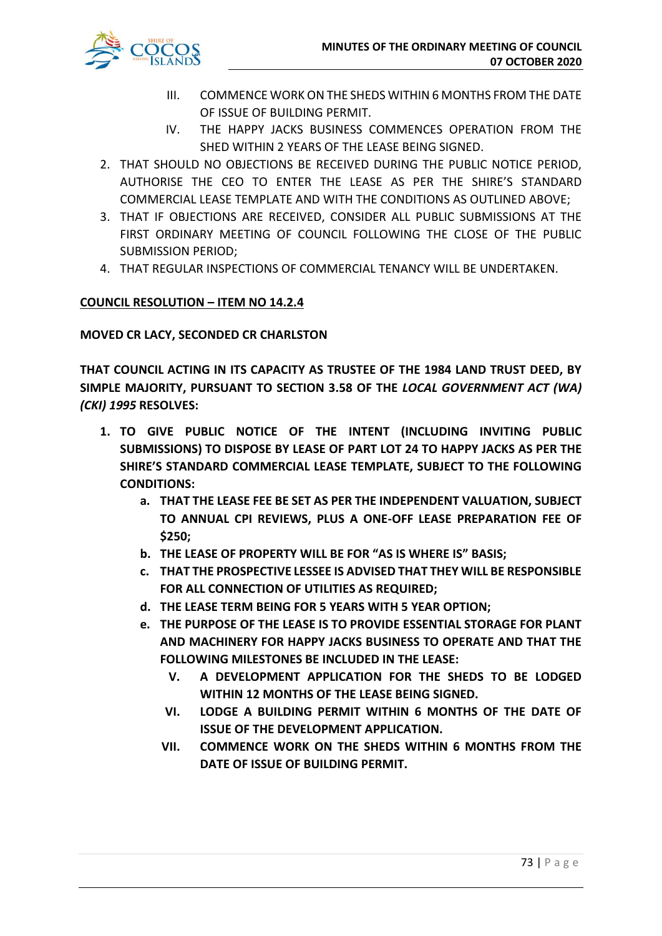

- III. COMMENCE WORK ON THE SHEDS WITHIN 6 MONTHS FROM THE DATE OF ISSUE OF BUILDING PERMIT.
- IV. THE HAPPY JACKS BUSINESS COMMENCES OPERATION FROM THE SHED WITHIN 2 YEARS OF THE LEASE BEING SIGNED.
- 2. THAT SHOULD NO OBJECTIONS BE RECEIVED DURING THE PUBLIC NOTICE PERIOD, AUTHORISE THE CEO TO ENTER THE LEASE AS PER THE SHIRE'S STANDARD COMMERCIAL LEASE TEMPLATE AND WITH THE CONDITIONS AS OUTLINED ABOVE;
- 3. THAT IF OBJECTIONS ARE RECEIVED, CONSIDER ALL PUBLIC SUBMISSIONS AT THE FIRST ORDINARY MEETING OF COUNCIL FOLLOWING THE CLOSE OF THE PUBLIC SUBMISSION PERIOD;
- 4. THAT REGULAR INSPECTIONS OF COMMERCIAL TENANCY WILL BE UNDERTAKEN.

## **COUNCIL RESOLUTION – ITEM NO 14.2.4**

**MOVED CR LACY, SECONDED CR CHARLSTON**

**THAT COUNCIL ACTING IN ITS CAPACITY AS TRUSTEE OF THE 1984 LAND TRUST DEED, BY SIMPLE MAJORITY, PURSUANT TO SECTION 3.58 OF THE** *LOCAL GOVERNMENT ACT (WA) (CKI) 1995* **RESOLVES:**

- **1. TO GIVE PUBLIC NOTICE OF THE INTENT (INCLUDING INVITING PUBLIC SUBMISSIONS) TO DISPOSE BY LEASE OF PART LOT 24 TO HAPPY JACKS AS PER THE SHIRE'S STANDARD COMMERCIAL LEASE TEMPLATE, SUBJECT TO THE FOLLOWING CONDITIONS:**
	- **a. THAT THE LEASE FEE BE SET AS PER THE INDEPENDENT VALUATION, SUBJECT TO ANNUAL CPI REVIEWS, PLUS A ONE-OFF LEASE PREPARATION FEE OF \$250;**
	- **b. THE LEASE OF PROPERTY WILL BE FOR "AS IS WHERE IS" BASIS;**
	- **c. THAT THE PROSPECTIVE LESSEE IS ADVISED THAT THEY WILL BE RESPONSIBLE FOR ALL CONNECTION OF UTILITIES AS REQUIRED;**
	- **d. THE LEASE TERM BEING FOR 5 YEARS WITH 5 YEAR OPTION;**
	- **e. THE PURPOSE OF THE LEASE IS TO PROVIDE ESSENTIAL STORAGE FOR PLANT AND MACHINERY FOR HAPPY JACKS BUSINESS TO OPERATE AND THAT THE FOLLOWING MILESTONES BE INCLUDED IN THE LEASE:**
		- **V. A DEVELOPMENT APPLICATION FOR THE SHEDS TO BE LODGED WITHIN 12 MONTHS OF THE LEASE BEING SIGNED.**
		- **VI. LODGE A BUILDING PERMIT WITHIN 6 MONTHS OF THE DATE OF ISSUE OF THE DEVELOPMENT APPLICATION.**
		- **VII. COMMENCE WORK ON THE SHEDS WITHIN 6 MONTHS FROM THE DATE OF ISSUE OF BUILDING PERMIT.**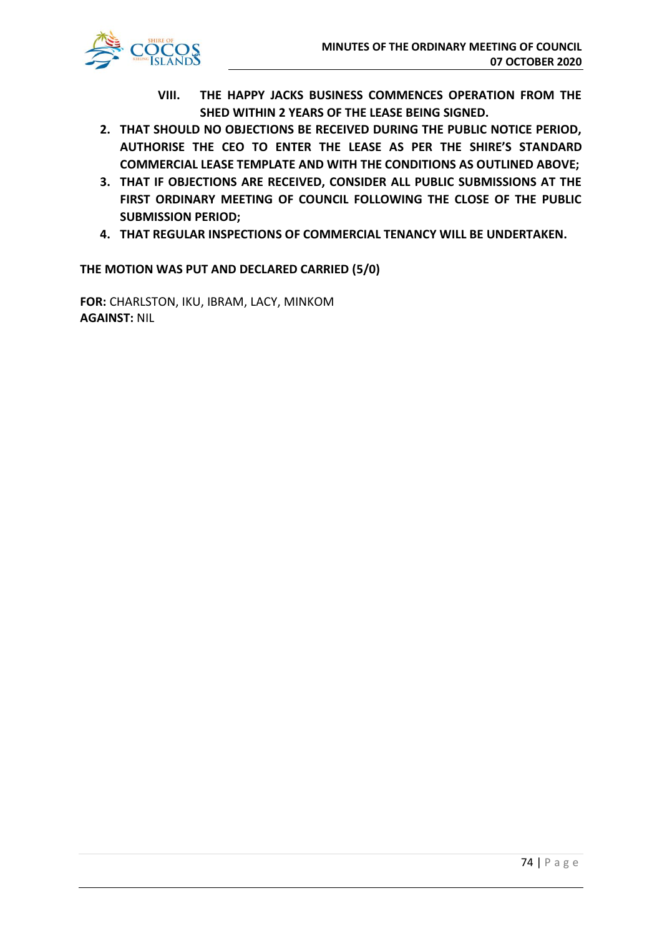

- **VIII. THE HAPPY JACKS BUSINESS COMMENCES OPERATION FROM THE SHED WITHIN 2 YEARS OF THE LEASE BEING SIGNED.**
- **2. THAT SHOULD NO OBJECTIONS BE RECEIVED DURING THE PUBLIC NOTICE PERIOD, AUTHORISE THE CEO TO ENTER THE LEASE AS PER THE SHIRE'S STANDARD COMMERCIAL LEASE TEMPLATE AND WITH THE CONDITIONS AS OUTLINED ABOVE;**
- **3. THAT IF OBJECTIONS ARE RECEIVED, CONSIDER ALL PUBLIC SUBMISSIONS AT THE FIRST ORDINARY MEETING OF COUNCIL FOLLOWING THE CLOSE OF THE PUBLIC SUBMISSION PERIOD;**
- **4. THAT REGULAR INSPECTIONS OF COMMERCIAL TENANCY WILL BE UNDERTAKEN.**

**THE MOTION WAS PUT AND DECLARED CARRIED (5/0)**

**FOR:** CHARLSTON, IKU, IBRAM, LACY, MINKOM **AGAINST:** NIL